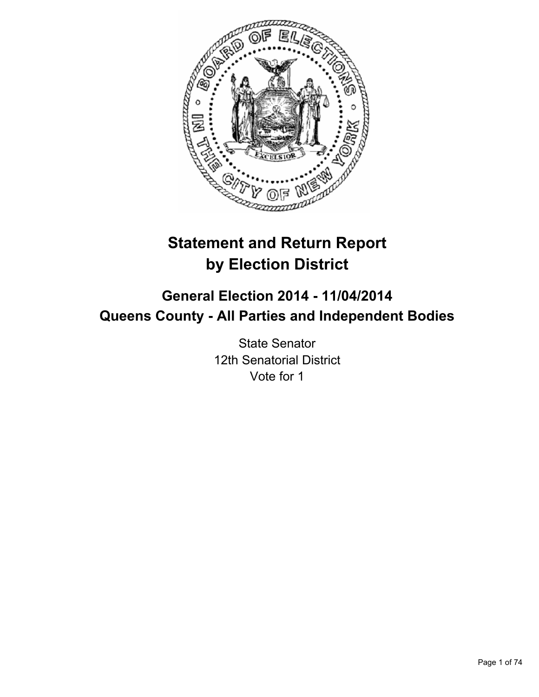

# **Statement and Return Report by Election District**

# **General Election 2014 - 11/04/2014 Queens County - All Parties and Independent Bodies**

State Senator 12th Senatorial District Vote for 1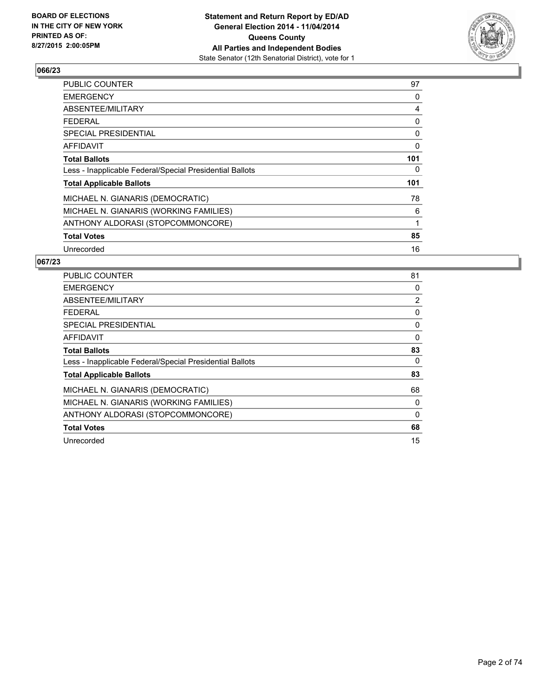

| <b>PUBLIC COUNTER</b>                                    | 97  |
|----------------------------------------------------------|-----|
| <b>EMERGENCY</b>                                         | 0   |
| ABSENTEE/MILITARY                                        | 4   |
| <b>FEDERAL</b>                                           | 0   |
| SPECIAL PRESIDENTIAL                                     | 0   |
| <b>AFFIDAVIT</b>                                         | 0   |
| <b>Total Ballots</b>                                     | 101 |
| Less - Inapplicable Federal/Special Presidential Ballots | 0   |
| <b>Total Applicable Ballots</b>                          | 101 |
| MICHAEL N. GIANARIS (DEMOCRATIC)                         | 78  |
| MICHAEL N. GIANARIS (WORKING FAMILIES)                   | 6   |
| ANTHONY ALDORASI (STOPCOMMONCORE)                        | 1   |
| <b>Total Votes</b>                                       | 85  |
| Unrecorded                                               | 16  |

| <b>PUBLIC COUNTER</b>                                    | 81             |
|----------------------------------------------------------|----------------|
| <b>EMERGENCY</b>                                         | 0              |
| ABSENTEE/MILITARY                                        | $\overline{2}$ |
| <b>FEDERAL</b>                                           | 0              |
| SPECIAL PRESIDENTIAL                                     | 0              |
| AFFIDAVIT                                                | 0              |
| <b>Total Ballots</b>                                     | 83             |
| Less - Inapplicable Federal/Special Presidential Ballots | 0              |
| <b>Total Applicable Ballots</b>                          | 83             |
| MICHAEL N. GIANARIS (DEMOCRATIC)                         | 68             |
| MICHAEL N. GIANARIS (WORKING FAMILIES)                   | 0              |
| ANTHONY ALDORASI (STOPCOMMONCORE)                        | 0              |
| <b>Total Votes</b>                                       | 68             |
| Unrecorded                                               | 15             |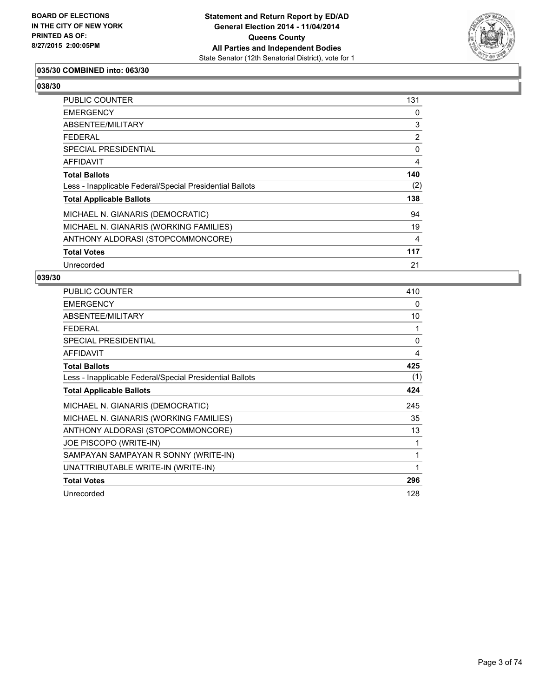

## **035/30 COMBINED into: 063/30**

**038/30** 

| PUBLIC COUNTER                                           | 131            |
|----------------------------------------------------------|----------------|
| <b>EMERGENCY</b>                                         | 0              |
| ABSENTEE/MILITARY                                        | 3              |
| <b>FEDERAL</b>                                           | $\overline{2}$ |
| <b>SPECIAL PRESIDENTIAL</b>                              | 0              |
| AFFIDAVIT                                                | 4              |
| <b>Total Ballots</b>                                     | 140            |
| Less - Inapplicable Federal/Special Presidential Ballots | (2)            |
| <b>Total Applicable Ballots</b>                          | 138            |
| MICHAEL N. GIANARIS (DEMOCRATIC)                         | 94             |
| MICHAEL N. GIANARIS (WORKING FAMILIES)                   | 19             |
| ANTHONY ALDORASI (STOPCOMMONCORE)                        | 4              |
| <b>Total Votes</b>                                       | 117            |
| Unrecorded                                               | 21             |

| <b>PUBLIC COUNTER</b>                                    | 410          |
|----------------------------------------------------------|--------------|
| <b>EMERGENCY</b>                                         | 0            |
| ABSENTEE/MILITARY                                        | 10           |
| <b>FEDERAL</b>                                           | 1            |
| SPECIAL PRESIDENTIAL                                     | $\mathbf{0}$ |
| <b>AFFIDAVIT</b>                                         | 4            |
| <b>Total Ballots</b>                                     | 425          |
| Less - Inapplicable Federal/Special Presidential Ballots | (1)          |
| <b>Total Applicable Ballots</b>                          | 424          |
| MICHAEL N. GIANARIS (DEMOCRATIC)                         | 245          |
| MICHAEL N. GIANARIS (WORKING FAMILIES)                   | 35           |
| ANTHONY ALDORASI (STOPCOMMONCORE)                        | 13           |
| JOE PISCOPO (WRITE-IN)                                   | 1            |
| SAMPAYAN SAMPAYAN R SONNY (WRITE-IN)                     | 1            |
| UNATTRIBUTABLE WRITE-IN (WRITE-IN)                       | 1            |
| <b>Total Votes</b>                                       | 296          |
| Unrecorded                                               | 128          |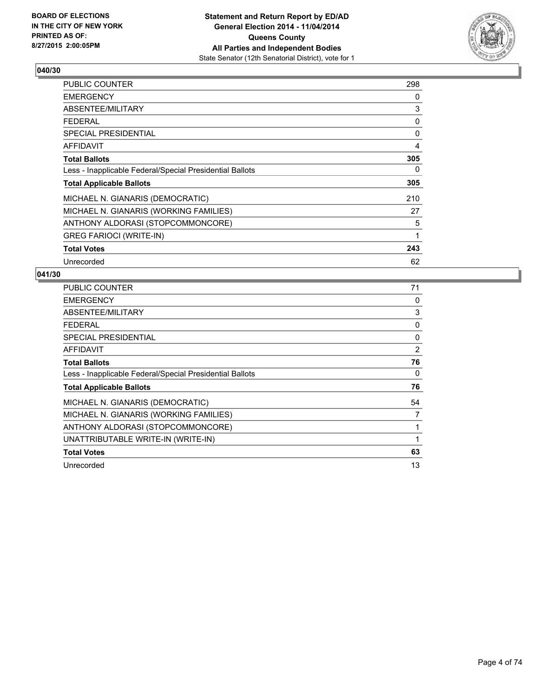

| <b>PUBLIC COUNTER</b>                                    | 298 |
|----------------------------------------------------------|-----|
| <b>EMERGENCY</b>                                         | 0   |
| ABSENTEE/MILITARY                                        | 3   |
| <b>FEDERAL</b>                                           | 0   |
| <b>SPECIAL PRESIDENTIAL</b>                              | 0   |
| AFFIDAVIT                                                | 4   |
| <b>Total Ballots</b>                                     | 305 |
| Less - Inapplicable Federal/Special Presidential Ballots | 0   |
| <b>Total Applicable Ballots</b>                          | 305 |
| MICHAEL N. GIANARIS (DEMOCRATIC)                         | 210 |
| MICHAEL N. GIANARIS (WORKING FAMILIES)                   | 27  |
| ANTHONY ALDORASI (STOPCOMMONCORE)                        | 5   |
| <b>GREG FARIOCI (WRITE-IN)</b>                           | 1   |
| <b>Total Votes</b>                                       | 243 |
| Unrecorded                                               | 62  |

| <b>PUBLIC COUNTER</b>                                    | 71 |
|----------------------------------------------------------|----|
| <b>EMERGENCY</b>                                         | 0  |
| ABSENTEE/MILITARY                                        | 3  |
| <b>FEDERAL</b>                                           | 0  |
| SPECIAL PRESIDENTIAL                                     | 0  |
| <b>AFFIDAVIT</b>                                         | 2  |
| <b>Total Ballots</b>                                     | 76 |
| Less - Inapplicable Federal/Special Presidential Ballots | 0  |
| <b>Total Applicable Ballots</b>                          | 76 |
| MICHAEL N. GIANARIS (DEMOCRATIC)                         | 54 |
| MICHAEL N. GIANARIS (WORKING FAMILIES)                   | 7  |
| ANTHONY ALDORASI (STOPCOMMONCORE)                        |    |
| UNATTRIBUTABLE WRITE-IN (WRITE-IN)                       |    |
| <b>Total Votes</b>                                       | 63 |
| Unrecorded                                               | 13 |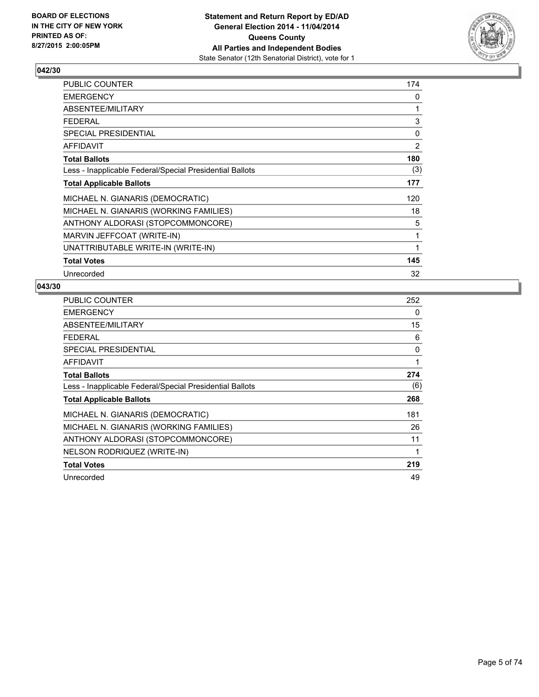

| <b>PUBLIC COUNTER</b>                                    | 174      |
|----------------------------------------------------------|----------|
| <b>EMERGENCY</b>                                         | 0        |
| ABSENTEE/MILITARY                                        | 1        |
| <b>FEDERAL</b>                                           | 3        |
| <b>SPECIAL PRESIDENTIAL</b>                              | $\Omega$ |
| <b>AFFIDAVIT</b>                                         | 2        |
| <b>Total Ballots</b>                                     | 180      |
| Less - Inapplicable Federal/Special Presidential Ballots | (3)      |
| <b>Total Applicable Ballots</b>                          | 177      |
| MICHAEL N. GIANARIS (DEMOCRATIC)                         | 120      |
| MICHAEL N. GIANARIS (WORKING FAMILIES)                   | 18       |
| ANTHONY ALDORASI (STOPCOMMONCORE)                        | 5        |
| MARVIN JEFFCOAT (WRITE-IN)                               | 1        |
| UNATTRIBUTABLE WRITE-IN (WRITE-IN)                       | 1        |
| <b>Total Votes</b>                                       | 145      |
| Unrecorded                                               | 32       |

| PUBLIC COUNTER                                           | 252 |
|----------------------------------------------------------|-----|
| <b>EMERGENCY</b>                                         | 0   |
| ABSENTEE/MILITARY                                        | 15  |
| <b>FEDERAL</b>                                           | 6   |
| <b>SPECIAL PRESIDENTIAL</b>                              | 0   |
| <b>AFFIDAVIT</b>                                         | 1   |
| <b>Total Ballots</b>                                     | 274 |
| Less - Inapplicable Federal/Special Presidential Ballots | (6) |
| <b>Total Applicable Ballots</b>                          | 268 |
| MICHAEL N. GIANARIS (DEMOCRATIC)                         | 181 |
| MICHAEL N. GIANARIS (WORKING FAMILIES)                   | 26  |
| ANTHONY ALDORASI (STOPCOMMONCORE)                        | 11  |
| NELSON RODRIQUEZ (WRITE-IN)                              | 1   |
| <b>Total Votes</b>                                       | 219 |
| Unrecorded                                               | 49  |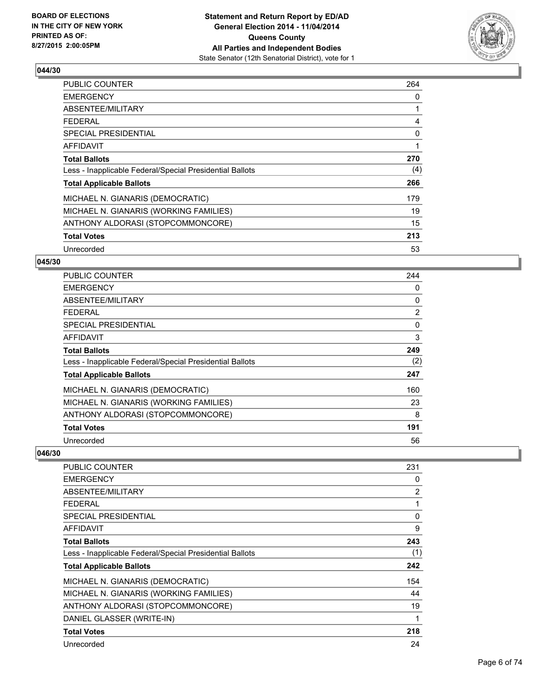

| <b>PUBLIC COUNTER</b>                                    | 264 |
|----------------------------------------------------------|-----|
| <b>EMERGENCY</b>                                         | 0   |
| ABSENTEE/MILITARY                                        |     |
| <b>FEDERAL</b>                                           | 4   |
| SPECIAL PRESIDENTIAL                                     | 0   |
| AFFIDAVIT                                                | 1   |
| <b>Total Ballots</b>                                     | 270 |
| Less - Inapplicable Federal/Special Presidential Ballots | (4) |
| <b>Total Applicable Ballots</b>                          | 266 |
| MICHAEL N. GIANARIS (DEMOCRATIC)                         | 179 |
| MICHAEL N. GIANARIS (WORKING FAMILIES)                   | 19  |
| ANTHONY ALDORASI (STOPCOMMONCORE)                        | 15  |
| <b>Total Votes</b>                                       | 213 |
| Unrecorded                                               | 53  |

### **045/30**

| <b>PUBLIC COUNTER</b>                                    | 244            |
|----------------------------------------------------------|----------------|
| <b>EMERGENCY</b>                                         | 0              |
| ABSENTEE/MILITARY                                        | 0              |
| <b>FEDERAL</b>                                           | $\overline{2}$ |
| <b>SPECIAL PRESIDENTIAL</b>                              | 0              |
| <b>AFFIDAVIT</b>                                         | 3              |
| <b>Total Ballots</b>                                     | 249            |
| Less - Inapplicable Federal/Special Presidential Ballots | (2)            |
| <b>Total Applicable Ballots</b>                          | 247            |
| MICHAEL N. GIANARIS (DEMOCRATIC)                         | 160            |
| MICHAEL N. GIANARIS (WORKING FAMILIES)                   | 23             |
| ANTHONY ALDORASI (STOPCOMMONCORE)                        | 8              |
| <b>Total Votes</b>                                       | 191            |
| Unrecorded                                               | 56             |

| <b>PUBLIC COUNTER</b>                                    | 231 |
|----------------------------------------------------------|-----|
| <b>EMERGENCY</b>                                         | 0   |
| ABSENTEE/MILITARY                                        | 2   |
| <b>FEDERAL</b>                                           | 1   |
| <b>SPECIAL PRESIDENTIAL</b>                              | 0   |
| AFFIDAVIT                                                | 9   |
| <b>Total Ballots</b>                                     | 243 |
| Less - Inapplicable Federal/Special Presidential Ballots | (1) |
| <b>Total Applicable Ballots</b>                          | 242 |
| MICHAEL N. GIANARIS (DEMOCRATIC)                         | 154 |
| MICHAEL N. GIANARIS (WORKING FAMILIES)                   | 44  |
| ANTHONY ALDORASI (STOPCOMMONCORE)                        | 19  |
| DANIEL GLASSER (WRITE-IN)                                | 1   |
| <b>Total Votes</b>                                       | 218 |
| Unrecorded                                               | 24  |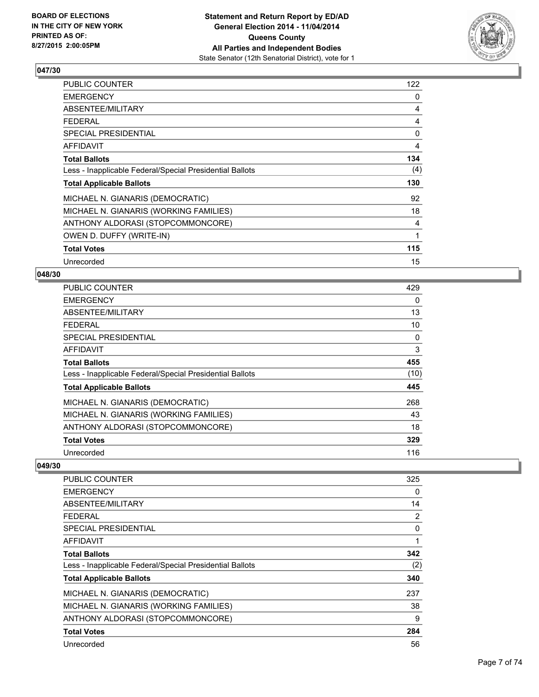

| <b>PUBLIC COUNTER</b>                                    | 122 |
|----------------------------------------------------------|-----|
| <b>EMERGENCY</b>                                         | 0   |
| ABSENTEE/MILITARY                                        | 4   |
| <b>FEDERAL</b>                                           | 4   |
| SPECIAL PRESIDENTIAL                                     | 0   |
| <b>AFFIDAVIT</b>                                         | 4   |
| <b>Total Ballots</b>                                     | 134 |
| Less - Inapplicable Federal/Special Presidential Ballots | (4) |
| <b>Total Applicable Ballots</b>                          | 130 |
| MICHAEL N. GIANARIS (DEMOCRATIC)                         | 92  |
| MICHAEL N. GIANARIS (WORKING FAMILIES)                   | 18  |
| ANTHONY ALDORASI (STOPCOMMONCORE)                        | 4   |
| OWEN D. DUFFY (WRITE-IN)                                 | 1   |
| <b>Total Votes</b>                                       | 115 |
| Unrecorded                                               | 15  |

## **048/30**

| <b>PUBLIC COUNTER</b>                                    | 429  |
|----------------------------------------------------------|------|
| <b>EMERGENCY</b>                                         | 0    |
| ABSENTEE/MILITARY                                        | 13   |
| <b>FEDERAL</b>                                           | 10   |
| <b>SPECIAL PRESIDENTIAL</b>                              | 0    |
| AFFIDAVIT                                                | 3    |
| <b>Total Ballots</b>                                     | 455  |
| Less - Inapplicable Federal/Special Presidential Ballots | (10) |
| <b>Total Applicable Ballots</b>                          | 445  |
| MICHAEL N. GIANARIS (DEMOCRATIC)                         | 268  |
| MICHAEL N. GIANARIS (WORKING FAMILIES)                   | 43   |
| ANTHONY ALDORASI (STOPCOMMONCORE)                        | 18   |
| <b>Total Votes</b>                                       | 329  |
| Unrecorded                                               | 116  |

| PUBLIC COUNTER                                           | 325      |
|----------------------------------------------------------|----------|
| <b>EMERGENCY</b>                                         | 0        |
| ABSENTEE/MILITARY                                        | 14       |
| FEDERAL                                                  | 2        |
| SPECIAL PRESIDENTIAL                                     | $\Omega$ |
| AFFIDAVIT                                                |          |
| <b>Total Ballots</b>                                     | 342      |
| Less - Inapplicable Federal/Special Presidential Ballots | (2)      |
| <b>Total Applicable Ballots</b>                          | 340      |
| MICHAEL N. GIANARIS (DEMOCRATIC)                         | 237      |
| MICHAEL N. GIANARIS (WORKING FAMILIES)                   | 38       |
| ANTHONY ALDORASI (STOPCOMMONCORE)                        | 9        |
| <b>Total Votes</b>                                       | 284      |
| Unrecorded                                               | 56       |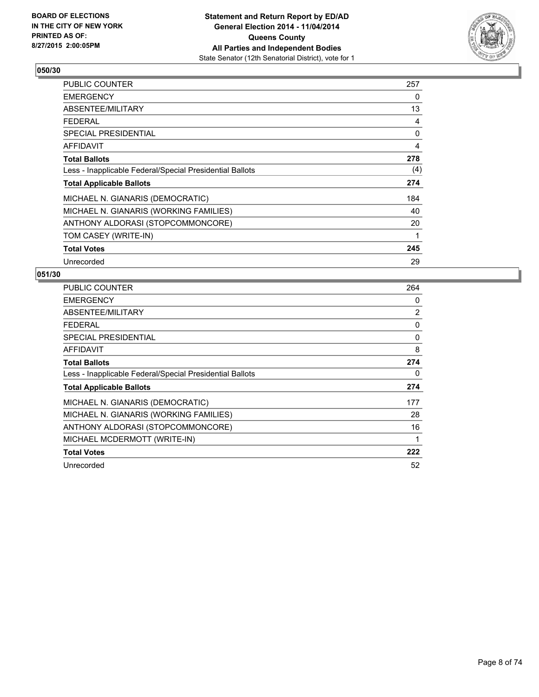

| PUBLIC COUNTER                                           | 257 |
|----------------------------------------------------------|-----|
| <b>EMERGENCY</b>                                         | 0   |
| ABSENTEE/MILITARY                                        | 13  |
| <b>FEDERAL</b>                                           | 4   |
| <b>SPECIAL PRESIDENTIAL</b>                              | 0   |
| <b>AFFIDAVIT</b>                                         | 4   |
| <b>Total Ballots</b>                                     | 278 |
| Less - Inapplicable Federal/Special Presidential Ballots | (4) |
| <b>Total Applicable Ballots</b>                          | 274 |
| MICHAEL N. GIANARIS (DEMOCRATIC)                         | 184 |
| MICHAEL N. GIANARIS (WORKING FAMILIES)                   | 40  |
| ANTHONY ALDORASI (STOPCOMMONCORE)                        | 20  |
| TOM CASEY (WRITE-IN)                                     | 1   |
| <b>Total Votes</b>                                       | 245 |
| Unrecorded                                               | 29  |

| <b>PUBLIC COUNTER</b>                                    | 264 |
|----------------------------------------------------------|-----|
| <b>EMERGENCY</b>                                         | 0   |
| ABSENTEE/MILITARY                                        | 2   |
| <b>FEDERAL</b>                                           | 0   |
| SPECIAL PRESIDENTIAL                                     | 0   |
| AFFIDAVIT                                                | 8   |
| <b>Total Ballots</b>                                     | 274 |
| Less - Inapplicable Federal/Special Presidential Ballots | 0   |
| <b>Total Applicable Ballots</b>                          | 274 |
| MICHAEL N. GIANARIS (DEMOCRATIC)                         | 177 |
| MICHAEL N. GIANARIS (WORKING FAMILIES)                   | 28  |
| ANTHONY ALDORASI (STOPCOMMONCORE)                        | 16  |
| MICHAEL MCDERMOTT (WRITE-IN)                             | 1   |
| <b>Total Votes</b>                                       | 222 |
| Unrecorded                                               | 52  |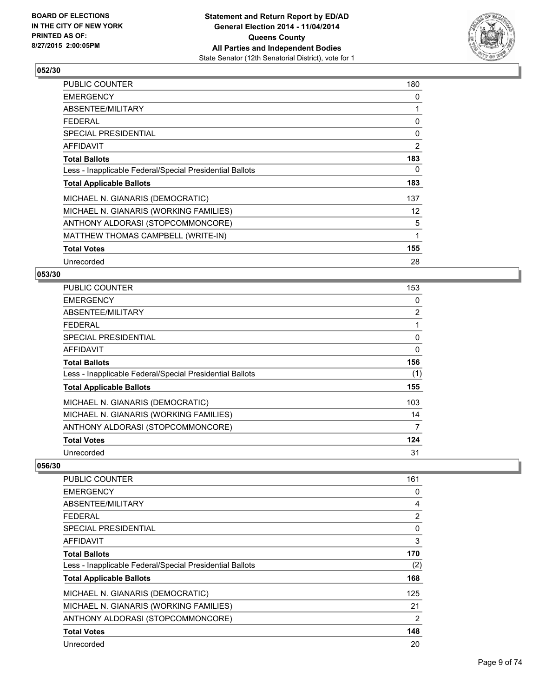

| <b>PUBLIC COUNTER</b>                                    | 180 |
|----------------------------------------------------------|-----|
| <b>EMERGENCY</b>                                         | 0   |
| ABSENTEE/MILITARY                                        | 1   |
| <b>FEDERAL</b>                                           | 0   |
| <b>SPECIAL PRESIDENTIAL</b>                              | 0   |
| AFFIDAVIT                                                | 2   |
| <b>Total Ballots</b>                                     | 183 |
| Less - Inapplicable Federal/Special Presidential Ballots | 0   |
| <b>Total Applicable Ballots</b>                          | 183 |
| MICHAEL N. GIANARIS (DEMOCRATIC)                         | 137 |
| MICHAEL N. GIANARIS (WORKING FAMILIES)                   | 12  |
| ANTHONY ALDORASI (STOPCOMMONCORE)                        | 5   |
| MATTHEW THOMAS CAMPBELL (WRITE-IN)                       | 1   |
| <b>Total Votes</b>                                       | 155 |
| Unrecorded                                               | 28  |

## **053/30**

| <b>PUBLIC COUNTER</b>                                    | 153            |
|----------------------------------------------------------|----------------|
| <b>EMERGENCY</b>                                         | 0              |
| ABSENTEE/MILITARY                                        | $\overline{2}$ |
| <b>FEDERAL</b>                                           | 1              |
| SPECIAL PRESIDENTIAL                                     | 0              |
| <b>AFFIDAVIT</b>                                         | 0              |
| <b>Total Ballots</b>                                     | 156            |
| Less - Inapplicable Federal/Special Presidential Ballots | (1)            |
| <b>Total Applicable Ballots</b>                          | 155            |
| MICHAEL N. GIANARIS (DEMOCRATIC)                         | 103            |
| MICHAEL N. GIANARIS (WORKING FAMILIES)                   | 14             |
| ANTHONY ALDORASI (STOPCOMMONCORE)                        | 7              |
| <b>Total Votes</b>                                       | 124            |
| Unrecorded                                               | 31             |

| <b>PUBLIC COUNTER</b>                                    | 161            |
|----------------------------------------------------------|----------------|
| <b>EMERGENCY</b>                                         | 0              |
| ABSENTEE/MILITARY                                        | 4              |
| FEDERAL                                                  | 2              |
| SPECIAL PRESIDENTIAL                                     | $\Omega$       |
| AFFIDAVIT                                                | 3              |
| <b>Total Ballots</b>                                     | 170            |
| Less - Inapplicable Federal/Special Presidential Ballots | (2)            |
| <b>Total Applicable Ballots</b>                          | 168            |
| MICHAEL N. GIANARIS (DEMOCRATIC)                         | 125            |
| MICHAEL N. GIANARIS (WORKING FAMILIES)                   | 21             |
| ANTHONY ALDORASI (STOPCOMMONCORE)                        | $\overline{2}$ |
| <b>Total Votes</b>                                       | 148            |
| Unrecorded                                               | 20             |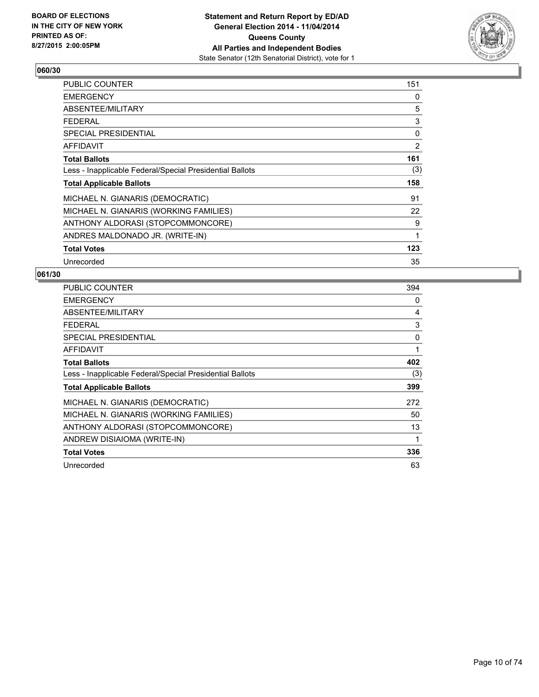

| <b>PUBLIC COUNTER</b>                                    | 151 |
|----------------------------------------------------------|-----|
| <b>EMERGENCY</b>                                         | 0   |
| ABSENTEE/MILITARY                                        | 5   |
| FEDERAL                                                  | 3   |
| <b>SPECIAL PRESIDENTIAL</b>                              | 0   |
| <b>AFFIDAVIT</b>                                         | 2   |
| <b>Total Ballots</b>                                     | 161 |
| Less - Inapplicable Federal/Special Presidential Ballots | (3) |
| <b>Total Applicable Ballots</b>                          | 158 |
| MICHAEL N. GIANARIS (DEMOCRATIC)                         | 91  |
| MICHAEL N. GIANARIS (WORKING FAMILIES)                   | 22  |
| ANTHONY ALDORASI (STOPCOMMONCORE)                        | 9   |
| ANDRES MALDONADO JR. (WRITE-IN)                          | 1   |
| <b>Total Votes</b>                                       | 123 |
| Unrecorded                                               | 35  |

| <b>PUBLIC COUNTER</b>                                    | 394 |
|----------------------------------------------------------|-----|
| <b>EMERGENCY</b>                                         | 0   |
| ABSENTEE/MILITARY                                        | 4   |
| <b>FEDERAL</b>                                           | 3   |
| <b>SPECIAL PRESIDENTIAL</b>                              | 0   |
| <b>AFFIDAVIT</b>                                         | 1   |
| <b>Total Ballots</b>                                     | 402 |
| Less - Inapplicable Federal/Special Presidential Ballots | (3) |
| <b>Total Applicable Ballots</b>                          | 399 |
| MICHAEL N. GIANARIS (DEMOCRATIC)                         | 272 |
| MICHAEL N. GIANARIS (WORKING FAMILIES)                   | 50  |
| ANTHONY ALDORASI (STOPCOMMONCORE)                        | 13  |
| ANDREW DISIAIOMA (WRITE-IN)                              | 1   |
| <b>Total Votes</b>                                       | 336 |
| Unrecorded                                               | 63  |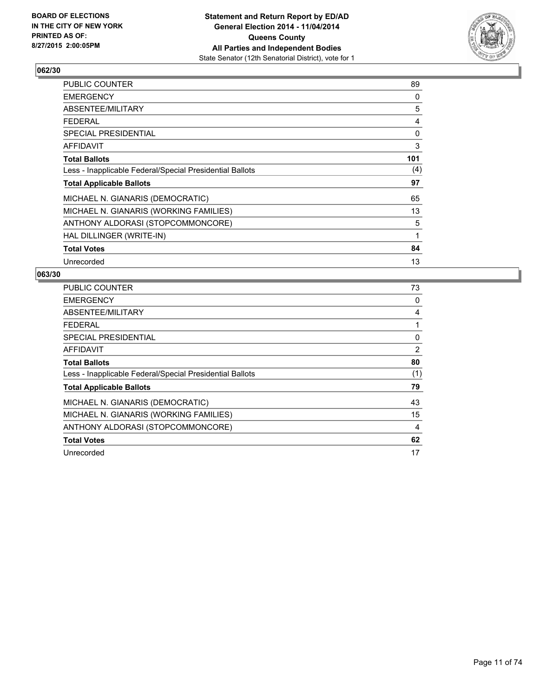

| <b>PUBLIC COUNTER</b>                                    | 89  |
|----------------------------------------------------------|-----|
| <b>EMERGENCY</b>                                         | 0   |
| ABSENTEE/MILITARY                                        | 5   |
| <b>FEDERAL</b>                                           | 4   |
| <b>SPECIAL PRESIDENTIAL</b>                              | 0   |
| <b>AFFIDAVIT</b>                                         | 3   |
| <b>Total Ballots</b>                                     | 101 |
| Less - Inapplicable Federal/Special Presidential Ballots | (4) |
| <b>Total Applicable Ballots</b>                          | 97  |
| MICHAEL N. GIANARIS (DEMOCRATIC)                         | 65  |
| MICHAEL N. GIANARIS (WORKING FAMILIES)                   | 13  |
| ANTHONY ALDORASI (STOPCOMMONCORE)                        | 5   |
| HAL DILLINGER (WRITE-IN)                                 | 1   |
| <b>Total Votes</b>                                       | 84  |
| Unrecorded                                               | 13  |

| <b>PUBLIC COUNTER</b>                                    | 73             |
|----------------------------------------------------------|----------------|
| <b>EMERGENCY</b>                                         | 0              |
| ABSENTEE/MILITARY                                        | 4              |
| <b>FEDERAL</b>                                           | 1              |
| <b>SPECIAL PRESIDENTIAL</b>                              | 0              |
| <b>AFFIDAVIT</b>                                         | $\overline{2}$ |
| <b>Total Ballots</b>                                     | 80             |
| Less - Inapplicable Federal/Special Presidential Ballots | (1)            |
| <b>Total Applicable Ballots</b>                          | 79             |
| MICHAEL N. GIANARIS (DEMOCRATIC)                         | 43             |
| MICHAEL N. GIANARIS (WORKING FAMILIES)                   | 15             |
| ANTHONY ALDORASI (STOPCOMMONCORE)                        | 4              |
| <b>Total Votes</b>                                       | 62             |
| Unrecorded                                               | 17             |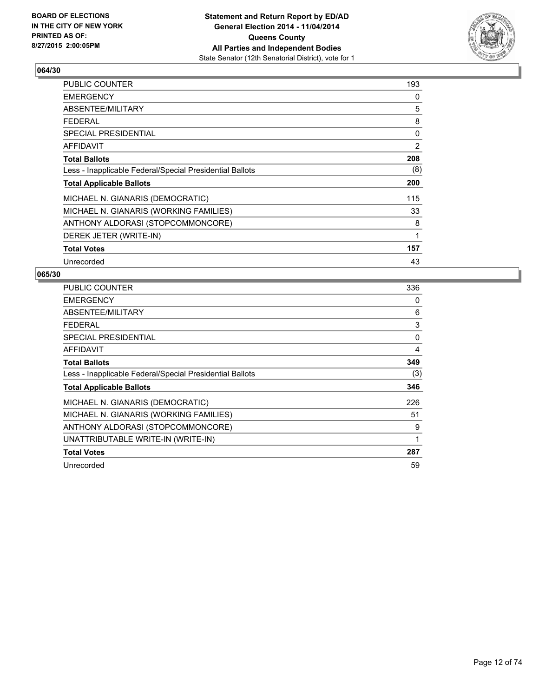

| <b>PUBLIC COUNTER</b>                                    | 193 |
|----------------------------------------------------------|-----|
| <b>EMERGENCY</b>                                         | 0   |
| ABSENTEE/MILITARY                                        | 5   |
| FEDERAL                                                  | 8   |
| <b>SPECIAL PRESIDENTIAL</b>                              | 0   |
| <b>AFFIDAVIT</b>                                         | 2   |
| <b>Total Ballots</b>                                     | 208 |
| Less - Inapplicable Federal/Special Presidential Ballots | (8) |
| <b>Total Applicable Ballots</b>                          | 200 |
| MICHAEL N. GIANARIS (DEMOCRATIC)                         | 115 |
| MICHAEL N. GIANARIS (WORKING FAMILIES)                   | 33  |
| ANTHONY ALDORASI (STOPCOMMONCORE)                        | 8   |
| DEREK JETER (WRITE-IN)                                   | 1   |
| <b>Total Votes</b>                                       | 157 |
| Unrecorded                                               | 43  |

| <b>PUBLIC COUNTER</b>                                    | 336 |
|----------------------------------------------------------|-----|
| <b>EMERGENCY</b>                                         | 0   |
| ABSENTEE/MILITARY                                        | 6   |
| <b>FEDERAL</b>                                           | 3   |
| SPECIAL PRESIDENTIAL                                     | 0   |
| <b>AFFIDAVIT</b>                                         | 4   |
| <b>Total Ballots</b>                                     | 349 |
| Less - Inapplicable Federal/Special Presidential Ballots | (3) |
| <b>Total Applicable Ballots</b>                          | 346 |
| MICHAEL N. GIANARIS (DEMOCRATIC)                         | 226 |
| MICHAEL N. GIANARIS (WORKING FAMILIES)                   | 51  |
| ANTHONY ALDORASI (STOPCOMMONCORE)                        | 9   |
| UNATTRIBUTABLE WRITE-IN (WRITE-IN)                       | 1   |
| <b>Total Votes</b>                                       | 287 |
| Unrecorded                                               | 59  |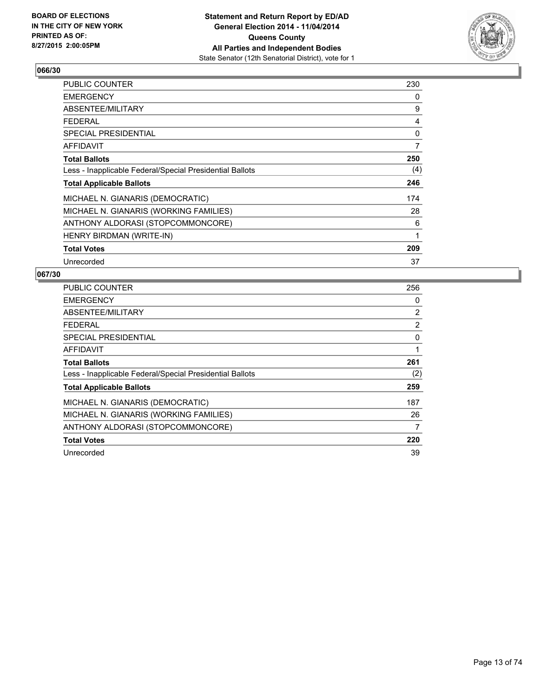

| PUBLIC COUNTER                                           | 230            |
|----------------------------------------------------------|----------------|
| <b>EMERGENCY</b>                                         | 0              |
| ABSENTEE/MILITARY                                        | 9              |
| <b>FEDERAL</b>                                           | 4              |
| <b>SPECIAL PRESIDENTIAL</b>                              | 0              |
| <b>AFFIDAVIT</b>                                         | $\overline{7}$ |
| <b>Total Ballots</b>                                     | 250            |
| Less - Inapplicable Federal/Special Presidential Ballots | (4)            |
| <b>Total Applicable Ballots</b>                          | 246            |
| MICHAEL N. GIANARIS (DEMOCRATIC)                         | 174            |
| MICHAEL N. GIANARIS (WORKING FAMILIES)                   | 28             |
| ANTHONY ALDORASI (STOPCOMMONCORE)                        | 6              |
| HENRY BIRDMAN (WRITE-IN)                                 | 1              |
| <b>Total Votes</b>                                       | 209            |
| Unrecorded                                               | 37             |

| <b>PUBLIC COUNTER</b>                                    | 256 |
|----------------------------------------------------------|-----|
| <b>EMERGENCY</b>                                         | 0   |
| ABSENTEE/MILITARY                                        | 2   |
| <b>FEDERAL</b>                                           | 2   |
| SPECIAL PRESIDENTIAL                                     | 0   |
| AFFIDAVIT                                                | 1   |
| <b>Total Ballots</b>                                     | 261 |
| Less - Inapplicable Federal/Special Presidential Ballots | (2) |
| <b>Total Applicable Ballots</b>                          | 259 |
| MICHAEL N. GIANARIS (DEMOCRATIC)                         | 187 |
| MICHAEL N. GIANARIS (WORKING FAMILIES)                   | 26  |
| ANTHONY ALDORASI (STOPCOMMONCORE)                        | 7   |
| <b>Total Votes</b>                                       | 220 |
| Unrecorded                                               | 39  |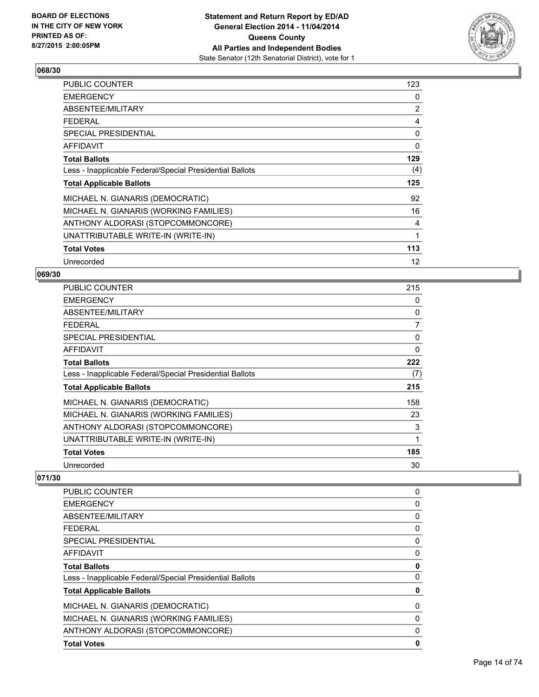

| <b>PUBLIC COUNTER</b>                                    | 123 |
|----------------------------------------------------------|-----|
| <b>EMERGENCY</b>                                         | 0   |
| ABSENTEE/MILITARY                                        | 2   |
| <b>FEDERAL</b>                                           | 4   |
| <b>SPECIAL PRESIDENTIAL</b>                              | 0   |
| <b>AFFIDAVIT</b>                                         | 0   |
| <b>Total Ballots</b>                                     | 129 |
| Less - Inapplicable Federal/Special Presidential Ballots | (4) |
| <b>Total Applicable Ballots</b>                          | 125 |
| MICHAEL N. GIANARIS (DEMOCRATIC)                         | 92  |
| MICHAEL N. GIANARIS (WORKING FAMILIES)                   | 16  |
| ANTHONY ALDORASI (STOPCOMMONCORE)                        | 4   |
| UNATTRIBUTABLE WRITE-IN (WRITE-IN)                       | 1   |
| <b>Total Votes</b>                                       | 113 |
| Unrecorded                                               | 12  |

#### **069/30**

| <b>PUBLIC COUNTER</b>                                    | 215 |
|----------------------------------------------------------|-----|
| <b>EMERGENCY</b>                                         | 0   |
| ABSENTEE/MILITARY                                        | 0   |
| <b>FEDERAL</b>                                           | 7   |
| <b>SPECIAL PRESIDENTIAL</b>                              | 0   |
| <b>AFFIDAVIT</b>                                         | 0   |
| <b>Total Ballots</b>                                     | 222 |
| Less - Inapplicable Federal/Special Presidential Ballots | (7) |
| <b>Total Applicable Ballots</b>                          | 215 |
| MICHAEL N. GIANARIS (DEMOCRATIC)                         | 158 |
| MICHAEL N. GIANARIS (WORKING FAMILIES)                   | 23  |
| ANTHONY ALDORASI (STOPCOMMONCORE)                        | 3   |
| UNATTRIBUTABLE WRITE-IN (WRITE-IN)                       | 1   |
| <b>Total Votes</b>                                       | 185 |
| Unrecorded                                               | 30  |

| PUBLIC COUNTER                                           | 0            |
|----------------------------------------------------------|--------------|
| <b>EMERGENCY</b>                                         | 0            |
| ABSENTEE/MILITARY                                        | 0            |
| <b>FEDERAL</b>                                           | 0            |
| SPECIAL PRESIDENTIAL                                     | 0            |
| AFFIDAVIT                                                | 0            |
| <b>Total Ballots</b>                                     | 0            |
| Less - Inapplicable Federal/Special Presidential Ballots | 0            |
| <b>Total Applicable Ballots</b>                          | 0            |
| MICHAEL N. GIANARIS (DEMOCRATIC)                         | 0            |
| MICHAEL N. GIANARIS (WORKING FAMILIES)                   | 0            |
| ANTHONY ALDORASI (STOPCOMMONCORE)                        | $\mathbf{0}$ |
| <b>Total Votes</b>                                       | 0            |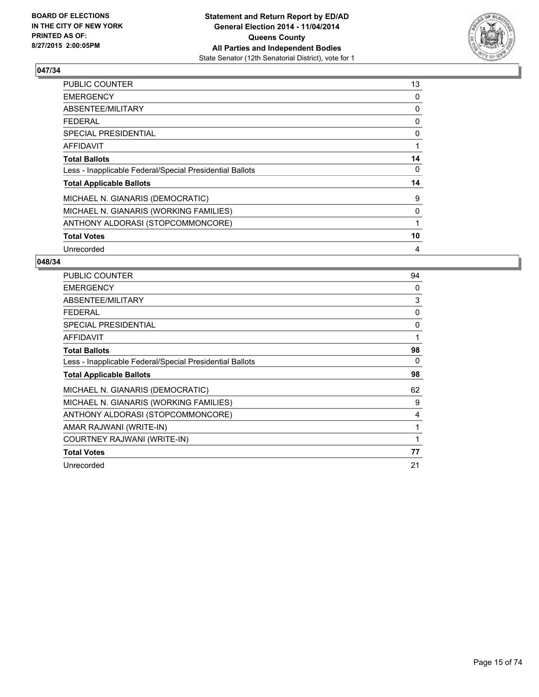

| <b>PUBLIC COUNTER</b>                                    | 13 |
|----------------------------------------------------------|----|
| <b>EMERGENCY</b>                                         | 0  |
| ABSENTEE/MILITARY                                        | 0  |
| <b>FEDERAL</b>                                           | 0  |
| SPECIAL PRESIDENTIAL                                     | 0  |
| <b>AFFIDAVIT</b>                                         | 1  |
| <b>Total Ballots</b>                                     | 14 |
| Less - Inapplicable Federal/Special Presidential Ballots | 0  |
| <b>Total Applicable Ballots</b>                          | 14 |
| MICHAEL N. GIANARIS (DEMOCRATIC)                         | 9  |
| MICHAEL N. GIANARIS (WORKING FAMILIES)                   | 0  |
| ANTHONY ALDORASI (STOPCOMMONCORE)                        |    |
| <b>Total Votes</b>                                       | 10 |
| Unrecorded                                               | 4  |

| <b>PUBLIC COUNTER</b>                                    | 94 |
|----------------------------------------------------------|----|
| <b>EMERGENCY</b>                                         | 0  |
| ABSENTEE/MILITARY                                        | 3  |
| <b>FEDERAL</b>                                           | 0  |
| <b>SPECIAL PRESIDENTIAL</b>                              | 0  |
| <b>AFFIDAVIT</b>                                         | 1  |
| <b>Total Ballots</b>                                     | 98 |
| Less - Inapplicable Federal/Special Presidential Ballots | 0  |
| <b>Total Applicable Ballots</b>                          | 98 |
| MICHAEL N. GIANARIS (DEMOCRATIC)                         | 62 |
| MICHAEL N. GIANARIS (WORKING FAMILIES)                   | 9  |
| ANTHONY ALDORASI (STOPCOMMONCORE)                        | 4  |
| AMAR RAJWANI (WRITE-IN)                                  |    |
|                                                          |    |
| COURTNEY RAJWANI (WRITE-IN)                              |    |
| <b>Total Votes</b>                                       | 77 |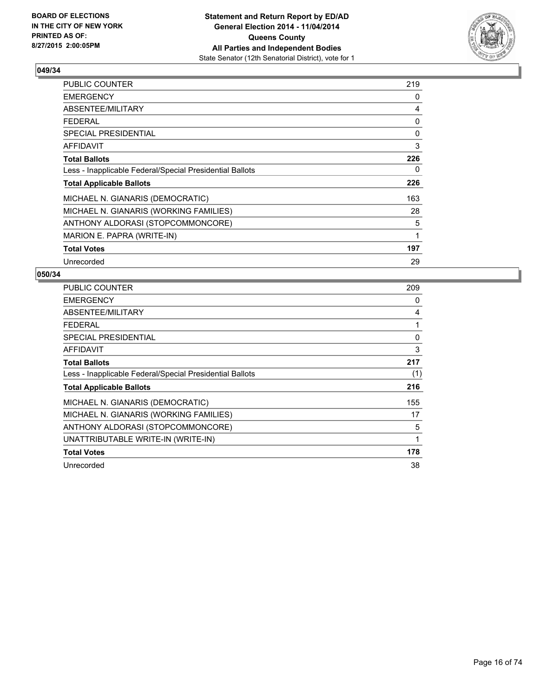

| PUBLIC COUNTER                                           | 219 |
|----------------------------------------------------------|-----|
| <b>EMERGENCY</b>                                         | 0   |
| ABSENTEE/MILITARY                                        | 4   |
| <b>FEDERAL</b>                                           | 0   |
| <b>SPECIAL PRESIDENTIAL</b>                              | 0   |
| <b>AFFIDAVIT</b>                                         | 3   |
| <b>Total Ballots</b>                                     | 226 |
| Less - Inapplicable Federal/Special Presidential Ballots | 0   |
| <b>Total Applicable Ballots</b>                          | 226 |
| MICHAEL N. GIANARIS (DEMOCRATIC)                         | 163 |
| MICHAEL N. GIANARIS (WORKING FAMILIES)                   | 28  |
| ANTHONY ALDORASI (STOPCOMMONCORE)                        | 5   |
| MARION E. PAPRA (WRITE-IN)                               | 1   |
| <b>Total Votes</b>                                       | 197 |
| Unrecorded                                               | 29  |

| <b>PUBLIC COUNTER</b>                                    | 209 |
|----------------------------------------------------------|-----|
| <b>EMERGENCY</b>                                         | 0   |
| ABSENTEE/MILITARY                                        | 4   |
| <b>FEDERAL</b>                                           | 1   |
| SPECIAL PRESIDENTIAL                                     | 0   |
| AFFIDAVIT                                                | 3   |
| <b>Total Ballots</b>                                     | 217 |
| Less - Inapplicable Federal/Special Presidential Ballots | (1) |
| <b>Total Applicable Ballots</b>                          | 216 |
| MICHAEL N. GIANARIS (DEMOCRATIC)                         | 155 |
| MICHAEL N. GIANARIS (WORKING FAMILIES)                   | 17  |
| ANTHONY ALDORASI (STOPCOMMONCORE)                        | 5   |
| UNATTRIBUTABLE WRITE-IN (WRITE-IN)                       | 1   |
| <b>Total Votes</b>                                       | 178 |
| Unrecorded                                               | 38  |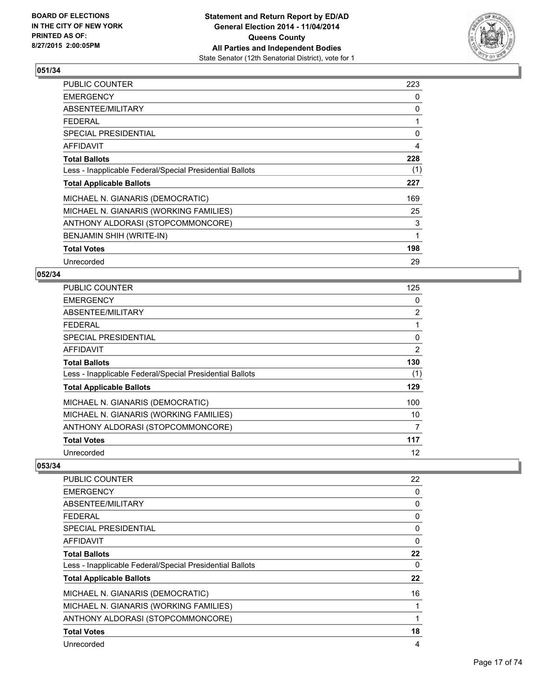

| <b>PUBLIC COUNTER</b>                                    | 223 |
|----------------------------------------------------------|-----|
| <b>EMERGENCY</b>                                         | 0   |
| ABSENTEE/MILITARY                                        | 0   |
| <b>FEDERAL</b>                                           | 1   |
| <b>SPECIAL PRESIDENTIAL</b>                              | 0   |
| <b>AFFIDAVIT</b>                                         | 4   |
| <b>Total Ballots</b>                                     | 228 |
| Less - Inapplicable Federal/Special Presidential Ballots | (1) |
| <b>Total Applicable Ballots</b>                          | 227 |
| MICHAEL N. GIANARIS (DEMOCRATIC)                         | 169 |
| MICHAEL N. GIANARIS (WORKING FAMILIES)                   | 25  |
| ANTHONY ALDORASI (STOPCOMMONCORE)                        | 3   |
| BENJAMIN SHIH (WRITE-IN)                                 | 1   |
| <b>Total Votes</b>                                       | 198 |
| Unrecorded                                               | 29  |

## **052/34**

| <b>PUBLIC COUNTER</b>                                    | 125            |
|----------------------------------------------------------|----------------|
| <b>EMERGENCY</b>                                         | 0              |
| ABSENTEE/MILITARY                                        | $\overline{2}$ |
| <b>FEDERAL</b>                                           | 1              |
| SPECIAL PRESIDENTIAL                                     | 0              |
| <b>AFFIDAVIT</b>                                         | 2              |
| <b>Total Ballots</b>                                     | 130            |
| Less - Inapplicable Federal/Special Presidential Ballots | (1)            |
| <b>Total Applicable Ballots</b>                          | 129            |
| MICHAEL N. GIANARIS (DEMOCRATIC)                         | 100            |
| MICHAEL N. GIANARIS (WORKING FAMILIES)                   | 10             |
| ANTHONY ALDORASI (STOPCOMMONCORE)                        | 7              |
| <b>Total Votes</b>                                       | 117            |
| Unrecorded                                               | 12             |

| PUBLIC COUNTER                                           | 22       |
|----------------------------------------------------------|----------|
| <b>EMERGENCY</b>                                         | 0        |
| ABSENTEE/MILITARY                                        | 0        |
| <b>FEDERAL</b>                                           | 0        |
| <b>SPECIAL PRESIDENTIAL</b>                              | $\Omega$ |
| AFFIDAVIT                                                | 0        |
| <b>Total Ballots</b>                                     | 22       |
| Less - Inapplicable Federal/Special Presidential Ballots | 0        |
| <b>Total Applicable Ballots</b>                          | 22       |
| MICHAEL N. GIANARIS (DEMOCRATIC)                         | 16       |
| MICHAEL N. GIANARIS (WORKING FAMILIES)                   |          |
| ANTHONY ALDORASI (STOPCOMMONCORE)                        |          |
| <b>Total Votes</b>                                       | 18       |
| Unrecorded                                               | 4        |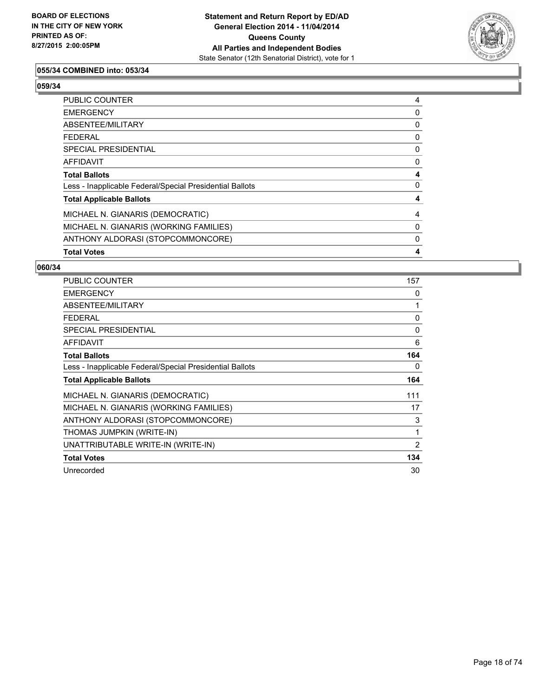

## **055/34 COMBINED into: 053/34**

**059/34** 

| <b>PUBLIC COUNTER</b>                                    | 4 |
|----------------------------------------------------------|---|
| <b>EMERGENCY</b>                                         | 0 |
| <b>ABSENTEE/MILITARY</b>                                 | 0 |
| FEDERAL                                                  | 0 |
| SPECIAL PRESIDENTIAL                                     | 0 |
| <b>AFFIDAVIT</b>                                         | 0 |
| <b>Total Ballots</b>                                     | 4 |
| Less - Inapplicable Federal/Special Presidential Ballots | 0 |
| <b>Total Applicable Ballots</b>                          | 4 |
| MICHAEL N. GIANARIS (DEMOCRATIC)                         | 4 |
| MICHAEL N. GIANARIS (WORKING FAMILIES)                   | 0 |
| ANTHONY ALDORASI (STOPCOMMONCORE)                        | 0 |
| <b>Total Votes</b>                                       | 4 |

| PUBLIC COUNTER                                           | 157 |
|----------------------------------------------------------|-----|
| <b>EMERGENCY</b>                                         | 0   |
| ABSENTEE/MILITARY                                        | 1   |
| FEDERAL                                                  | 0   |
| <b>SPECIAL PRESIDENTIAL</b>                              | 0   |
| AFFIDAVIT                                                | 6   |
| <b>Total Ballots</b>                                     | 164 |
| Less - Inapplicable Federal/Special Presidential Ballots | 0   |
| <b>Total Applicable Ballots</b>                          | 164 |
| MICHAEL N. GIANARIS (DEMOCRATIC)                         | 111 |
| MICHAEL N. GIANARIS (WORKING FAMILIES)                   | 17  |
| ANTHONY ALDORASI (STOPCOMMONCORE)                        | 3   |
| THOMAS JUMPKIN (WRITE-IN)                                | 1   |
| UNATTRIBUTABLE WRITE-IN (WRITE-IN)                       | 2   |
| <b>Total Votes</b>                                       | 134 |
| Unrecorded                                               | 30  |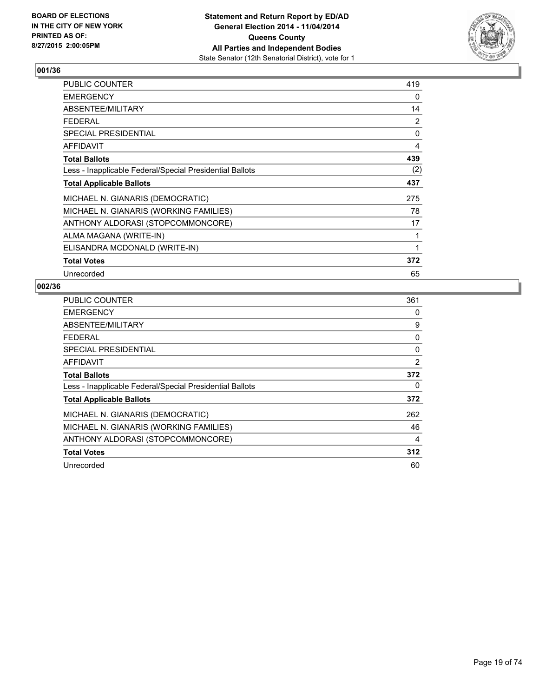

| <b>PUBLIC COUNTER</b>                                    | 419 |
|----------------------------------------------------------|-----|
| <b>EMERGENCY</b>                                         | 0   |
| ABSENTEE/MILITARY                                        | 14  |
| <b>FEDERAL</b>                                           | 2   |
| <b>SPECIAL PRESIDENTIAL</b>                              | 0   |
| AFFIDAVIT                                                | 4   |
| <b>Total Ballots</b>                                     | 439 |
| Less - Inapplicable Federal/Special Presidential Ballots | (2) |
| <b>Total Applicable Ballots</b>                          | 437 |
| MICHAEL N. GIANARIS (DEMOCRATIC)                         | 275 |
| MICHAEL N. GIANARIS (WORKING FAMILIES)                   | 78  |
| ANTHONY ALDORASI (STOPCOMMONCORE)                        | 17  |
| ALMA MAGANA (WRITE-IN)                                   | 1   |
| ELISANDRA MCDONALD (WRITE-IN)                            | 1   |
| <b>Total Votes</b>                                       | 372 |
| Unrecorded                                               | 65  |

| <b>PUBLIC COUNTER</b>                                    | 361 |
|----------------------------------------------------------|-----|
| <b>EMERGENCY</b>                                         | 0   |
| ABSENTEE/MILITARY                                        | 9   |
| <b>FEDERAL</b>                                           | 0   |
| SPECIAL PRESIDENTIAL                                     | 0   |
| AFFIDAVIT                                                | 2   |
| <b>Total Ballots</b>                                     | 372 |
| Less - Inapplicable Federal/Special Presidential Ballots | 0   |
| <b>Total Applicable Ballots</b>                          | 372 |
| MICHAEL N. GIANARIS (DEMOCRATIC)                         | 262 |
| MICHAEL N. GIANARIS (WORKING FAMILIES)                   | 46  |
| ANTHONY ALDORASI (STOPCOMMONCORE)                        | 4   |
| <b>Total Votes</b>                                       | 312 |
| Unrecorded                                               | 60  |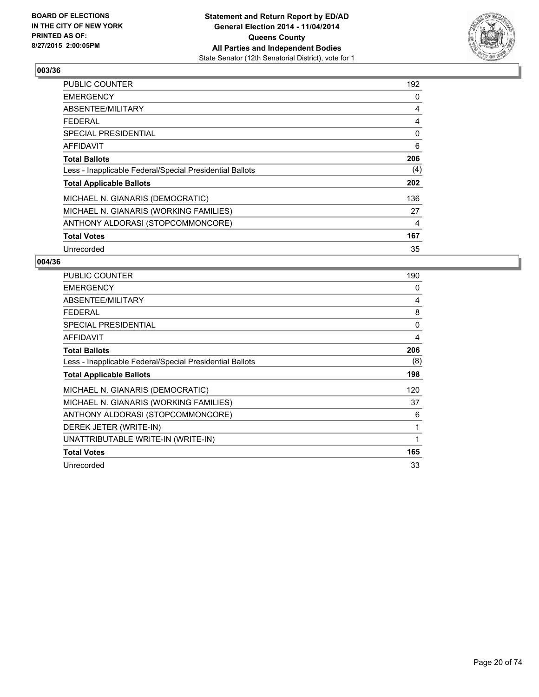

| <b>PUBLIC COUNTER</b>                                    | 192 |
|----------------------------------------------------------|-----|
| <b>EMERGENCY</b>                                         | 0   |
| ABSENTEE/MILITARY                                        | 4   |
| <b>FEDERAL</b>                                           | 4   |
| SPECIAL PRESIDENTIAL                                     | 0   |
| AFFIDAVIT                                                | 6   |
| <b>Total Ballots</b>                                     | 206 |
| Less - Inapplicable Federal/Special Presidential Ballots | (4) |
| <b>Total Applicable Ballots</b>                          | 202 |
| MICHAEL N. GIANARIS (DEMOCRATIC)                         | 136 |
| MICHAEL N. GIANARIS (WORKING FAMILIES)                   | 27  |
| ANTHONY ALDORASI (STOPCOMMONCORE)                        | 4   |
| <b>Total Votes</b>                                       | 167 |
| Unrecorded                                               | 35  |

| <b>PUBLIC COUNTER</b>                                    | 190      |
|----------------------------------------------------------|----------|
| <b>EMERGENCY</b>                                         | 0        |
| ABSENTEE/MILITARY                                        | 4        |
| <b>FEDERAL</b>                                           | 8        |
| <b>SPECIAL PRESIDENTIAL</b>                              | $\Omega$ |
| <b>AFFIDAVIT</b>                                         | 4        |
| <b>Total Ballots</b>                                     | 206      |
| Less - Inapplicable Federal/Special Presidential Ballots | (8)      |
| <b>Total Applicable Ballots</b>                          | 198      |
| MICHAEL N. GIANARIS (DEMOCRATIC)                         | 120      |
| MICHAEL N. GIANARIS (WORKING FAMILIES)                   | 37       |
| ANTHONY ALDORASI (STOPCOMMONCORE)                        | 6        |
| DEREK JETER (WRITE-IN)                                   | 1        |
| UNATTRIBUTABLE WRITE-IN (WRITE-IN)                       | 1        |
| <b>Total Votes</b>                                       | 165      |
| Unrecorded                                               | 33       |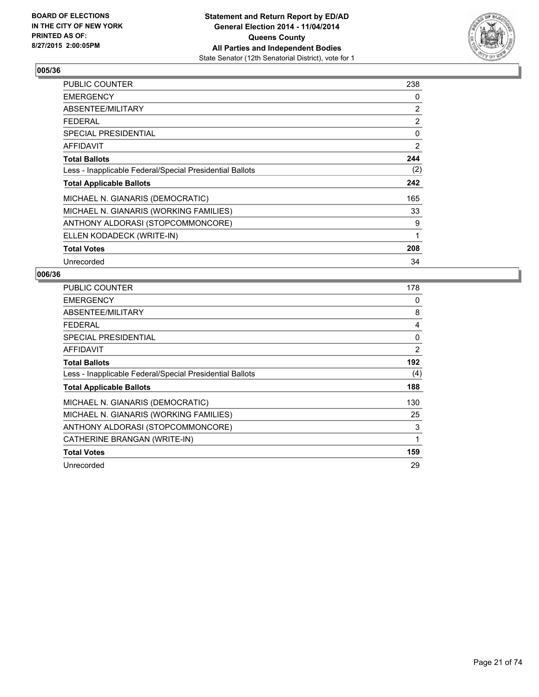

| <b>PUBLIC COUNTER</b>                                    | 238 |
|----------------------------------------------------------|-----|
| <b>EMERGENCY</b>                                         | 0   |
| ABSENTEE/MILITARY                                        | 2   |
| <b>FEDERAL</b>                                           | 2   |
| <b>SPECIAL PRESIDENTIAL</b>                              | 0   |
| <b>AFFIDAVIT</b>                                         | 2   |
| <b>Total Ballots</b>                                     | 244 |
| Less - Inapplicable Federal/Special Presidential Ballots | (2) |
| <b>Total Applicable Ballots</b>                          | 242 |
| MICHAEL N. GIANARIS (DEMOCRATIC)                         | 165 |
| MICHAEL N. GIANARIS (WORKING FAMILIES)                   | 33  |
| ANTHONY ALDORASI (STOPCOMMONCORE)                        | 9   |
| ELLEN KODADECK (WRITE-IN)                                | 1   |
| <b>Total Votes</b>                                       | 208 |
| Unrecorded                                               | 34  |

| <b>PUBLIC COUNTER</b>                                    | 178 |
|----------------------------------------------------------|-----|
| <b>EMERGENCY</b>                                         | 0   |
| ABSENTEE/MILITARY                                        | 8   |
| <b>FEDERAL</b>                                           | 4   |
| SPECIAL PRESIDENTIAL                                     | 0   |
| <b>AFFIDAVIT</b>                                         | 2   |
| <b>Total Ballots</b>                                     | 192 |
| Less - Inapplicable Federal/Special Presidential Ballots | (4) |
| <b>Total Applicable Ballots</b>                          | 188 |
| MICHAEL N. GIANARIS (DEMOCRATIC)                         | 130 |
| MICHAEL N. GIANARIS (WORKING FAMILIES)                   | 25  |
| ANTHONY ALDORASI (STOPCOMMONCORE)                        | 3   |
| CATHERINE BRANGAN (WRITE-IN)                             | 1   |
| <b>Total Votes</b>                                       | 159 |
| Unrecorded                                               | 29  |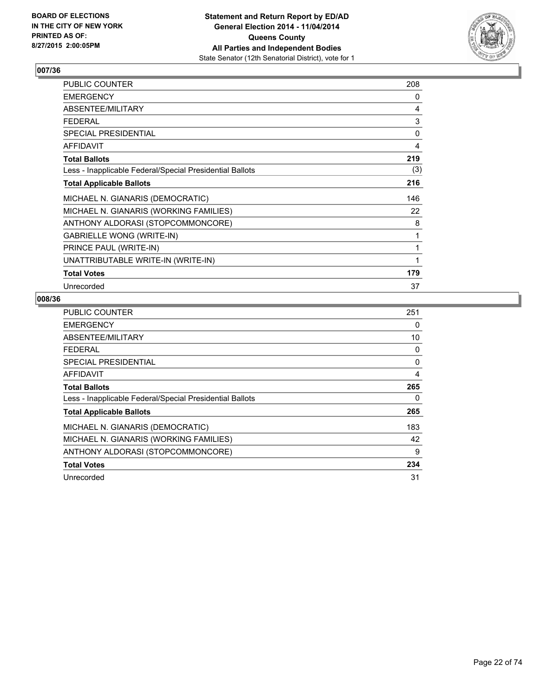

| PUBLIC COUNTER                                           | 208 |
|----------------------------------------------------------|-----|
| <b>EMERGENCY</b>                                         | 0   |
| ABSENTEE/MILITARY                                        | 4   |
| <b>FEDERAL</b>                                           | 3   |
| SPECIAL PRESIDENTIAL                                     | 0   |
| <b>AFFIDAVIT</b>                                         | 4   |
| <b>Total Ballots</b>                                     | 219 |
| Less - Inapplicable Federal/Special Presidential Ballots | (3) |
| <b>Total Applicable Ballots</b>                          | 216 |
| MICHAEL N. GIANARIS (DEMOCRATIC)                         | 146 |
| MICHAEL N. GIANARIS (WORKING FAMILIES)                   | 22  |
| ANTHONY ALDORASI (STOPCOMMONCORE)                        | 8   |
| <b>GABRIELLE WONG (WRITE-IN)</b>                         | 1   |
| PRINCE PAUL (WRITE-IN)                                   | 1   |
| UNATTRIBUTABLE WRITE-IN (WRITE-IN)                       | 1   |
| <b>Total Votes</b>                                       | 179 |
| Unrecorded                                               | 37  |

| PUBLIC COUNTER                                           | 251 |
|----------------------------------------------------------|-----|
| <b>EMERGENCY</b>                                         | 0   |
| ABSENTEE/MILITARY                                        | 10  |
| <b>FEDERAL</b>                                           | 0   |
| <b>SPECIAL PRESIDENTIAL</b>                              | 0   |
| AFFIDAVIT                                                | 4   |
| <b>Total Ballots</b>                                     | 265 |
| Less - Inapplicable Federal/Special Presidential Ballots | 0   |
| <b>Total Applicable Ballots</b>                          | 265 |
| MICHAEL N. GIANARIS (DEMOCRATIC)                         | 183 |
| MICHAEL N. GIANARIS (WORKING FAMILIES)                   | 42  |
| ANTHONY ALDORASI (STOPCOMMONCORE)                        | 9   |
| <b>Total Votes</b>                                       | 234 |
| Unrecorded                                               | 31  |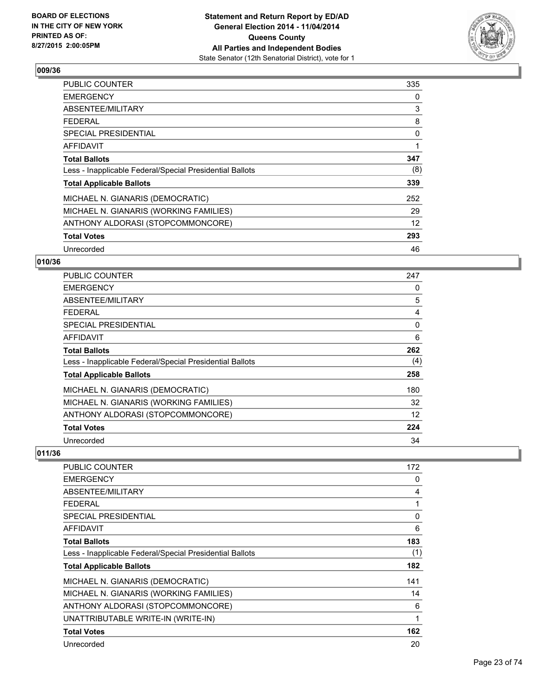

| <b>PUBLIC COUNTER</b>                                    | 335 |
|----------------------------------------------------------|-----|
| <b>EMERGENCY</b>                                         | 0   |
| ABSENTEE/MILITARY                                        | 3   |
| <b>FEDERAL</b>                                           | 8   |
| SPECIAL PRESIDENTIAL                                     | 0   |
| <b>AFFIDAVIT</b>                                         |     |
| <b>Total Ballots</b>                                     | 347 |
| Less - Inapplicable Federal/Special Presidential Ballots | (8) |
| <b>Total Applicable Ballots</b>                          | 339 |
| MICHAEL N. GIANARIS (DEMOCRATIC)                         | 252 |
| MICHAEL N. GIANARIS (WORKING FAMILIES)                   | 29  |
| ANTHONY ALDORASI (STOPCOMMONCORE)                        | 12  |
| <b>Total Votes</b>                                       | 293 |
| Unrecorded                                               | 46  |

## **010/36**

| <b>PUBLIC COUNTER</b>                                    | 247 |
|----------------------------------------------------------|-----|
| <b>EMERGENCY</b>                                         | 0   |
| ABSENTEE/MILITARY                                        | 5   |
| <b>FEDERAL</b>                                           | 4   |
| <b>SPECIAL PRESIDENTIAL</b>                              | 0   |
| AFFIDAVIT                                                | 6   |
| <b>Total Ballots</b>                                     | 262 |
| Less - Inapplicable Federal/Special Presidential Ballots | (4) |
| <b>Total Applicable Ballots</b>                          | 258 |
| MICHAEL N. GIANARIS (DEMOCRATIC)                         | 180 |
| MICHAEL N. GIANARIS (WORKING FAMILIES)                   | 32  |
| ANTHONY ALDORASI (STOPCOMMONCORE)                        | 12  |
| <b>Total Votes</b>                                       | 224 |
| Unrecorded                                               | 34  |

| <b>PUBLIC COUNTER</b>                                    | 172          |
|----------------------------------------------------------|--------------|
| <b>EMERGENCY</b>                                         | 0            |
| ABSENTEE/MILITARY                                        | 4            |
| <b>FEDERAL</b>                                           | 1            |
| <b>SPECIAL PRESIDENTIAL</b>                              | $\mathbf{0}$ |
| AFFIDAVIT                                                | 6            |
| <b>Total Ballots</b>                                     | 183          |
| Less - Inapplicable Federal/Special Presidential Ballots | (1)          |
| <b>Total Applicable Ballots</b>                          | 182          |
| MICHAEL N. GIANARIS (DEMOCRATIC)                         | 141          |
| MICHAEL N. GIANARIS (WORKING FAMILIES)                   | 14           |
| ANTHONY ALDORASI (STOPCOMMONCORE)                        | 6            |
| UNATTRIBUTABLE WRITE-IN (WRITE-IN)                       | 1            |
| <b>Total Votes</b>                                       | 162          |
| Unrecorded                                               | 20           |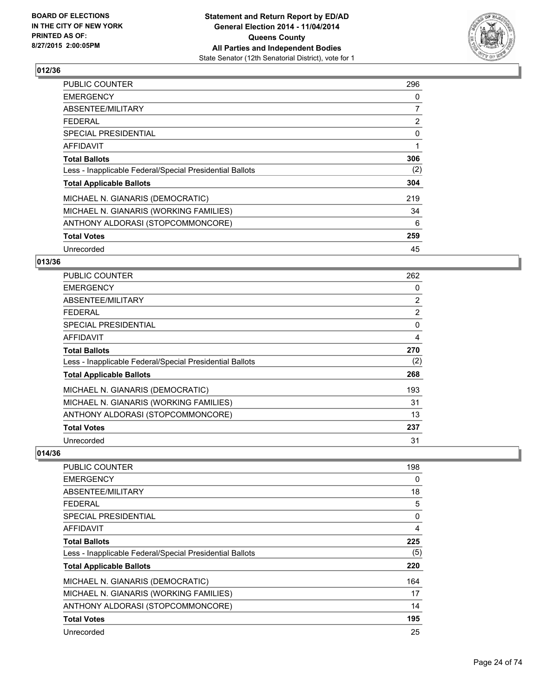

| <b>PUBLIC COUNTER</b>                                    | 296            |
|----------------------------------------------------------|----------------|
| <b>EMERGENCY</b>                                         | 0              |
| ABSENTEE/MILITARY                                        | 7              |
| <b>FEDERAL</b>                                           | $\overline{2}$ |
| <b>SPECIAL PRESIDENTIAL</b>                              | 0              |
| AFFIDAVIT                                                | 1              |
| <b>Total Ballots</b>                                     | 306            |
| Less - Inapplicable Federal/Special Presidential Ballots | (2)            |
| <b>Total Applicable Ballots</b>                          | 304            |
| MICHAEL N. GIANARIS (DEMOCRATIC)                         | 219            |
| MICHAEL N. GIANARIS (WORKING FAMILIES)                   | 34             |
| ANTHONY ALDORASI (STOPCOMMONCORE)                        | 6              |
| <b>Total Votes</b>                                       | 259            |
| Unrecorded                                               | 45             |

#### **013/36**

| <b>PUBLIC COUNTER</b>                                    | 262            |
|----------------------------------------------------------|----------------|
| <b>EMERGENCY</b>                                         | 0              |
| ABSENTEE/MILITARY                                        | $\overline{2}$ |
| <b>FEDERAL</b>                                           | $\overline{2}$ |
| <b>SPECIAL PRESIDENTIAL</b>                              | 0              |
| AFFIDAVIT                                                | 4              |
| <b>Total Ballots</b>                                     | 270            |
| Less - Inapplicable Federal/Special Presidential Ballots | (2)            |
| <b>Total Applicable Ballots</b>                          | 268            |
| MICHAEL N. GIANARIS (DEMOCRATIC)                         | 193            |
| MICHAEL N. GIANARIS (WORKING FAMILIES)                   | 31             |
| ANTHONY ALDORASI (STOPCOMMONCORE)                        | 13             |
| <b>Total Votes</b>                                       | 237            |
| Unrecorded                                               | 31             |

| <b>PUBLIC COUNTER</b>                                    | 198      |
|----------------------------------------------------------|----------|
| <b>EMERGENCY</b>                                         | 0        |
| ABSENTEE/MILITARY                                        | 18       |
| <b>FEDERAL</b>                                           | 5        |
| SPECIAL PRESIDENTIAL                                     | $\Omega$ |
| <b>AFFIDAVIT</b>                                         | 4        |
| <b>Total Ballots</b>                                     | 225      |
| Less - Inapplicable Federal/Special Presidential Ballots | (5)      |
| <b>Total Applicable Ballots</b>                          | 220      |
| MICHAEL N. GIANARIS (DEMOCRATIC)                         | 164      |
| MICHAEL N. GIANARIS (WORKING FAMILIES)                   | 17       |
| ANTHONY ALDORASI (STOPCOMMONCORE)                        | 14       |
| <b>Total Votes</b>                                       | 195      |
| Unrecorded                                               | 25       |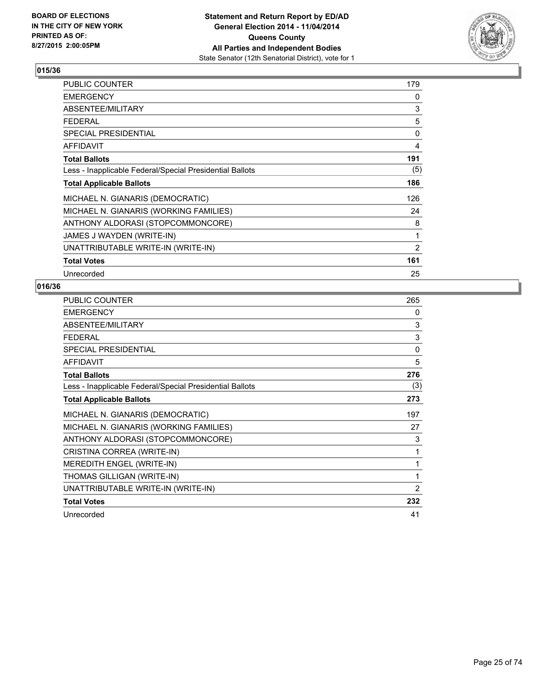

| <b>PUBLIC COUNTER</b>                                    | 179 |
|----------------------------------------------------------|-----|
| <b>EMERGENCY</b>                                         | 0   |
| ABSENTEE/MILITARY                                        | 3   |
| <b>FEDERAL</b>                                           | 5   |
| SPECIAL PRESIDENTIAL                                     | 0   |
| AFFIDAVIT                                                | 4   |
| <b>Total Ballots</b>                                     | 191 |
| Less - Inapplicable Federal/Special Presidential Ballots | (5) |
| <b>Total Applicable Ballots</b>                          | 186 |
| MICHAEL N. GIANARIS (DEMOCRATIC)                         | 126 |
| MICHAEL N. GIANARIS (WORKING FAMILIES)                   | 24  |
| ANTHONY ALDORASI (STOPCOMMONCORE)                        | 8   |
| JAMES J WAYDEN (WRITE-IN)                                | 1   |
| UNATTRIBUTABLE WRITE-IN (WRITE-IN)                       | 2   |
| <b>Total Votes</b>                                       | 161 |
| Unrecorded                                               | 25  |

| <b>PUBLIC COUNTER</b>                                    | 265          |
|----------------------------------------------------------|--------------|
| <b>EMERGENCY</b>                                         | 0            |
| ABSENTEE/MILITARY                                        | 3            |
| <b>FEDERAL</b>                                           | 3            |
| SPECIAL PRESIDENTIAL                                     | $\mathbf{0}$ |
| <b>AFFIDAVIT</b>                                         | 5            |
| <b>Total Ballots</b>                                     | 276          |
| Less - Inapplicable Federal/Special Presidential Ballots | (3)          |
| <b>Total Applicable Ballots</b>                          | 273          |
| MICHAEL N. GIANARIS (DEMOCRATIC)                         | 197          |
| MICHAEL N. GIANARIS (WORKING FAMILIES)                   | 27           |
| ANTHONY ALDORASI (STOPCOMMONCORE)                        | 3            |
| CRISTINA CORREA (WRITE-IN)                               | 1            |
| MEREDITH ENGEL (WRITE-IN)                                | 1            |
| THOMAS GILLIGAN (WRITE-IN)                               | 1            |
| UNATTRIBUTABLE WRITE-IN (WRITE-IN)                       | 2            |
| <b>Total Votes</b>                                       | 232          |
| Unrecorded                                               | 41           |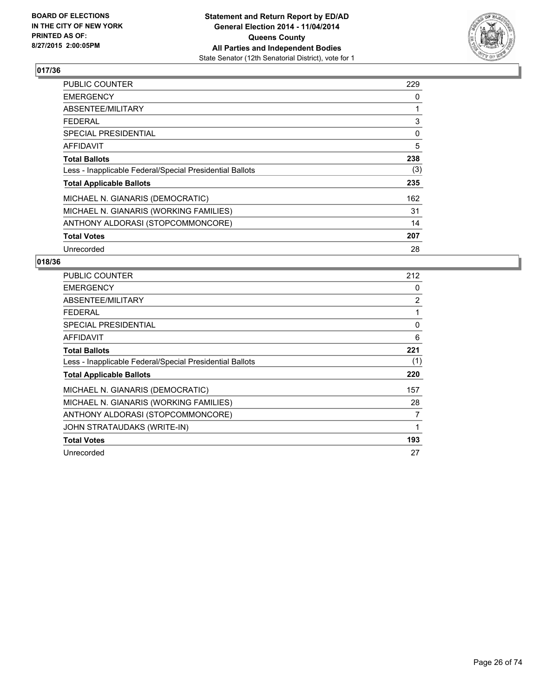

| <b>PUBLIC COUNTER</b>                                    | 229 |
|----------------------------------------------------------|-----|
| <b>EMERGENCY</b>                                         | 0   |
| ABSENTEE/MILITARY                                        |     |
| <b>FEDERAL</b>                                           | 3   |
| <b>SPECIAL PRESIDENTIAL</b>                              | 0   |
| <b>AFFIDAVIT</b>                                         | 5   |
| <b>Total Ballots</b>                                     | 238 |
| Less - Inapplicable Federal/Special Presidential Ballots | (3) |
| <b>Total Applicable Ballots</b>                          | 235 |
| MICHAEL N. GIANARIS (DEMOCRATIC)                         | 162 |
| MICHAEL N. GIANARIS (WORKING FAMILIES)                   | 31  |
| ANTHONY ALDORASI (STOPCOMMONCORE)                        | 14  |
| <b>Total Votes</b>                                       | 207 |
| Unrecorded                                               | 28  |

| <b>PUBLIC COUNTER</b>                                    | 212            |
|----------------------------------------------------------|----------------|
| <b>EMERGENCY</b>                                         | 0              |
| ABSENTEE/MILITARY                                        | $\overline{2}$ |
| <b>FEDERAL</b>                                           | 1              |
| SPECIAL PRESIDENTIAL                                     | 0              |
| <b>AFFIDAVIT</b>                                         | 6              |
| <b>Total Ballots</b>                                     | 221            |
| Less - Inapplicable Federal/Special Presidential Ballots | (1)            |
| <b>Total Applicable Ballots</b>                          | 220            |
| MICHAEL N. GIANARIS (DEMOCRATIC)                         | 157            |
| MICHAEL N. GIANARIS (WORKING FAMILIES)                   | 28             |
| ANTHONY ALDORASI (STOPCOMMONCORE)                        | 7              |
| JOHN STRATAUDAKS (WRITE-IN)                              | 1              |
| <b>Total Votes</b>                                       | 193            |
| Unrecorded                                               | 27             |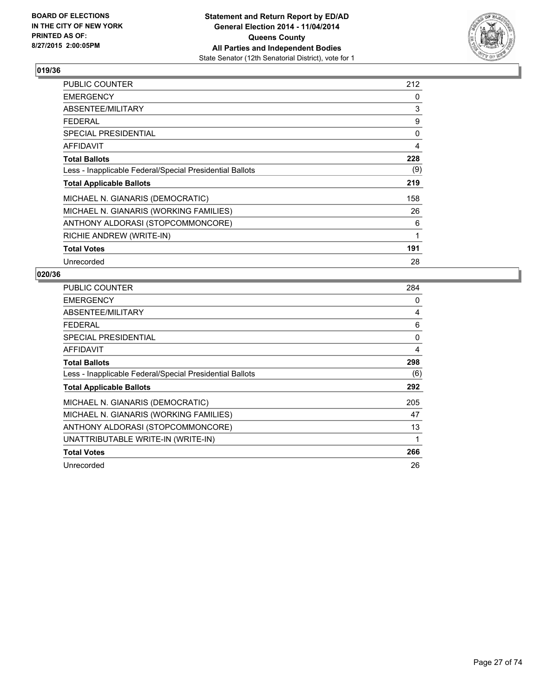

| PUBLIC COUNTER                                           | 212 |
|----------------------------------------------------------|-----|
| <b>EMERGENCY</b>                                         | 0   |
| ABSENTEE/MILITARY                                        | 3   |
| <b>FEDERAL</b>                                           | 9   |
| <b>SPECIAL PRESIDENTIAL</b>                              | 0   |
| <b>AFFIDAVIT</b>                                         | 4   |
| <b>Total Ballots</b>                                     | 228 |
| Less - Inapplicable Federal/Special Presidential Ballots | (9) |
| <b>Total Applicable Ballots</b>                          | 219 |
| MICHAEL N. GIANARIS (DEMOCRATIC)                         | 158 |
| MICHAEL N. GIANARIS (WORKING FAMILIES)                   | 26  |
| ANTHONY ALDORASI (STOPCOMMONCORE)                        | 6   |
| RICHIE ANDREW (WRITE-IN)                                 | 1   |
| <b>Total Votes</b>                                       | 191 |
| Unrecorded                                               | 28  |

| <b>PUBLIC COUNTER</b>                                    | 284 |
|----------------------------------------------------------|-----|
| <b>EMERGENCY</b>                                         | 0   |
| ABSENTEE/MILITARY                                        | 4   |
| <b>FEDERAL</b>                                           | 6   |
| SPECIAL PRESIDENTIAL                                     | 0   |
| AFFIDAVIT                                                | 4   |
| <b>Total Ballots</b>                                     | 298 |
| Less - Inapplicable Federal/Special Presidential Ballots | (6) |
| <b>Total Applicable Ballots</b>                          | 292 |
| MICHAEL N. GIANARIS (DEMOCRATIC)                         | 205 |
| MICHAEL N. GIANARIS (WORKING FAMILIES)                   | 47  |
| ANTHONY ALDORASI (STOPCOMMONCORE)                        | 13  |
| UNATTRIBUTABLE WRITE-IN (WRITE-IN)                       | 1   |
| <b>Total Votes</b>                                       | 266 |
| Unrecorded                                               | 26  |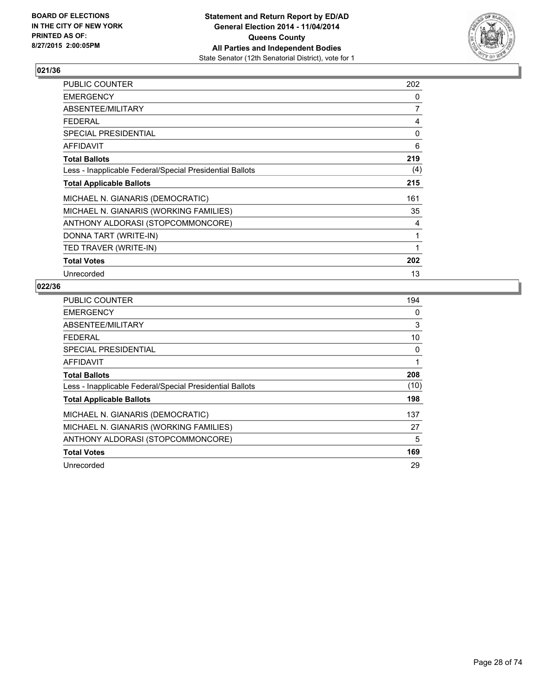

| <b>PUBLIC COUNTER</b>                                    | 202 |
|----------------------------------------------------------|-----|
| <b>EMERGENCY</b>                                         | 0   |
| ABSENTEE/MILITARY                                        | 7   |
| <b>FEDERAL</b>                                           | 4   |
| <b>SPECIAL PRESIDENTIAL</b>                              | 0   |
| <b>AFFIDAVIT</b>                                         | 6   |
| <b>Total Ballots</b>                                     | 219 |
| Less - Inapplicable Federal/Special Presidential Ballots | (4) |
| <b>Total Applicable Ballots</b>                          | 215 |
| MICHAEL N. GIANARIS (DEMOCRATIC)                         | 161 |
| MICHAEL N. GIANARIS (WORKING FAMILIES)                   | 35  |
| ANTHONY ALDORASI (STOPCOMMONCORE)                        | 4   |
| DONNA TART (WRITE-IN)                                    | 1   |
| TED TRAVER (WRITE-IN)                                    | 1   |
| <b>Total Votes</b>                                       | 202 |
| Unrecorded                                               | 13  |

| <b>PUBLIC COUNTER</b>                                    | 194  |
|----------------------------------------------------------|------|
| <b>EMERGENCY</b>                                         | 0    |
| ABSENTEE/MILITARY                                        | 3    |
| <b>FEDERAL</b>                                           | 10   |
| <b>SPECIAL PRESIDENTIAL</b>                              | 0    |
| AFFIDAVIT                                                | 1    |
| <b>Total Ballots</b>                                     | 208  |
| Less - Inapplicable Federal/Special Presidential Ballots | (10) |
| <b>Total Applicable Ballots</b>                          | 198  |
| MICHAEL N. GIANARIS (DEMOCRATIC)                         | 137  |
| MICHAEL N. GIANARIS (WORKING FAMILIES)                   | 27   |
| ANTHONY ALDORASI (STOPCOMMONCORE)                        | 5    |
| <b>Total Votes</b>                                       | 169  |
| Unrecorded                                               | 29   |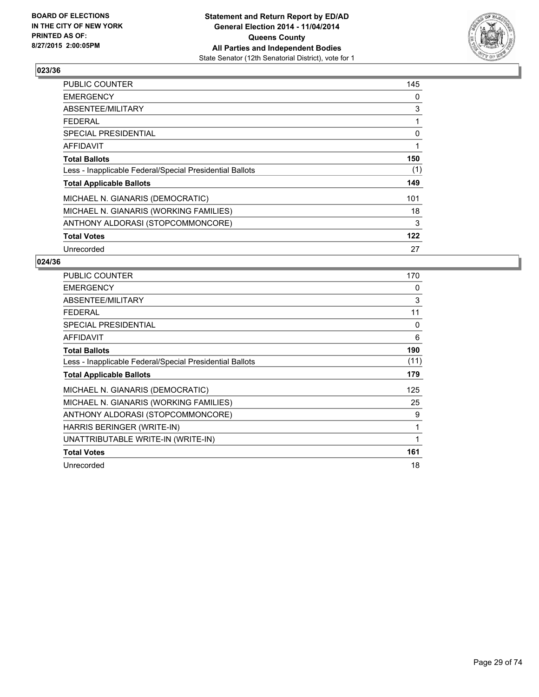

| <b>PUBLIC COUNTER</b>                                    | 145 |
|----------------------------------------------------------|-----|
| <b>EMERGENCY</b>                                         | 0   |
| ABSENTEE/MILITARY                                        | 3   |
| <b>FEDERAL</b>                                           | 1   |
| <b>SPECIAL PRESIDENTIAL</b>                              | 0   |
| AFFIDAVIT                                                | 1   |
| <b>Total Ballots</b>                                     | 150 |
| Less - Inapplicable Federal/Special Presidential Ballots | (1) |
| <b>Total Applicable Ballots</b>                          | 149 |
| MICHAEL N. GIANARIS (DEMOCRATIC)                         | 101 |
| MICHAEL N. GIANARIS (WORKING FAMILIES)                   | 18  |
| ANTHONY ALDORASI (STOPCOMMONCORE)                        | 3   |
| <b>Total Votes</b>                                       | 122 |
| Unrecorded                                               | 27  |

| <b>PUBLIC COUNTER</b>                                    | 170  |
|----------------------------------------------------------|------|
| <b>EMERGENCY</b>                                         | 0    |
| ABSENTEE/MILITARY                                        | 3    |
| <b>FEDERAL</b>                                           | 11   |
| <b>SPECIAL PRESIDENTIAL</b>                              | 0    |
| <b>AFFIDAVIT</b>                                         | 6    |
| <b>Total Ballots</b>                                     | 190  |
| Less - Inapplicable Federal/Special Presidential Ballots | (11) |
| <b>Total Applicable Ballots</b>                          | 179  |
| MICHAEL N. GIANARIS (DEMOCRATIC)                         | 125  |
| MICHAEL N. GIANARIS (WORKING FAMILIES)                   | 25   |
| ANTHONY ALDORASI (STOPCOMMONCORE)                        | 9    |
| HARRIS BERINGER (WRITE-IN)                               | 1    |
| UNATTRIBUTABLE WRITE-IN (WRITE-IN)                       | 1    |
| <b>Total Votes</b>                                       | 161  |
| Unrecorded                                               | 18   |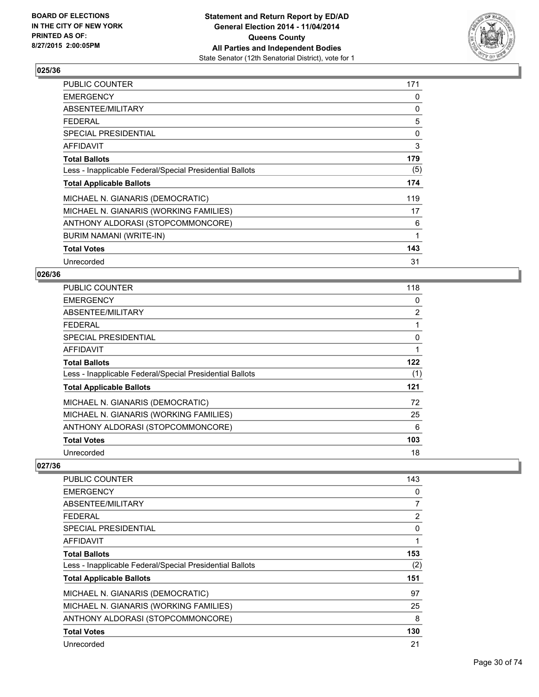

| PUBLIC COUNTER                                           | 171 |
|----------------------------------------------------------|-----|
| <b>EMERGENCY</b>                                         | 0   |
| ABSENTEE/MILITARY                                        | 0   |
| <b>FEDERAL</b>                                           | 5   |
| <b>SPECIAL PRESIDENTIAL</b>                              | 0   |
| <b>AFFIDAVIT</b>                                         | 3   |
| <b>Total Ballots</b>                                     | 179 |
| Less - Inapplicable Federal/Special Presidential Ballots | (5) |
| <b>Total Applicable Ballots</b>                          | 174 |
| MICHAEL N. GIANARIS (DEMOCRATIC)                         | 119 |
| MICHAEL N. GIANARIS (WORKING FAMILIES)                   | 17  |
| ANTHONY ALDORASI (STOPCOMMONCORE)                        | 6   |
| BURIM NAMANI (WRITE-IN)                                  | 1   |
| <b>Total Votes</b>                                       | 143 |
| Unrecorded                                               | 31  |

#### **026/36**

| <b>PUBLIC COUNTER</b>                                    | 118            |
|----------------------------------------------------------|----------------|
| <b>EMERGENCY</b>                                         | 0              |
| ABSENTEE/MILITARY                                        | $\overline{2}$ |
| <b>FEDERAL</b>                                           |                |
| <b>SPECIAL PRESIDENTIAL</b>                              | 0              |
| AFFIDAVIT                                                | 1              |
| <b>Total Ballots</b>                                     | 122            |
| Less - Inapplicable Federal/Special Presidential Ballots | (1)            |
| <b>Total Applicable Ballots</b>                          | 121            |
| MICHAEL N. GIANARIS (DEMOCRATIC)                         | 72             |
| MICHAEL N. GIANARIS (WORKING FAMILIES)                   | 25             |
| ANTHONY ALDORASI (STOPCOMMONCORE)                        | 6              |
| <b>Total Votes</b>                                       | 103            |
| Unrecorded                                               | 18             |

| <b>PUBLIC COUNTER</b>                                    | 143 |
|----------------------------------------------------------|-----|
| <b>EMERGENCY</b>                                         | 0   |
| ABSENTEE/MILITARY                                        | 7   |
| <b>FEDERAL</b>                                           | 2   |
| <b>SPECIAL PRESIDENTIAL</b>                              | 0   |
| <b>AFFIDAVIT</b>                                         |     |
| <b>Total Ballots</b>                                     | 153 |
| Less - Inapplicable Federal/Special Presidential Ballots | (2) |
| <b>Total Applicable Ballots</b>                          | 151 |
| MICHAEL N. GIANARIS (DEMOCRATIC)                         | 97  |
| MICHAEL N. GIANARIS (WORKING FAMILIES)                   | 25  |
| ANTHONY ALDORASI (STOPCOMMONCORE)                        | 8   |
| <b>Total Votes</b>                                       | 130 |
| Unrecorded                                               | 21  |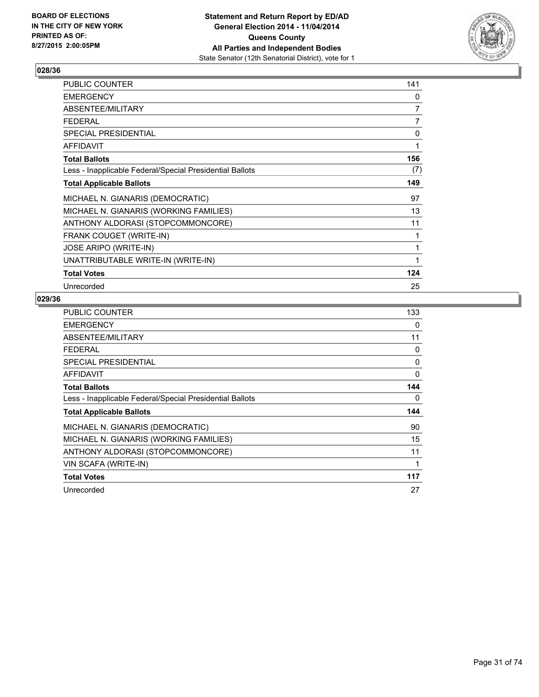

| PUBLIC COUNTER                                           | 141            |
|----------------------------------------------------------|----------------|
| <b>EMERGENCY</b>                                         | 0              |
| ABSENTEE/MILITARY                                        | $\overline{7}$ |
| <b>FEDERAL</b>                                           | $\overline{7}$ |
| <b>SPECIAL PRESIDENTIAL</b>                              | 0              |
| AFFIDAVIT                                                | 1              |
| <b>Total Ballots</b>                                     | 156            |
| Less - Inapplicable Federal/Special Presidential Ballots | (7)            |
| <b>Total Applicable Ballots</b>                          | 149            |
| MICHAEL N. GIANARIS (DEMOCRATIC)                         | 97             |
| MICHAEL N. GIANARIS (WORKING FAMILIES)                   | 13             |
| ANTHONY ALDORASI (STOPCOMMONCORE)                        | 11             |
| <b>FRANK COUGET (WRITE-IN)</b>                           | 1              |
| <b>JOSE ARIPO (WRITE-IN)</b>                             | 1              |
| UNATTRIBUTABLE WRITE-IN (WRITE-IN)                       | 1              |
| <b>Total Votes</b>                                       | 124            |
| Unrecorded                                               | 25             |

| <b>PUBLIC COUNTER</b>                                    | 133 |
|----------------------------------------------------------|-----|
| <b>EMERGENCY</b>                                         | 0   |
| ABSENTEE/MILITARY                                        | 11  |
| <b>FEDERAL</b>                                           | 0   |
| SPECIAL PRESIDENTIAL                                     | 0   |
| AFFIDAVIT                                                | 0   |
| <b>Total Ballots</b>                                     | 144 |
| Less - Inapplicable Federal/Special Presidential Ballots | 0   |
| <b>Total Applicable Ballots</b>                          | 144 |
| MICHAEL N. GIANARIS (DEMOCRATIC)                         | 90  |
| MICHAEL N. GIANARIS (WORKING FAMILIES)                   | 15  |
| ANTHONY ALDORASI (STOPCOMMONCORE)                        | 11  |
| VIN SCAFA (WRITE-IN)                                     | 1   |
| <b>Total Votes</b>                                       | 117 |
| Unrecorded                                               | 27  |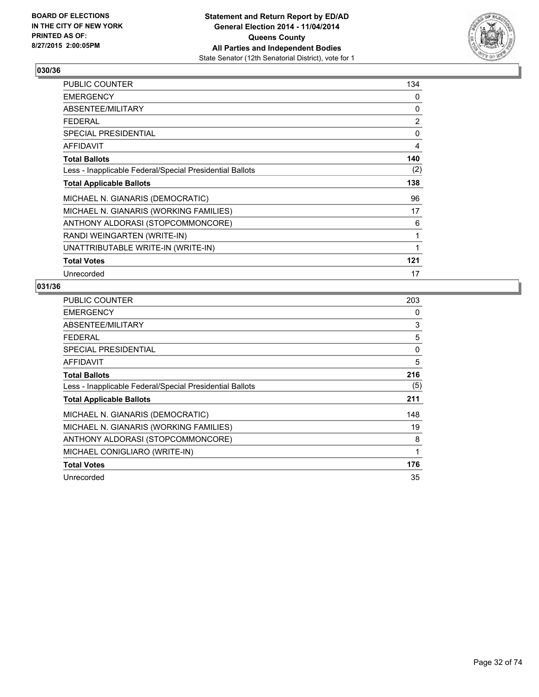

| <b>PUBLIC COUNTER</b>                                    | 134 |
|----------------------------------------------------------|-----|
| <b>EMERGENCY</b>                                         | 0   |
| ABSENTEE/MILITARY                                        | 0   |
| <b>FEDERAL</b>                                           | 2   |
| SPECIAL PRESIDENTIAL                                     | 0   |
| <b>AFFIDAVIT</b>                                         | 4   |
| <b>Total Ballots</b>                                     | 140 |
| Less - Inapplicable Federal/Special Presidential Ballots | (2) |
| <b>Total Applicable Ballots</b>                          | 138 |
| MICHAEL N. GIANARIS (DEMOCRATIC)                         | 96  |
| MICHAEL N. GIANARIS (WORKING FAMILIES)                   | 17  |
| ANTHONY ALDORASI (STOPCOMMONCORE)                        | 6   |
| RANDI WEINGARTEN (WRITE-IN)                              | 1   |
| UNATTRIBUTABLE WRITE-IN (WRITE-IN)                       | 1   |
| <b>Total Votes</b>                                       | 121 |
| Unrecorded                                               | 17  |

| <b>PUBLIC COUNTER</b>                                    | 203          |
|----------------------------------------------------------|--------------|
| <b>EMERGENCY</b>                                         | 0            |
| ABSENTEE/MILITARY                                        | 3            |
| <b>FEDERAL</b>                                           | 5            |
| <b>SPECIAL PRESIDENTIAL</b>                              | 0            |
| <b>AFFIDAVIT</b>                                         | 5            |
| <b>Total Ballots</b>                                     | 216          |
| Less - Inapplicable Federal/Special Presidential Ballots | (5)          |
| <b>Total Applicable Ballots</b>                          | 211          |
| MICHAEL N. GIANARIS (DEMOCRATIC)                         | 148          |
| MICHAEL N. GIANARIS (WORKING FAMILIES)                   | 19           |
| ANTHONY ALDORASI (STOPCOMMONCORE)                        | 8            |
| MICHAEL CONIGLIARO (WRITE-IN)                            | $\mathbf{1}$ |
| <b>Total Votes</b>                                       | 176          |
| Unrecorded                                               | 35           |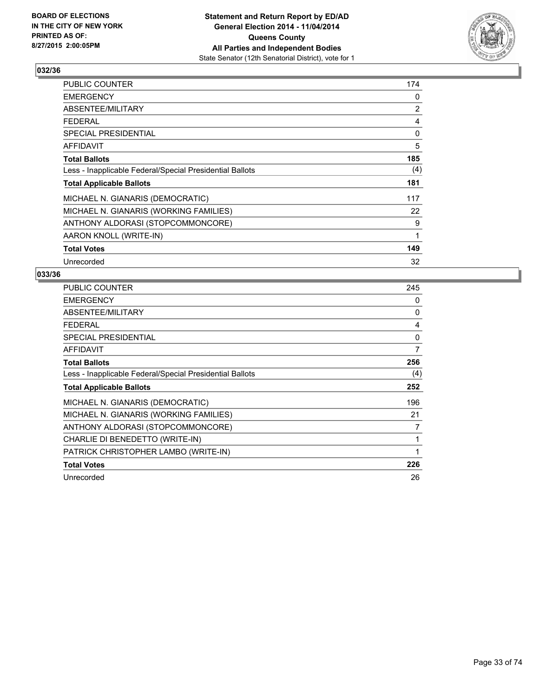

| <b>PUBLIC COUNTER</b>                                    | 174            |
|----------------------------------------------------------|----------------|
| <b>EMERGENCY</b>                                         | 0              |
| ABSENTEE/MILITARY                                        | $\overline{2}$ |
| <b>FEDERAL</b>                                           | 4              |
| SPECIAL PRESIDENTIAL                                     | 0              |
| <b>AFFIDAVIT</b>                                         | 5              |
| <b>Total Ballots</b>                                     | 185            |
| Less - Inapplicable Federal/Special Presidential Ballots | (4)            |
| <b>Total Applicable Ballots</b>                          | 181            |
| MICHAEL N. GIANARIS (DEMOCRATIC)                         | 117            |
| MICHAEL N. GIANARIS (WORKING FAMILIES)                   | 22             |
| ANTHONY ALDORASI (STOPCOMMONCORE)                        | 9              |
| AARON KNOLL (WRITE-IN)                                   | 1              |
| <b>Total Votes</b>                                       | 149            |
| Unrecorded                                               | 32             |

| <b>PUBLIC COUNTER</b>                                    | 245 |
|----------------------------------------------------------|-----|
| <b>EMERGENCY</b>                                         | 0   |
| ABSENTEE/MILITARY                                        | 0   |
| <b>FEDERAL</b>                                           | 4   |
| <b>SPECIAL PRESIDENTIAL</b>                              | 0   |
| <b>AFFIDAVIT</b>                                         | 7   |
| <b>Total Ballots</b>                                     | 256 |
| Less - Inapplicable Federal/Special Presidential Ballots | (4) |
| <b>Total Applicable Ballots</b>                          | 252 |
| MICHAEL N. GIANARIS (DEMOCRATIC)                         | 196 |
| MICHAEL N. GIANARIS (WORKING FAMILIES)                   | 21  |
| ANTHONY ALDORASI (STOPCOMMONCORE)                        | 7   |
| CHARLIE DI BENEDETTO (WRITE-IN)                          | 1   |
| PATRICK CHRISTOPHER LAMBO (WRITE-IN)                     | 1   |
| <b>Total Votes</b>                                       | 226 |
| Unrecorded                                               | 26  |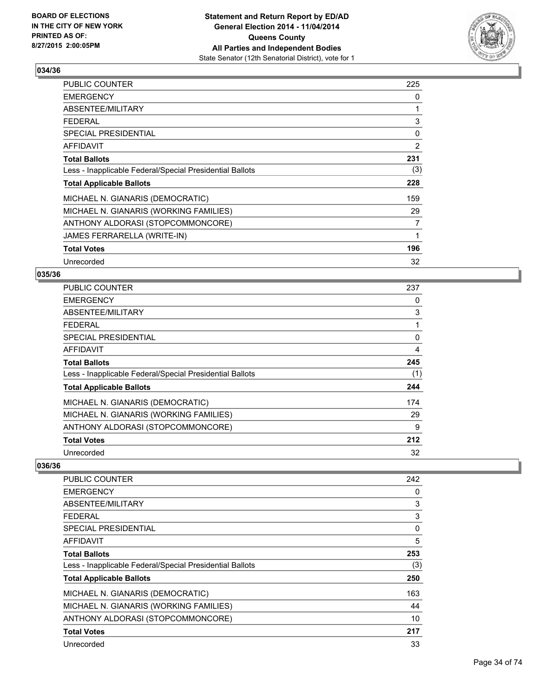

| <b>PUBLIC COUNTER</b>                                    | 225 |
|----------------------------------------------------------|-----|
| <b>EMERGENCY</b>                                         | 0   |
| ABSENTEE/MILITARY                                        | 1   |
| <b>FEDERAL</b>                                           | 3   |
| <b>SPECIAL PRESIDENTIAL</b>                              | 0   |
| <b>AFFIDAVIT</b>                                         | 2   |
| <b>Total Ballots</b>                                     | 231 |
| Less - Inapplicable Federal/Special Presidential Ballots | (3) |
| <b>Total Applicable Ballots</b>                          | 228 |
| MICHAEL N. GIANARIS (DEMOCRATIC)                         | 159 |
| MICHAEL N. GIANARIS (WORKING FAMILIES)                   | 29  |
| ANTHONY ALDORASI (STOPCOMMONCORE)                        | 7   |
| JAMES FERRARELLA (WRITE-IN)                              | 1   |
| <b>Total Votes</b>                                       | 196 |
| Unrecorded                                               | 32  |

#### **035/36**

| PUBLIC COUNTER                                           | 237 |
|----------------------------------------------------------|-----|
| <b>EMERGENCY</b>                                         | 0   |
| ABSENTEE/MILITARY                                        | 3   |
| <b>FEDERAL</b>                                           | 1   |
| SPECIAL PRESIDENTIAL                                     | 0   |
| <b>AFFIDAVIT</b>                                         | 4   |
| <b>Total Ballots</b>                                     | 245 |
| Less - Inapplicable Federal/Special Presidential Ballots | (1) |
| <b>Total Applicable Ballots</b>                          | 244 |
| MICHAEL N. GIANARIS (DEMOCRATIC)                         | 174 |
| MICHAEL N. GIANARIS (WORKING FAMILIES)                   | 29  |
| ANTHONY ALDORASI (STOPCOMMONCORE)                        | 9   |
| <b>Total Votes</b>                                       | 212 |
| Unrecorded                                               | 32  |

| <b>PUBLIC COUNTER</b>                                    | 242 |
|----------------------------------------------------------|-----|
| <b>EMERGENCY</b>                                         | 0   |
| ABSENTEE/MILITARY                                        | 3   |
| <b>FEDERAL</b>                                           | 3   |
| SPECIAL PRESIDENTIAL                                     | 0   |
| AFFIDAVIT                                                | 5   |
| <b>Total Ballots</b>                                     | 253 |
| Less - Inapplicable Federal/Special Presidential Ballots | (3) |
| <b>Total Applicable Ballots</b>                          | 250 |
| MICHAEL N. GIANARIS (DEMOCRATIC)                         | 163 |
| MICHAEL N. GIANARIS (WORKING FAMILIES)                   | 44  |
| ANTHONY ALDORASI (STOPCOMMONCORE)                        | 10  |
| <b>Total Votes</b>                                       | 217 |
| Unrecorded                                               | 33  |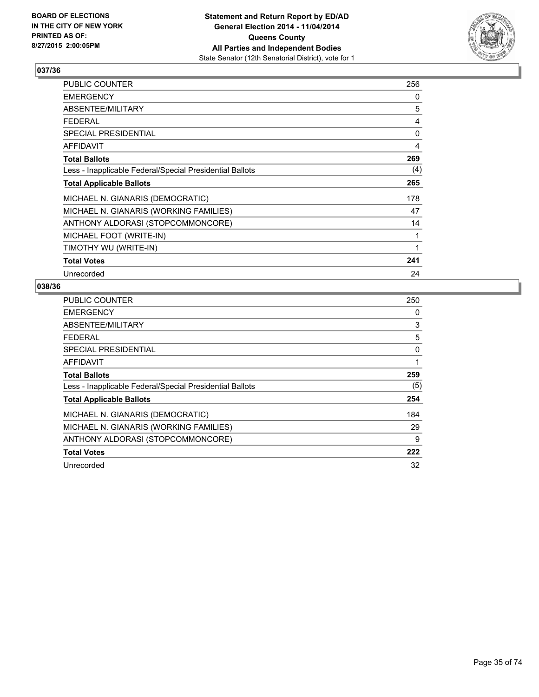

| PUBLIC COUNTER                                           | 256 |
|----------------------------------------------------------|-----|
| <b>EMERGENCY</b>                                         | 0   |
| ABSENTEE/MILITARY                                        | 5   |
| <b>FEDERAL</b>                                           | 4   |
| <b>SPECIAL PRESIDENTIAL</b>                              | 0   |
| <b>AFFIDAVIT</b>                                         | 4   |
| <b>Total Ballots</b>                                     | 269 |
| Less - Inapplicable Federal/Special Presidential Ballots | (4) |
| <b>Total Applicable Ballots</b>                          | 265 |
| MICHAEL N. GIANARIS (DEMOCRATIC)                         | 178 |
| MICHAEL N. GIANARIS (WORKING FAMILIES)                   | 47  |
| ANTHONY ALDORASI (STOPCOMMONCORE)                        | 14  |
| MICHAEL FOOT (WRITE-IN)                                  | 1   |
| TIMOTHY WU (WRITE-IN)                                    | 1   |
| <b>Total Votes</b>                                       | 241 |
| Unrecorded                                               | 24  |

| <b>PUBLIC COUNTER</b>                                    | 250 |
|----------------------------------------------------------|-----|
| <b>EMERGENCY</b>                                         | 0   |
| ABSENTEE/MILITARY                                        | 3   |
| <b>FEDERAL</b>                                           | 5   |
| SPECIAL PRESIDENTIAL                                     | 0   |
| AFFIDAVIT                                                | 1   |
| <b>Total Ballots</b>                                     | 259 |
| Less - Inapplicable Federal/Special Presidential Ballots | (5) |
| <b>Total Applicable Ballots</b>                          | 254 |
| MICHAEL N. GIANARIS (DEMOCRATIC)                         | 184 |
| MICHAEL N. GIANARIS (WORKING FAMILIES)                   | 29  |
| ANTHONY ALDORASI (STOPCOMMONCORE)                        | 9   |
| <b>Total Votes</b>                                       | 222 |
| Unrecorded                                               | 32  |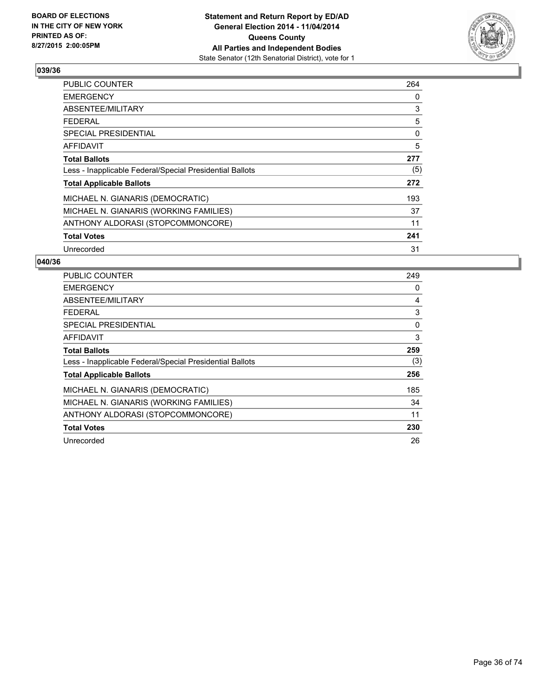

| <b>PUBLIC COUNTER</b>                                    | 264 |
|----------------------------------------------------------|-----|
| <b>EMERGENCY</b>                                         | 0   |
| ABSENTEE/MILITARY                                        | 3   |
| <b>FEDERAL</b>                                           | 5   |
| SPECIAL PRESIDENTIAL                                     | 0   |
| <b>AFFIDAVIT</b>                                         | 5   |
| <b>Total Ballots</b>                                     | 277 |
| Less - Inapplicable Federal/Special Presidential Ballots | (5) |
| <b>Total Applicable Ballots</b>                          | 272 |
| MICHAEL N. GIANARIS (DEMOCRATIC)                         | 193 |
| MICHAEL N. GIANARIS (WORKING FAMILIES)                   | 37  |
| ANTHONY ALDORASI (STOPCOMMONCORE)                        | 11  |
| <b>Total Votes</b>                                       | 241 |
| Unrecorded                                               | 31  |

| <b>PUBLIC COUNTER</b>                                    | 249 |
|----------------------------------------------------------|-----|
| <b>EMERGENCY</b>                                         | 0   |
| ABSENTEE/MILITARY                                        | 4   |
| <b>FEDERAL</b>                                           | 3   |
| SPECIAL PRESIDENTIAL                                     | 0   |
| AFFIDAVIT                                                | 3   |
| <b>Total Ballots</b>                                     | 259 |
| Less - Inapplicable Federal/Special Presidential Ballots | (3) |
| <b>Total Applicable Ballots</b>                          | 256 |
| MICHAEL N. GIANARIS (DEMOCRATIC)                         | 185 |
| MICHAEL N. GIANARIS (WORKING FAMILIES)                   | 34  |
| ANTHONY ALDORASI (STOPCOMMONCORE)                        | 11  |
| <b>Total Votes</b>                                       | 230 |
| Unrecorded                                               | 26  |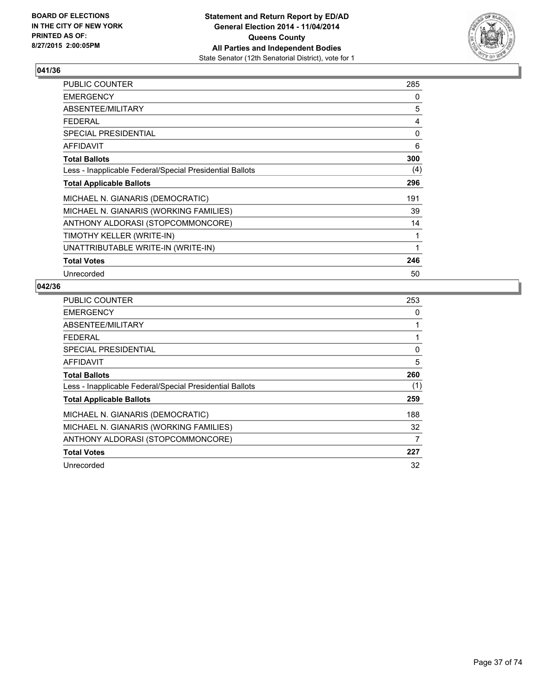

| PUBLIC COUNTER                                           | 285 |
|----------------------------------------------------------|-----|
| <b>EMERGENCY</b>                                         | 0   |
| ABSENTEE/MILITARY                                        | 5   |
| <b>FEDERAL</b>                                           | 4   |
| <b>SPECIAL PRESIDENTIAL</b>                              | 0   |
| <b>AFFIDAVIT</b>                                         | 6   |
| <b>Total Ballots</b>                                     | 300 |
| Less - Inapplicable Federal/Special Presidential Ballots | (4) |
| <b>Total Applicable Ballots</b>                          | 296 |
| MICHAEL N. GIANARIS (DEMOCRATIC)                         | 191 |
| MICHAEL N. GIANARIS (WORKING FAMILIES)                   | 39  |
| ANTHONY ALDORASI (STOPCOMMONCORE)                        | 14  |
| TIMOTHY KELLER (WRITE-IN)                                | 1   |
| UNATTRIBUTABLE WRITE-IN (WRITE-IN)                       | 1   |
| <b>Total Votes</b>                                       | 246 |
| Unrecorded                                               | 50  |

| <b>PUBLIC COUNTER</b>                                    | 253 |
|----------------------------------------------------------|-----|
| <b>EMERGENCY</b>                                         | 0   |
| ABSENTEE/MILITARY                                        | 1   |
| <b>FEDERAL</b>                                           | 1   |
| <b>SPECIAL PRESIDENTIAL</b>                              | 0   |
| <b>AFFIDAVIT</b>                                         | 5   |
| <b>Total Ballots</b>                                     | 260 |
| Less - Inapplicable Federal/Special Presidential Ballots | (1) |
| <b>Total Applicable Ballots</b>                          | 259 |
| MICHAEL N. GIANARIS (DEMOCRATIC)                         | 188 |
| MICHAEL N. GIANARIS (WORKING FAMILIES)                   | 32  |
| ANTHONY ALDORASI (STOPCOMMONCORE)                        | 7   |
| <b>Total Votes</b>                                       | 227 |
| Unrecorded                                               | 32  |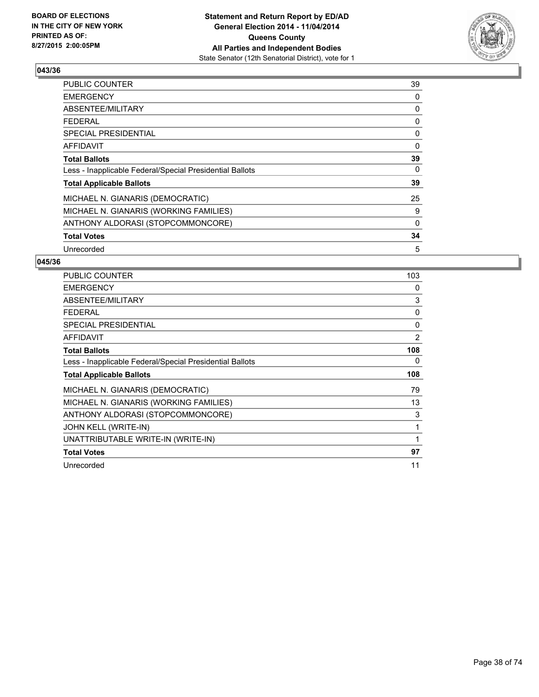

| <b>PUBLIC COUNTER</b>                                    | 39 |
|----------------------------------------------------------|----|
| <b>EMERGENCY</b>                                         | 0  |
| ABSENTEE/MILITARY                                        | 0  |
| <b>FEDERAL</b>                                           | 0  |
| <b>SPECIAL PRESIDENTIAL</b>                              | 0  |
| <b>AFFIDAVIT</b>                                         | 0  |
| <b>Total Ballots</b>                                     | 39 |
| Less - Inapplicable Federal/Special Presidential Ballots | 0  |
| <b>Total Applicable Ballots</b>                          | 39 |
| MICHAEL N. GIANARIS (DEMOCRATIC)                         | 25 |
| MICHAEL N. GIANARIS (WORKING FAMILIES)                   | 9  |
| ANTHONY ALDORASI (STOPCOMMONCORE)                        | 0  |
| <b>Total Votes</b>                                       | 34 |
| Unrecorded                                               | 5  |

| <b>PUBLIC COUNTER</b>                                    | 103            |
|----------------------------------------------------------|----------------|
| <b>EMERGENCY</b>                                         | 0              |
| ABSENTEE/MILITARY                                        | 3              |
| FEDERAL                                                  | 0              |
| <b>SPECIAL PRESIDENTIAL</b>                              | 0              |
| <b>AFFIDAVIT</b>                                         | $\overline{2}$ |
| <b>Total Ballots</b>                                     | 108            |
| Less - Inapplicable Federal/Special Presidential Ballots | 0              |
|                                                          |                |
| <b>Total Applicable Ballots</b>                          | 108            |
| MICHAEL N. GIANARIS (DEMOCRATIC)                         | 79             |
| MICHAEL N. GIANARIS (WORKING FAMILIES)                   | 13             |
| ANTHONY ALDORASI (STOPCOMMONCORE)                        | 3              |
| JOHN KELL (WRITE-IN)                                     | 1              |
| UNATTRIBUTABLE WRITE-IN (WRITE-IN)                       | 1              |
| <b>Total Votes</b>                                       | 97             |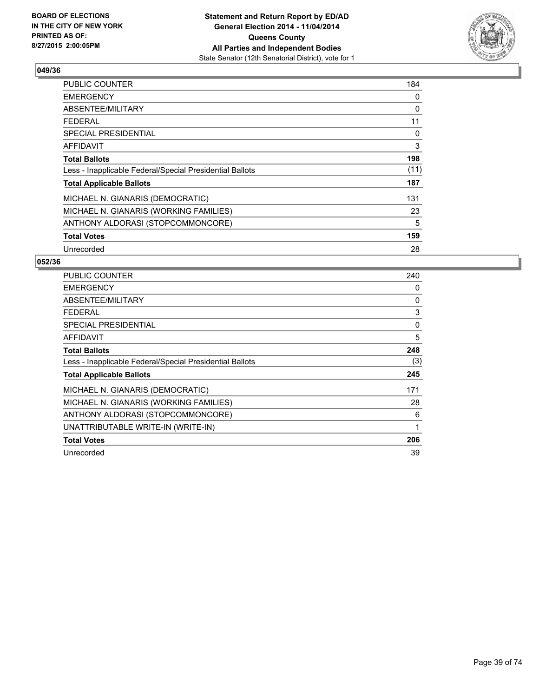

| <b>PUBLIC COUNTER</b>                                    | 184  |
|----------------------------------------------------------|------|
| <b>EMERGENCY</b>                                         | 0    |
| ABSENTEE/MILITARY                                        | 0    |
| <b>FEDERAL</b>                                           | 11   |
| SPECIAL PRESIDENTIAL                                     | 0    |
| <b>AFFIDAVIT</b>                                         | 3    |
| <b>Total Ballots</b>                                     | 198  |
| Less - Inapplicable Federal/Special Presidential Ballots | (11) |
| <b>Total Applicable Ballots</b>                          | 187  |
| MICHAEL N. GIANARIS (DEMOCRATIC)                         | 131  |
| MICHAEL N. GIANARIS (WORKING FAMILIES)                   | 23   |
| ANTHONY ALDORASI (STOPCOMMONCORE)                        | 5    |
| <b>Total Votes</b>                                       | 159  |
| Unrecorded                                               | 28   |

| <b>PUBLIC COUNTER</b>                                    | 240 |
|----------------------------------------------------------|-----|
| <b>EMERGENCY</b>                                         | 0   |
| ABSENTEE/MILITARY                                        | 0   |
| FEDERAL                                                  | 3   |
| SPECIAL PRESIDENTIAL                                     | 0   |
| <b>AFFIDAVIT</b>                                         | 5   |
| <b>Total Ballots</b>                                     | 248 |
| Less - Inapplicable Federal/Special Presidential Ballots | (3) |
| <b>Total Applicable Ballots</b>                          | 245 |
| MICHAEL N. GIANARIS (DEMOCRATIC)                         | 171 |
| MICHAEL N. GIANARIS (WORKING FAMILIES)                   | 28  |
| ANTHONY ALDORASI (STOPCOMMONCORE)                        | 6   |
| UNATTRIBUTABLE WRITE-IN (WRITE-IN)                       | 1   |
| <b>Total Votes</b>                                       | 206 |
| Unrecorded                                               | 39  |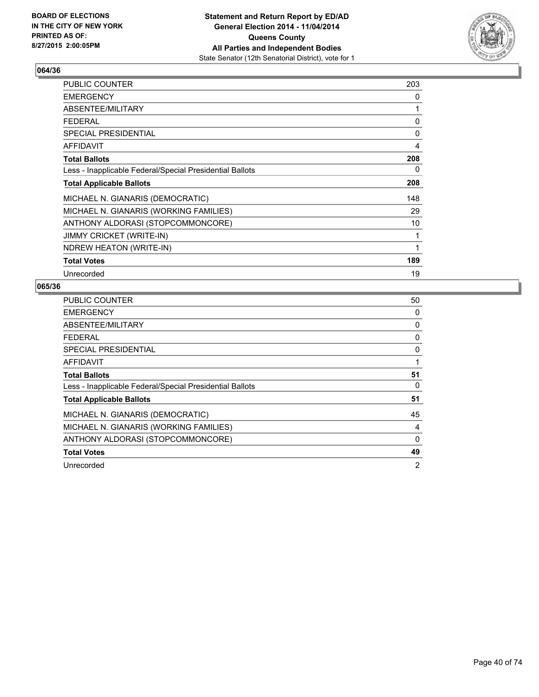

| <b>PUBLIC COUNTER</b>                                    | 203 |
|----------------------------------------------------------|-----|
| <b>EMERGENCY</b>                                         | 0   |
| ABSENTEE/MILITARY                                        | 1   |
| <b>FEDERAL</b>                                           | 0   |
| <b>SPECIAL PRESIDENTIAL</b>                              | 0   |
| <b>AFFIDAVIT</b>                                         | 4   |
| <b>Total Ballots</b>                                     | 208 |
| Less - Inapplicable Federal/Special Presidential Ballots | 0   |
| <b>Total Applicable Ballots</b>                          | 208 |
| MICHAEL N. GIANARIS (DEMOCRATIC)                         | 148 |
| MICHAEL N. GIANARIS (WORKING FAMILIES)                   | 29  |
| ANTHONY ALDORASI (STOPCOMMONCORE)                        | 10  |
| <b>JIMMY CRICKET (WRITE-IN)</b>                          | 1   |
| NDREW HEATON (WRITE-IN)                                  | 1   |
| <b>Total Votes</b>                                       | 189 |
| Unrecorded                                               | 19  |

| <b>PUBLIC COUNTER</b>                                    | 50 |
|----------------------------------------------------------|----|
| <b>EMERGENCY</b>                                         | 0  |
| ABSENTEE/MILITARY                                        | 0  |
| <b>FEDERAL</b>                                           | 0  |
| SPECIAL PRESIDENTIAL                                     | 0  |
| <b>AFFIDAVIT</b>                                         | 1  |
| <b>Total Ballots</b>                                     | 51 |
| Less - Inapplicable Federal/Special Presidential Ballots | 0  |
| <b>Total Applicable Ballots</b>                          | 51 |
| MICHAEL N. GIANARIS (DEMOCRATIC)                         | 45 |
| MICHAEL N. GIANARIS (WORKING FAMILIES)                   | 4  |
| ANTHONY ALDORASI (STOPCOMMONCORE)                        | 0  |
| <b>Total Votes</b>                                       | 49 |
| Unrecorded                                               | 2  |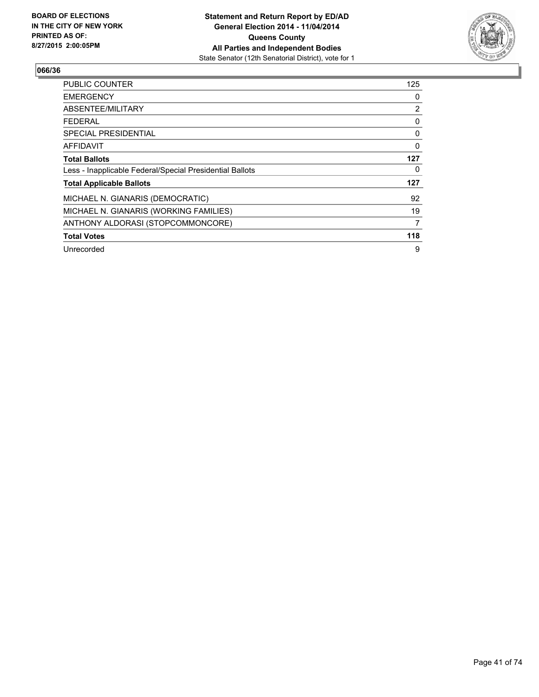

| <b>PUBLIC COUNTER</b>                                    | 125            |
|----------------------------------------------------------|----------------|
| <b>EMERGENCY</b>                                         | 0              |
| ABSENTEE/MILITARY                                        | $\overline{2}$ |
| <b>FEDERAL</b>                                           | 0              |
| <b>SPECIAL PRESIDENTIAL</b>                              | 0              |
| <b>AFFIDAVIT</b>                                         | $\Omega$       |
| <b>Total Ballots</b>                                     | 127            |
| Less - Inapplicable Federal/Special Presidential Ballots | 0              |
| <b>Total Applicable Ballots</b>                          | 127            |
| MICHAEL N. GIANARIS (DEMOCRATIC)                         | 92             |
| MICHAEL N. GIANARIS (WORKING FAMILIES)                   | 19             |
| ANTHONY ALDORASI (STOPCOMMONCORE)                        | 7              |
| <b>Total Votes</b>                                       | 118            |
| Unrecorded                                               | 9              |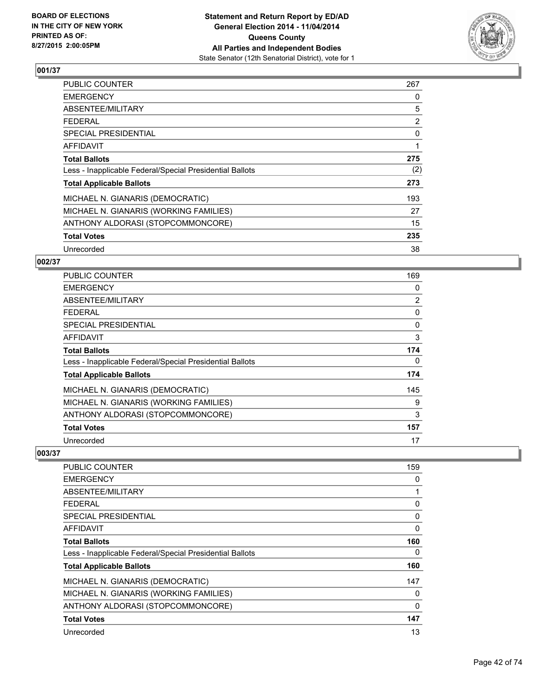

| PUBLIC COUNTER                                           | 267            |
|----------------------------------------------------------|----------------|
| <b>EMERGENCY</b>                                         | 0              |
| ABSENTEE/MILITARY                                        | 5              |
| <b>FEDERAL</b>                                           | $\overline{2}$ |
| <b>SPECIAL PRESIDENTIAL</b>                              | 0              |
| AFFIDAVIT                                                | 1              |
| <b>Total Ballots</b>                                     | 275            |
| Less - Inapplicable Federal/Special Presidential Ballots | (2)            |
| <b>Total Applicable Ballots</b>                          | 273            |
| MICHAEL N. GIANARIS (DEMOCRATIC)                         | 193            |
| MICHAEL N. GIANARIS (WORKING FAMILIES)                   | 27             |
| ANTHONY ALDORASI (STOPCOMMONCORE)                        | 15             |
| <b>Total Votes</b>                                       | 235            |
| Unrecorded                                               | 38             |

## **002/37**

| PUBLIC COUNTER                                           | 169            |
|----------------------------------------------------------|----------------|
| <b>EMERGENCY</b>                                         | 0              |
| ABSENTEE/MILITARY                                        | $\overline{2}$ |
| <b>FEDERAL</b>                                           | 0              |
| <b>SPECIAL PRESIDENTIAL</b>                              | $\Omega$       |
| <b>AFFIDAVIT</b>                                         | 3              |
| <b>Total Ballots</b>                                     | 174            |
| Less - Inapplicable Federal/Special Presidential Ballots | 0              |
| <b>Total Applicable Ballots</b>                          | 174            |
| MICHAEL N. GIANARIS (DEMOCRATIC)                         | 145            |
| MICHAEL N. GIANARIS (WORKING FAMILIES)                   | 9              |
| ANTHONY ALDORASI (STOPCOMMONCORE)                        | 3              |
| <b>Total Votes</b>                                       | 157            |
| Unrecorded                                               | 17             |

| <b>PUBLIC COUNTER</b>                                    | 159      |
|----------------------------------------------------------|----------|
| <b>EMERGENCY</b>                                         | 0        |
| ABSENTEE/MILITARY                                        |          |
| <b>FEDERAL</b>                                           | 0        |
| SPECIAL PRESIDENTIAL                                     | 0        |
| AFFIDAVIT                                                | 0        |
| <b>Total Ballots</b>                                     | 160      |
| Less - Inapplicable Federal/Special Presidential Ballots | 0        |
| <b>Total Applicable Ballots</b>                          | 160      |
| MICHAEL N. GIANARIS (DEMOCRATIC)                         | 147      |
| MICHAEL N. GIANARIS (WORKING FAMILIES)                   | 0        |
| ANTHONY ALDORASI (STOPCOMMONCORE)                        | $\Omega$ |
| <b>Total Votes</b>                                       | 147      |
| Unrecorded                                               | 13       |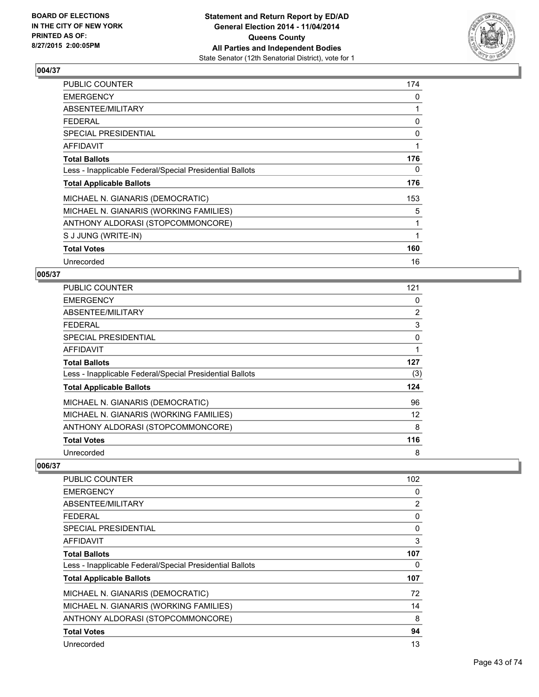

| PUBLIC COUNTER                                           | 174 |
|----------------------------------------------------------|-----|
| <b>EMERGENCY</b>                                         | 0   |
| ABSENTEE/MILITARY                                        | 1   |
| <b>FEDERAL</b>                                           | 0   |
| SPECIAL PRESIDENTIAL                                     | 0   |
| AFFIDAVIT                                                | 1   |
| <b>Total Ballots</b>                                     | 176 |
| Less - Inapplicable Federal/Special Presidential Ballots | 0   |
| <b>Total Applicable Ballots</b>                          | 176 |
| MICHAEL N. GIANARIS (DEMOCRATIC)                         | 153 |
| MICHAEL N. GIANARIS (WORKING FAMILIES)                   | 5   |
| ANTHONY ALDORASI (STOPCOMMONCORE)                        | 1   |
| S J JUNG (WRITE-IN)                                      | 1   |
| <b>Total Votes</b>                                       | 160 |
| Unrecorded                                               | 16  |

## **005/37**

| <b>PUBLIC COUNTER</b>                                    | 121            |
|----------------------------------------------------------|----------------|
| <b>EMERGENCY</b>                                         | 0              |
| ABSENTEE/MILITARY                                        | $\overline{2}$ |
| <b>FEDERAL</b>                                           | 3              |
| SPECIAL PRESIDENTIAL                                     | 0              |
| <b>AFFIDAVIT</b>                                         | 1              |
| <b>Total Ballots</b>                                     | 127            |
| Less - Inapplicable Federal/Special Presidential Ballots | (3)            |
| <b>Total Applicable Ballots</b>                          | 124            |
| MICHAEL N. GIANARIS (DEMOCRATIC)                         | 96             |
| MICHAEL N. GIANARIS (WORKING FAMILIES)                   | 12             |
| ANTHONY ALDORASI (STOPCOMMONCORE)                        | 8              |
| <b>Total Votes</b>                                       | 116            |
| Unrecorded                                               | 8              |

| <b>PUBLIC COUNTER</b>                                    | 102            |
|----------------------------------------------------------|----------------|
| <b>EMERGENCY</b>                                         | 0              |
| ABSENTEE/MILITARY                                        | $\overline{2}$ |
| FEDERAL                                                  | 0              |
| SPECIAL PRESIDENTIAL                                     | 0              |
| AFFIDAVIT                                                | 3              |
| <b>Total Ballots</b>                                     | 107            |
| Less - Inapplicable Federal/Special Presidential Ballots | 0              |
| <b>Total Applicable Ballots</b>                          | 107            |
| MICHAEL N. GIANARIS (DEMOCRATIC)                         | 72             |
| MICHAEL N. GIANARIS (WORKING FAMILIES)                   | 14             |
| ANTHONY ALDORASI (STOPCOMMONCORE)                        | 8              |
| <b>Total Votes</b>                                       | 94             |
| Unrecorded                                               | 13             |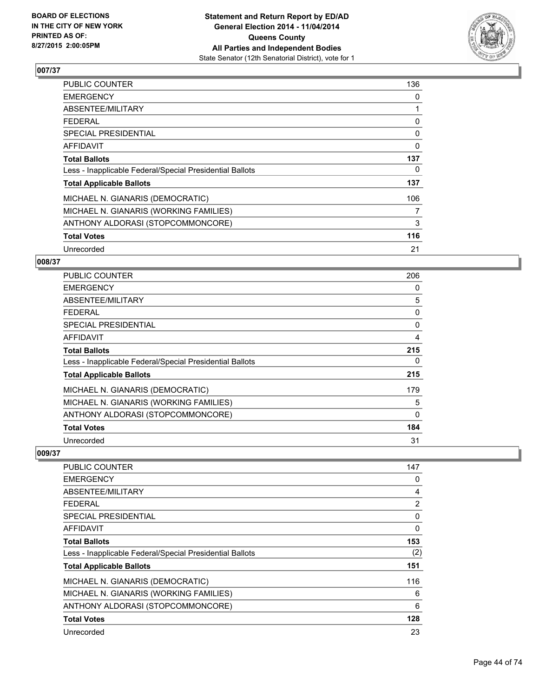

| <b>PUBLIC COUNTER</b>                                    | 136 |
|----------------------------------------------------------|-----|
| <b>EMERGENCY</b>                                         | 0   |
| ABSENTEE/MILITARY                                        | 1   |
| <b>FEDERAL</b>                                           | 0   |
| <b>SPECIAL PRESIDENTIAL</b>                              | 0   |
| AFFIDAVIT                                                | 0   |
| <b>Total Ballots</b>                                     | 137 |
| Less - Inapplicable Federal/Special Presidential Ballots | 0   |
| <b>Total Applicable Ballots</b>                          | 137 |
| MICHAEL N. GIANARIS (DEMOCRATIC)                         | 106 |
| MICHAEL N. GIANARIS (WORKING FAMILIES)                   | 7   |
| ANTHONY ALDORASI (STOPCOMMONCORE)                        | 3   |
| <b>Total Votes</b>                                       | 116 |
| Unrecorded                                               | 21  |

## **008/37**

| PUBLIC COUNTER                                           | 206      |
|----------------------------------------------------------|----------|
| <b>EMERGENCY</b>                                         | 0        |
| ABSENTEE/MILITARY                                        | 5        |
| <b>FEDERAL</b>                                           | 0        |
| <b>SPECIAL PRESIDENTIAL</b>                              | $\Omega$ |
| <b>AFFIDAVIT</b>                                         | 4        |
| <b>Total Ballots</b>                                     | 215      |
| Less - Inapplicable Federal/Special Presidential Ballots | 0        |
| <b>Total Applicable Ballots</b>                          | 215      |
| MICHAEL N. GIANARIS (DEMOCRATIC)                         | 179      |
| MICHAEL N. GIANARIS (WORKING FAMILIES)                   | 5        |
| ANTHONY ALDORASI (STOPCOMMONCORE)                        | 0        |
| <b>Total Votes</b>                                       | 184      |
| Unrecorded                                               | 31       |

| <b>PUBLIC COUNTER</b>                                    | 147 |
|----------------------------------------------------------|-----|
| <b>EMERGENCY</b>                                         | 0   |
| ABSENTEE/MILITARY                                        | 4   |
| <b>FEDERAL</b>                                           | 2   |
| SPECIAL PRESIDENTIAL                                     | 0   |
| AFFIDAVIT                                                | 0   |
| <b>Total Ballots</b>                                     | 153 |
| Less - Inapplicable Federal/Special Presidential Ballots | (2) |
| <b>Total Applicable Ballots</b>                          | 151 |
| MICHAEL N. GIANARIS (DEMOCRATIC)                         | 116 |
| MICHAEL N. GIANARIS (WORKING FAMILIES)                   | 6   |
| ANTHONY ALDORASI (STOPCOMMONCORE)                        | 6   |
| <b>Total Votes</b>                                       | 128 |
| Unrecorded                                               | 23  |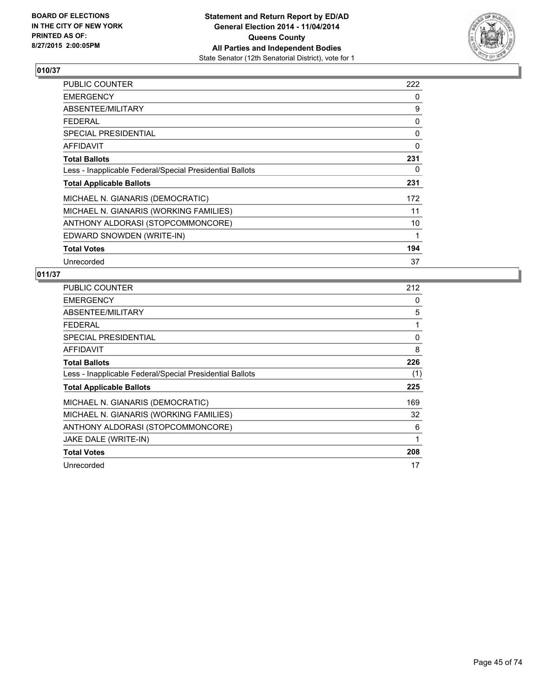

| <b>PUBLIC COUNTER</b>                                    | 222 |
|----------------------------------------------------------|-----|
| <b>EMERGENCY</b>                                         | 0   |
| ABSENTEE/MILITARY                                        | 9   |
| <b>FEDERAL</b>                                           | 0   |
| <b>SPECIAL PRESIDENTIAL</b>                              | 0   |
| <b>AFFIDAVIT</b>                                         | 0   |
| <b>Total Ballots</b>                                     | 231 |
| Less - Inapplicable Federal/Special Presidential Ballots | 0   |
| <b>Total Applicable Ballots</b>                          | 231 |
| MICHAEL N. GIANARIS (DEMOCRATIC)                         | 172 |
| MICHAEL N. GIANARIS (WORKING FAMILIES)                   | 11  |
| ANTHONY ALDORASI (STOPCOMMONCORE)                        | 10  |
| EDWARD SNOWDEN (WRITE-IN)                                | 1   |
| <b>Total Votes</b>                                       | 194 |
| Unrecorded                                               | 37  |

| <b>PUBLIC COUNTER</b>                                    | 212 |
|----------------------------------------------------------|-----|
| <b>EMERGENCY</b>                                         | 0   |
| ABSENTEE/MILITARY                                        | 5   |
| <b>FEDERAL</b>                                           | 1   |
| <b>SPECIAL PRESIDENTIAL</b>                              | 0   |
| AFFIDAVIT                                                | 8   |
| <b>Total Ballots</b>                                     | 226 |
| Less - Inapplicable Federal/Special Presidential Ballots | (1) |
| <b>Total Applicable Ballots</b>                          | 225 |
| MICHAEL N. GIANARIS (DEMOCRATIC)                         | 169 |
| MICHAEL N. GIANARIS (WORKING FAMILIES)                   | 32  |
| ANTHONY ALDORASI (STOPCOMMONCORE)                        | 6   |
| JAKE DALE (WRITE-IN)                                     | 1   |
| <b>Total Votes</b>                                       | 208 |
| Unrecorded                                               | 17  |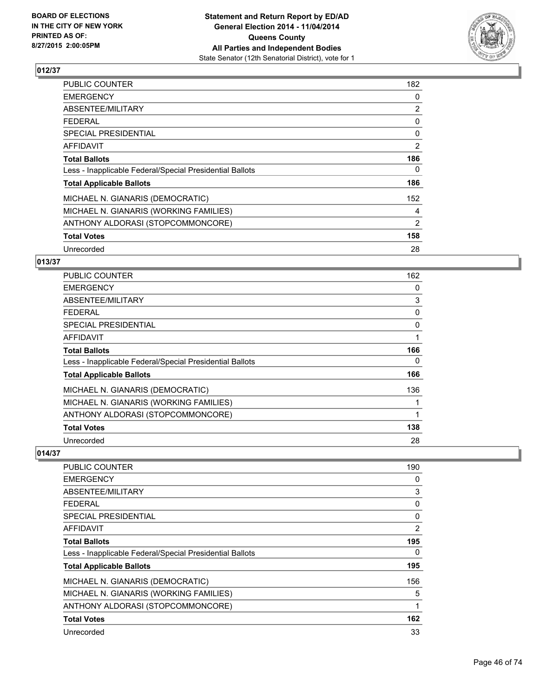

| PUBLIC COUNTER                                           | 182            |
|----------------------------------------------------------|----------------|
| <b>EMERGENCY</b>                                         | 0              |
| ABSENTEE/MILITARY                                        | $\overline{2}$ |
| <b>FEDERAL</b>                                           | 0              |
| <b>SPECIAL PRESIDENTIAL</b>                              | $\mathbf{0}$   |
| AFFIDAVIT                                                | 2              |
| <b>Total Ballots</b>                                     | 186            |
| Less - Inapplicable Federal/Special Presidential Ballots | 0              |
| <b>Total Applicable Ballots</b>                          | 186            |
| MICHAEL N. GIANARIS (DEMOCRATIC)                         | 152            |
| MICHAEL N. GIANARIS (WORKING FAMILIES)                   | 4              |
| ANTHONY ALDORASI (STOPCOMMONCORE)                        | $\overline{2}$ |
| <b>Total Votes</b>                                       | 158            |
| Unrecorded                                               | 28             |

### **013/37**

| <b>PUBLIC COUNTER</b>                                    | 162 |
|----------------------------------------------------------|-----|
| <b>EMERGENCY</b>                                         | 0   |
| ABSENTEE/MILITARY                                        | 3   |
| <b>FEDERAL</b>                                           | 0   |
| <b>SPECIAL PRESIDENTIAL</b>                              | 0   |
| AFFIDAVIT                                                | 1   |
| <b>Total Ballots</b>                                     | 166 |
| Less - Inapplicable Federal/Special Presidential Ballots | 0   |
| <b>Total Applicable Ballots</b>                          | 166 |
| MICHAEL N. GIANARIS (DEMOCRATIC)                         | 136 |
| MICHAEL N. GIANARIS (WORKING FAMILIES)                   |     |
| ANTHONY ALDORASI (STOPCOMMONCORE)                        | 1   |
| <b>Total Votes</b>                                       | 138 |
| Unrecorded                                               | 28  |

| PUBLIC COUNTER                                           | 190 |
|----------------------------------------------------------|-----|
| <b>EMERGENCY</b>                                         | 0   |
| ABSENTEE/MILITARY                                        | 3   |
| <b>FEDERAL</b>                                           | 0   |
| <b>SPECIAL PRESIDENTIAL</b>                              | 0   |
| AFFIDAVIT                                                | 2   |
| <b>Total Ballots</b>                                     | 195 |
| Less - Inapplicable Federal/Special Presidential Ballots | 0   |
| <b>Total Applicable Ballots</b>                          | 195 |
| MICHAEL N. GIANARIS (DEMOCRATIC)                         | 156 |
| MICHAEL N. GIANARIS (WORKING FAMILIES)                   | 5   |
| ANTHONY ALDORASI (STOPCOMMONCORE)                        | 1   |
| <b>Total Votes</b>                                       | 162 |
| Unrecorded                                               | 33  |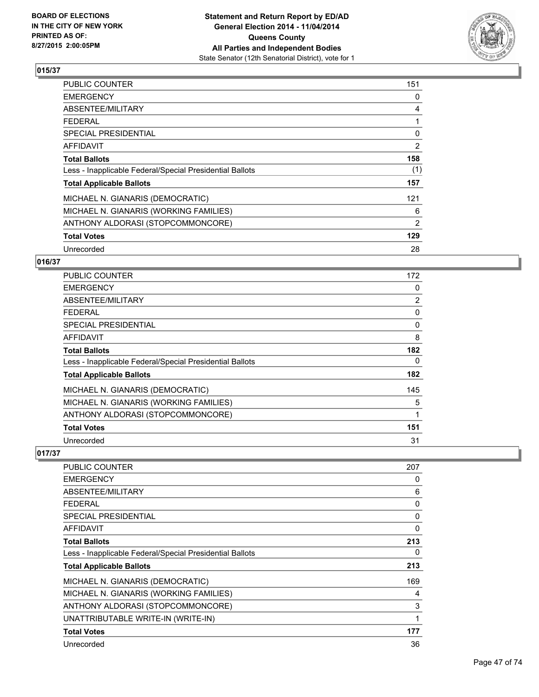

| PUBLIC COUNTER                                           | 151            |
|----------------------------------------------------------|----------------|
| <b>EMERGENCY</b>                                         | 0              |
| ABSENTEE/MILITARY                                        | 4              |
| <b>FEDERAL</b>                                           |                |
| <b>SPECIAL PRESIDENTIAL</b>                              | 0              |
| AFFIDAVIT                                                | $\overline{2}$ |
| <b>Total Ballots</b>                                     | 158            |
| Less - Inapplicable Federal/Special Presidential Ballots | (1)            |
| <b>Total Applicable Ballots</b>                          | 157            |
| MICHAEL N. GIANARIS (DEMOCRATIC)                         | 121            |
| MICHAEL N. GIANARIS (WORKING FAMILIES)                   | 6              |
| ANTHONY ALDORASI (STOPCOMMONCORE)                        | 2              |
| <b>Total Votes</b>                                       | 129            |
| Unrecorded                                               | 28             |

### **016/37**

| <b>PUBLIC COUNTER</b>                                    | 172            |
|----------------------------------------------------------|----------------|
| <b>EMERGENCY</b>                                         | 0              |
| ABSENTEE/MILITARY                                        | $\overline{2}$ |
| <b>FEDERAL</b>                                           | 0              |
| <b>SPECIAL PRESIDENTIAL</b>                              | 0              |
| AFFIDAVIT                                                | 8              |
| <b>Total Ballots</b>                                     | 182            |
| Less - Inapplicable Federal/Special Presidential Ballots | 0              |
| <b>Total Applicable Ballots</b>                          | 182            |
| MICHAEL N. GIANARIS (DEMOCRATIC)                         | 145            |
| MICHAEL N. GIANARIS (WORKING FAMILIES)                   | 5              |
| ANTHONY ALDORASI (STOPCOMMONCORE)                        | 1              |
| <b>Total Votes</b>                                       | 151            |
| Unrecorded                                               | 31             |

| <b>PUBLIC COUNTER</b>                                    | 207 |
|----------------------------------------------------------|-----|
| <b>EMERGENCY</b>                                         | 0   |
| ABSENTEE/MILITARY                                        | 6   |
| <b>FEDERAL</b>                                           | 0   |
| <b>SPECIAL PRESIDENTIAL</b>                              | 0   |
| AFFIDAVIT                                                | 0   |
| <b>Total Ballots</b>                                     | 213 |
| Less - Inapplicable Federal/Special Presidential Ballots | 0   |
| <b>Total Applicable Ballots</b>                          | 213 |
| MICHAEL N. GIANARIS (DEMOCRATIC)                         | 169 |
| MICHAEL N. GIANARIS (WORKING FAMILIES)                   | 4   |
| ANTHONY ALDORASI (STOPCOMMONCORE)                        | 3   |
| UNATTRIBUTABLE WRITE-IN (WRITE-IN)                       | 1   |
| <b>Total Votes</b>                                       | 177 |
| Unrecorded                                               | 36  |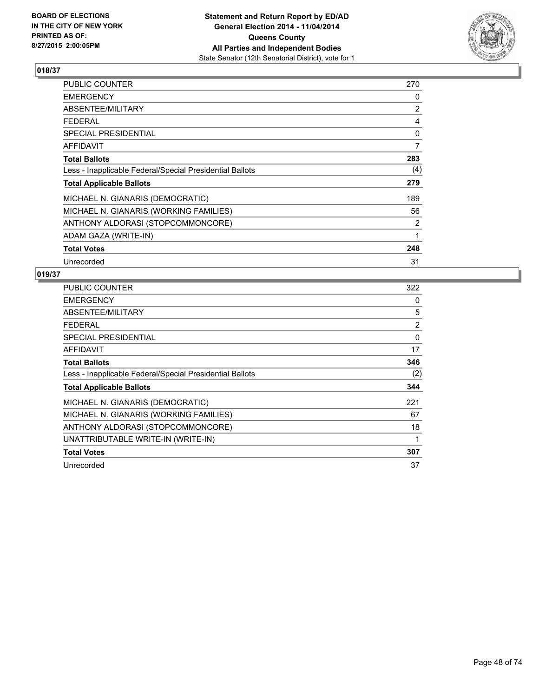

| <b>PUBLIC COUNTER</b>                                    | 270 |
|----------------------------------------------------------|-----|
| <b>EMERGENCY</b>                                         | 0   |
| ABSENTEE/MILITARY                                        | 2   |
| <b>FEDERAL</b>                                           | 4   |
| <b>SPECIAL PRESIDENTIAL</b>                              | 0   |
| <b>AFFIDAVIT</b>                                         | 7   |
| <b>Total Ballots</b>                                     | 283 |
| Less - Inapplicable Federal/Special Presidential Ballots | (4) |
| <b>Total Applicable Ballots</b>                          | 279 |
| MICHAEL N. GIANARIS (DEMOCRATIC)                         | 189 |
| MICHAEL N. GIANARIS (WORKING FAMILIES)                   | 56  |
| ANTHONY ALDORASI (STOPCOMMONCORE)                        | 2   |
| ADAM GAZA (WRITE-IN)                                     | 1   |
| <b>Total Votes</b>                                       | 248 |
| Unrecorded                                               | 31  |

| <b>PUBLIC COUNTER</b>                                    | 322 |
|----------------------------------------------------------|-----|
| <b>EMERGENCY</b>                                         | 0   |
| ABSENTEE/MILITARY                                        | 5   |
| <b>FEDERAL</b>                                           | 2   |
| SPECIAL PRESIDENTIAL                                     | 0   |
| <b>AFFIDAVIT</b>                                         | 17  |
| <b>Total Ballots</b>                                     | 346 |
| Less - Inapplicable Federal/Special Presidential Ballots | (2) |
| <b>Total Applicable Ballots</b>                          | 344 |
| MICHAEL N. GIANARIS (DEMOCRATIC)                         | 221 |
| MICHAEL N. GIANARIS (WORKING FAMILIES)                   | 67  |
| ANTHONY ALDORASI (STOPCOMMONCORE)                        | 18  |
| UNATTRIBUTABLE WRITE-IN (WRITE-IN)                       | 1   |
| <b>Total Votes</b>                                       | 307 |
| Unrecorded                                               | 37  |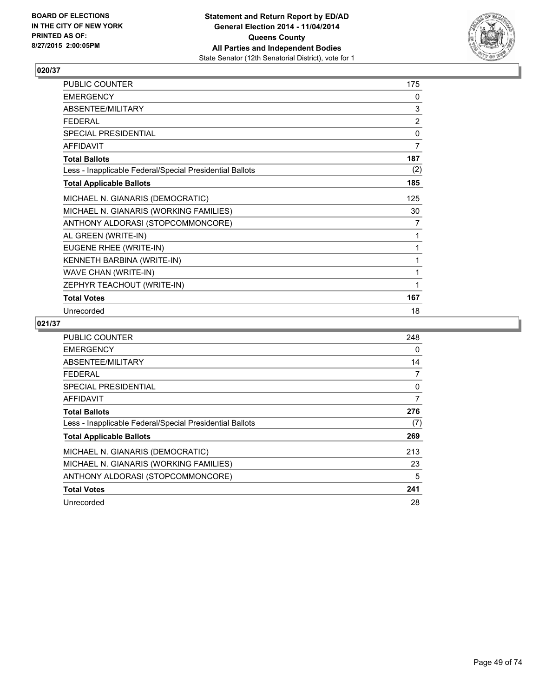

| PUBLIC COUNTER                                           | 175            |
|----------------------------------------------------------|----------------|
| <b>EMERGENCY</b>                                         | 0              |
| ABSENTEE/MILITARY                                        | $\mathsf 3$    |
| <b>FEDERAL</b>                                           | $\overline{2}$ |
| SPECIAL PRESIDENTIAL                                     | 0              |
| <b>AFFIDAVIT</b>                                         | $\overline{7}$ |
| <b>Total Ballots</b>                                     | 187            |
| Less - Inapplicable Federal/Special Presidential Ballots | (2)            |
| <b>Total Applicable Ballots</b>                          | 185            |
| MICHAEL N. GIANARIS (DEMOCRATIC)                         | 125            |
| MICHAEL N. GIANARIS (WORKING FAMILIES)                   | 30             |
| ANTHONY ALDORASI (STOPCOMMONCORE)                        | 7              |
| AL GREEN (WRITE-IN)                                      | 1              |
| EUGENE RHEE (WRITE-IN)                                   | 1              |
| KENNETH BARBINA (WRITE-IN)                               | 1              |
| WAVE CHAN (WRITE-IN)                                     | 1              |
| ZEPHYR TEACHOUT (WRITE-IN)                               | 1              |
| <b>Total Votes</b>                                       | 167            |
| Unrecorded                                               | 18             |

| <b>PUBLIC COUNTER</b>                                    | 248 |
|----------------------------------------------------------|-----|
| <b>EMERGENCY</b>                                         | 0   |
| ABSENTEE/MILITARY                                        | 14  |
| <b>FEDERAL</b>                                           | 7   |
| SPECIAL PRESIDENTIAL                                     | 0   |
| AFFIDAVIT                                                | 7   |
| <b>Total Ballots</b>                                     | 276 |
| Less - Inapplicable Federal/Special Presidential Ballots | (7) |
| <b>Total Applicable Ballots</b>                          | 269 |
| MICHAEL N. GIANARIS (DEMOCRATIC)                         | 213 |
| MICHAEL N. GIANARIS (WORKING FAMILIES)                   | 23  |
| ANTHONY ALDORASI (STOPCOMMONCORE)                        | 5   |
| <b>Total Votes</b>                                       | 241 |
| Unrecorded                                               | 28  |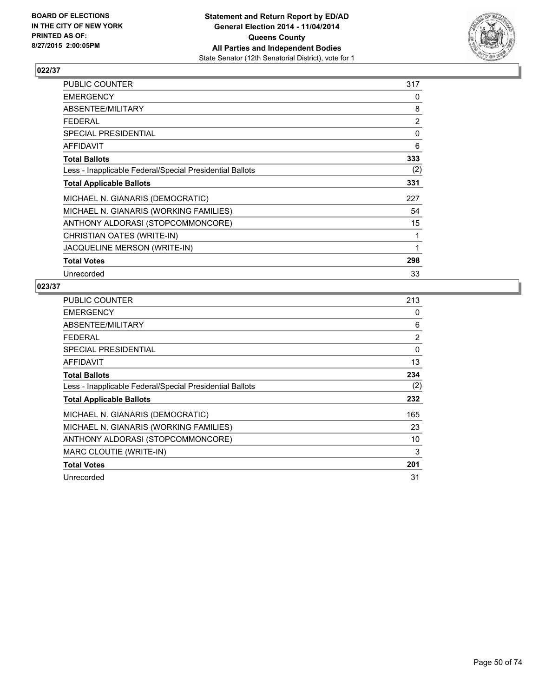

| PUBLIC COUNTER                                           | 317 |
|----------------------------------------------------------|-----|
| <b>EMERGENCY</b>                                         | 0   |
| ABSENTEE/MILITARY                                        | 8   |
| <b>FEDERAL</b>                                           | 2   |
| SPECIAL PRESIDENTIAL                                     | 0   |
| <b>AFFIDAVIT</b>                                         | 6   |
| <b>Total Ballots</b>                                     | 333 |
| Less - Inapplicable Federal/Special Presidential Ballots | (2) |
| <b>Total Applicable Ballots</b>                          | 331 |
| MICHAEL N. GIANARIS (DEMOCRATIC)                         | 227 |
| MICHAEL N. GIANARIS (WORKING FAMILIES)                   | 54  |
| ANTHONY ALDORASI (STOPCOMMONCORE)                        | 15  |
| CHRISTIAN OATES (WRITE-IN)                               | 1   |
| JACQUELINE MERSON (WRITE-IN)                             | 1   |
| <b>Total Votes</b>                                       | 298 |
| Unrecorded                                               | 33  |

| PUBLIC COUNTER                                           | 213 |
|----------------------------------------------------------|-----|
| <b>EMERGENCY</b>                                         | 0   |
| ABSENTEE/MILITARY                                        | 6   |
| <b>FEDERAL</b>                                           | 2   |
| SPECIAL PRESIDENTIAL                                     | 0   |
| <b>AFFIDAVIT</b>                                         | 13  |
| <b>Total Ballots</b>                                     | 234 |
| Less - Inapplicable Federal/Special Presidential Ballots | (2) |
| <b>Total Applicable Ballots</b>                          | 232 |
| MICHAEL N. GIANARIS (DEMOCRATIC)                         | 165 |
| MICHAEL N. GIANARIS (WORKING FAMILIES)                   | 23  |
| ANTHONY ALDORASI (STOPCOMMONCORE)                        | 10  |
| MARC CLOUTIE (WRITE-IN)                                  | 3   |
| <b>Total Votes</b>                                       | 201 |
| Unrecorded                                               | 31  |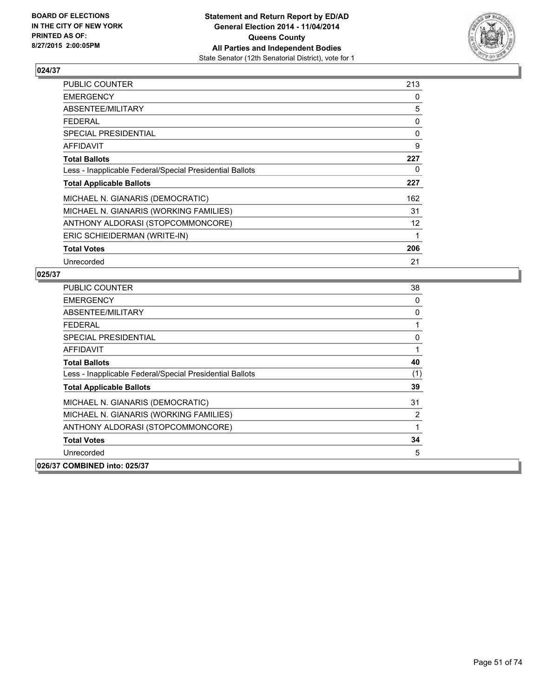

| PUBLIC COUNTER                                           | 213 |
|----------------------------------------------------------|-----|
| <b>EMERGENCY</b>                                         | 0   |
| ABSENTEE/MILITARY                                        | 5   |
| FEDERAL                                                  | 0   |
| <b>SPECIAL PRESIDENTIAL</b>                              | 0   |
| <b>AFFIDAVIT</b>                                         | 9   |
| <b>Total Ballots</b>                                     | 227 |
| Less - Inapplicable Federal/Special Presidential Ballots | 0   |
| <b>Total Applicable Ballots</b>                          | 227 |
| MICHAEL N. GIANARIS (DEMOCRATIC)                         | 162 |
| MICHAEL N. GIANARIS (WORKING FAMILIES)                   | 31  |
| ANTHONY ALDORASI (STOPCOMMONCORE)                        | 12  |
| ERIC SCHIEIDERMAN (WRITE-IN)                             | 1   |
| <b>Total Votes</b>                                       | 206 |
| Unrecorded                                               | 21  |

| <b>PUBLIC COUNTER</b>                                    | 38  |
|----------------------------------------------------------|-----|
| <b>EMERGENCY</b>                                         | 0   |
| ABSENTEE/MILITARY                                        | 0   |
| <b>FEDERAL</b>                                           | 1   |
| SPECIAL PRESIDENTIAL                                     | 0   |
| <b>AFFIDAVIT</b>                                         | 1   |
| <b>Total Ballots</b>                                     | 40  |
| Less - Inapplicable Federal/Special Presidential Ballots | (1) |
| <b>Total Applicable Ballots</b>                          | 39  |
| MICHAEL N. GIANARIS (DEMOCRATIC)                         | 31  |
| MICHAEL N. GIANARIS (WORKING FAMILIES)                   | 2   |
| ANTHONY ALDORASI (STOPCOMMONCORE)                        | 1   |
| <b>Total Votes</b>                                       | 34  |
| Unrecorded                                               | 5   |
| 026/37 COMBINED into: 025/37                             |     |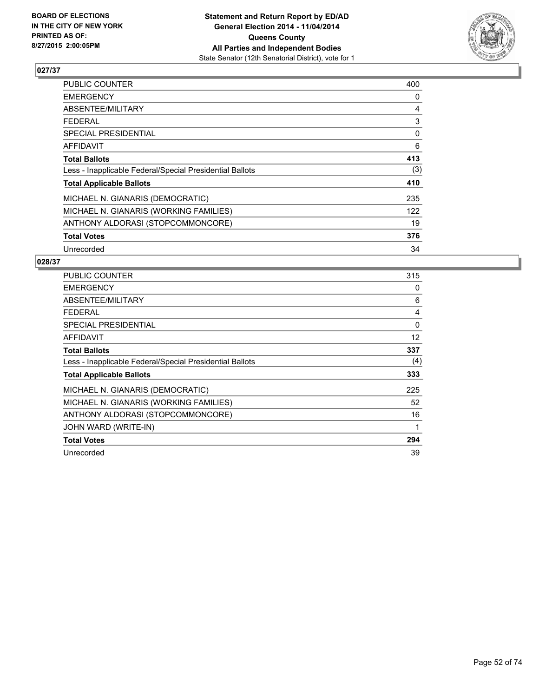

| <b>PUBLIC COUNTER</b>                                    | 400 |
|----------------------------------------------------------|-----|
| <b>EMERGENCY</b>                                         | 0   |
| ABSENTEE/MILITARY                                        | 4   |
| <b>FEDERAL</b>                                           | 3   |
| <b>SPECIAL PRESIDENTIAL</b>                              | 0   |
| <b>AFFIDAVIT</b>                                         | 6   |
| <b>Total Ballots</b>                                     | 413 |
| Less - Inapplicable Federal/Special Presidential Ballots | (3) |
| <b>Total Applicable Ballots</b>                          | 410 |
| MICHAEL N. GIANARIS (DEMOCRATIC)                         | 235 |
| MICHAEL N. GIANARIS (WORKING FAMILIES)                   | 122 |
| ANTHONY ALDORASI (STOPCOMMONCORE)                        | 19  |
| <b>Total Votes</b>                                       | 376 |
| Unrecorded                                               | 34  |

| <b>PUBLIC COUNTER</b>                                    | 315      |
|----------------------------------------------------------|----------|
| <b>EMERGENCY</b>                                         | 0        |
| ABSENTEE/MILITARY                                        | 6        |
| <b>FEDERAL</b>                                           | 4        |
| <b>SPECIAL PRESIDENTIAL</b>                              | $\Omega$ |
| <b>AFFIDAVIT</b>                                         | 12       |
| <b>Total Ballots</b>                                     | 337      |
| Less - Inapplicable Federal/Special Presidential Ballots | (4)      |
| <b>Total Applicable Ballots</b>                          | 333      |
| MICHAEL N. GIANARIS (DEMOCRATIC)                         | 225      |
| MICHAEL N. GIANARIS (WORKING FAMILIES)                   | 52       |
| ANTHONY ALDORASI (STOPCOMMONCORE)                        | 16       |
| JOHN WARD (WRITE-IN)                                     | 1        |
| <b>Total Votes</b>                                       | 294      |
| Unrecorded                                               | 39       |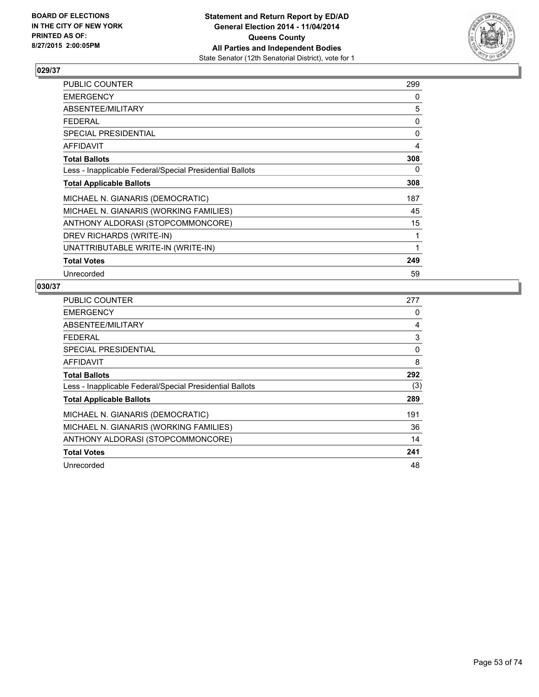

| PUBLIC COUNTER                                           | 299 |
|----------------------------------------------------------|-----|
| <b>EMERGENCY</b>                                         | 0   |
| ABSENTEE/MILITARY                                        | 5   |
| <b>FEDERAL</b>                                           | 0   |
| <b>SPECIAL PRESIDENTIAL</b>                              | 0   |
| <b>AFFIDAVIT</b>                                         | 4   |
| <b>Total Ballots</b>                                     | 308 |
| Less - Inapplicable Federal/Special Presidential Ballots | 0   |
| <b>Total Applicable Ballots</b>                          | 308 |
| MICHAEL N. GIANARIS (DEMOCRATIC)                         | 187 |
| MICHAEL N. GIANARIS (WORKING FAMILIES)                   | 45  |
| ANTHONY ALDORASI (STOPCOMMONCORE)                        | 15  |
| DREV RICHARDS (WRITE-IN)                                 | 1   |
| UNATTRIBUTABLE WRITE-IN (WRITE-IN)                       | 1   |
| <b>Total Votes</b>                                       | 249 |
| Unrecorded                                               | 59  |

| <b>PUBLIC COUNTER</b>                                    | 277 |
|----------------------------------------------------------|-----|
| <b>EMERGENCY</b>                                         | 0   |
| ABSENTEE/MILITARY                                        | 4   |
| <b>FEDERAL</b>                                           | 3   |
| SPECIAL PRESIDENTIAL                                     | 0   |
| AFFIDAVIT                                                | 8   |
| <b>Total Ballots</b>                                     | 292 |
| Less - Inapplicable Federal/Special Presidential Ballots | (3) |
| <b>Total Applicable Ballots</b>                          | 289 |
| MICHAEL N. GIANARIS (DEMOCRATIC)                         | 191 |
| MICHAEL N. GIANARIS (WORKING FAMILIES)                   | 36  |
| ANTHONY ALDORASI (STOPCOMMONCORE)                        | 14  |
| <b>Total Votes</b>                                       | 241 |
| Unrecorded                                               | 48  |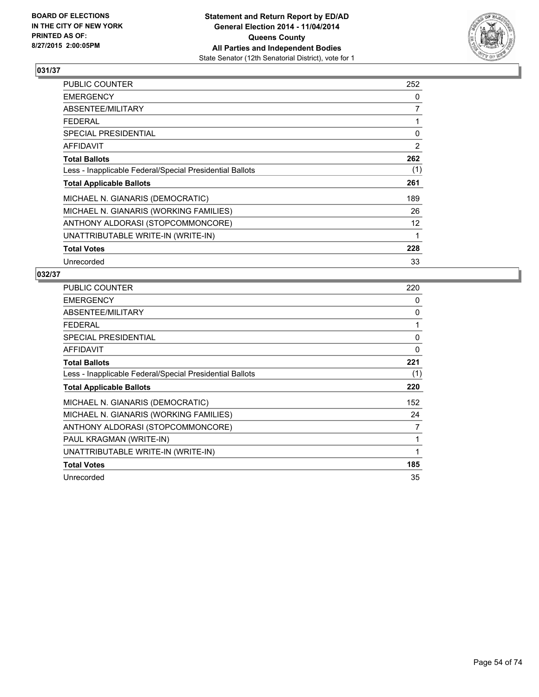

| <b>PUBLIC COUNTER</b>                                    | 252               |
|----------------------------------------------------------|-------------------|
| <b>EMERGENCY</b>                                         | 0                 |
| ABSENTEE/MILITARY                                        | $\overline{7}$    |
| <b>FEDERAL</b>                                           |                   |
| SPECIAL PRESIDENTIAL                                     | 0                 |
| <b>AFFIDAVIT</b>                                         | 2                 |
| <b>Total Ballots</b>                                     | 262               |
| Less - Inapplicable Federal/Special Presidential Ballots | (1)               |
| <b>Total Applicable Ballots</b>                          | 261               |
| MICHAEL N. GIANARIS (DEMOCRATIC)                         | 189               |
| MICHAEL N. GIANARIS (WORKING FAMILIES)                   | 26                |
| ANTHONY ALDORASI (STOPCOMMONCORE)                        | $12 \overline{ }$ |
| UNATTRIBUTABLE WRITE-IN (WRITE-IN)                       | 1                 |
| <b>Total Votes</b>                                       | 228               |
| Unrecorded                                               | 33                |

| <b>PUBLIC COUNTER</b>                                    | 220 |
|----------------------------------------------------------|-----|
| <b>EMERGENCY</b>                                         | 0   |
| ABSENTEE/MILITARY                                        | 0   |
| <b>FEDERAL</b>                                           | 1   |
| <b>SPECIAL PRESIDENTIAL</b>                              | 0   |
| AFFIDAVIT                                                | 0   |
| <b>Total Ballots</b>                                     | 221 |
| Less - Inapplicable Federal/Special Presidential Ballots | (1) |
| <b>Total Applicable Ballots</b>                          | 220 |
| MICHAEL N. GIANARIS (DEMOCRATIC)                         | 152 |
| MICHAEL N. GIANARIS (WORKING FAMILIES)                   | 24  |
| ANTHONY ALDORASI (STOPCOMMONCORE)                        | 7   |
| PAUL KRAGMAN (WRITE-IN)                                  | 1   |
| UNATTRIBUTABLE WRITE-IN (WRITE-IN)                       | 1   |
| <b>Total Votes</b>                                       | 185 |
| Unrecorded                                               | 35  |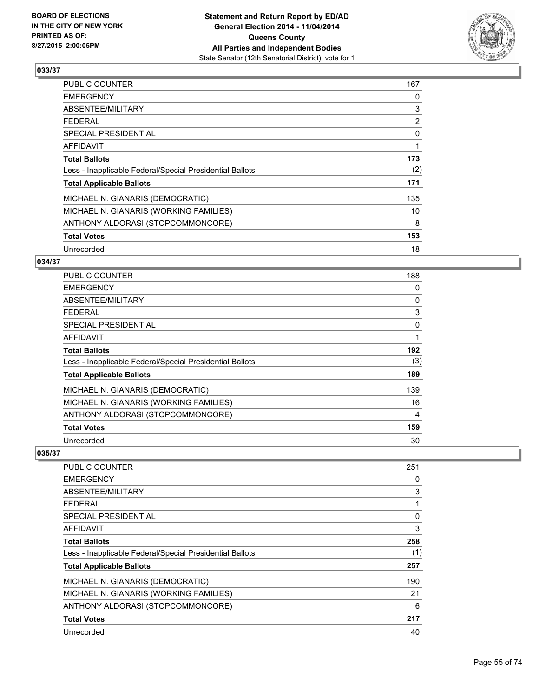

| <b>PUBLIC COUNTER</b>                                    | 167            |
|----------------------------------------------------------|----------------|
| <b>EMERGENCY</b>                                         | 0              |
| ABSENTEE/MILITARY                                        | 3              |
| <b>FEDERAL</b>                                           | $\overline{2}$ |
| <b>SPECIAL PRESIDENTIAL</b>                              | 0              |
| AFFIDAVIT                                                | 1              |
| <b>Total Ballots</b>                                     | 173            |
| Less - Inapplicable Federal/Special Presidential Ballots | (2)            |
| <b>Total Applicable Ballots</b>                          | 171            |
| MICHAEL N. GIANARIS (DEMOCRATIC)                         | 135            |
| MICHAEL N. GIANARIS (WORKING FAMILIES)                   | 10             |
| ANTHONY ALDORASI (STOPCOMMONCORE)                        | 8              |
| <b>Total Votes</b>                                       | 153            |
| Unrecorded                                               | 18             |

### **034/37**

| PUBLIC COUNTER                                           | 188 |
|----------------------------------------------------------|-----|
| <b>EMERGENCY</b>                                         | 0   |
| ABSENTEE/MILITARY                                        | 0   |
| <b>FEDERAL</b>                                           | 3   |
| <b>SPECIAL PRESIDENTIAL</b>                              | 0   |
| <b>AFFIDAVIT</b>                                         |     |
| <b>Total Ballots</b>                                     | 192 |
| Less - Inapplicable Federal/Special Presidential Ballots | (3) |
| <b>Total Applicable Ballots</b>                          | 189 |
| MICHAEL N. GIANARIS (DEMOCRATIC)                         | 139 |
| MICHAEL N. GIANARIS (WORKING FAMILIES)                   | 16  |
| ANTHONY ALDORASI (STOPCOMMONCORE)                        | 4   |
| <b>Total Votes</b>                                       | 159 |
| Unrecorded                                               | 30  |

| <b>PUBLIC COUNTER</b>                                    | 251 |
|----------------------------------------------------------|-----|
| <b>EMERGENCY</b>                                         | 0   |
| ABSENTEE/MILITARY                                        | 3   |
| <b>FEDERAL</b>                                           |     |
| SPECIAL PRESIDENTIAL                                     | 0   |
| AFFIDAVIT                                                | 3   |
| <b>Total Ballots</b>                                     | 258 |
| Less - Inapplicable Federal/Special Presidential Ballots | (1) |
| <b>Total Applicable Ballots</b>                          | 257 |
| MICHAEL N. GIANARIS (DEMOCRATIC)                         | 190 |
| MICHAEL N. GIANARIS (WORKING FAMILIES)                   | 21  |
| ANTHONY ALDORASI (STOPCOMMONCORE)                        | 6   |
| <b>Total Votes</b>                                       | 217 |
| Unrecorded                                               | 40  |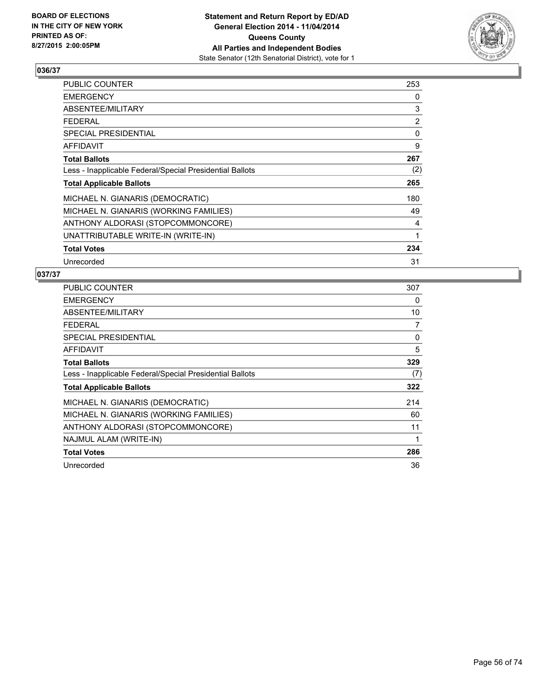

| <b>PUBLIC COUNTER</b>                                    | 253 |
|----------------------------------------------------------|-----|
| <b>EMERGENCY</b>                                         | 0   |
| ABSENTEE/MILITARY                                        | 3   |
| <b>FEDERAL</b>                                           | 2   |
| <b>SPECIAL PRESIDENTIAL</b>                              | 0   |
| <b>AFFIDAVIT</b>                                         | 9   |
| <b>Total Ballots</b>                                     | 267 |
| Less - Inapplicable Federal/Special Presidential Ballots | (2) |
| <b>Total Applicable Ballots</b>                          | 265 |
| MICHAEL N. GIANARIS (DEMOCRATIC)                         | 180 |
| MICHAEL N. GIANARIS (WORKING FAMILIES)                   | 49  |
| ANTHONY ALDORASI (STOPCOMMONCORE)                        | 4   |
| UNATTRIBUTABLE WRITE-IN (WRITE-IN)                       | 1   |
| <b>Total Votes</b>                                       | 234 |
| Unrecorded                                               | 31  |

| <b>PUBLIC COUNTER</b>                                    | 307 |
|----------------------------------------------------------|-----|
| <b>EMERGENCY</b>                                         | 0   |
| ABSENTEE/MILITARY                                        | 10  |
| <b>FEDERAL</b>                                           | 7   |
| <b>SPECIAL PRESIDENTIAL</b>                              | 0   |
| AFFIDAVIT                                                | 5   |
| <b>Total Ballots</b>                                     | 329 |
| Less - Inapplicable Federal/Special Presidential Ballots | (7) |
| <b>Total Applicable Ballots</b>                          | 322 |
| MICHAEL N. GIANARIS (DEMOCRATIC)                         | 214 |
| MICHAEL N. GIANARIS (WORKING FAMILIES)                   | 60  |
| ANTHONY ALDORASI (STOPCOMMONCORE)                        | 11  |
| NAJMUL ALAM (WRITE-IN)                                   | 1   |
| <b>Total Votes</b>                                       | 286 |
| Unrecorded                                               | 36  |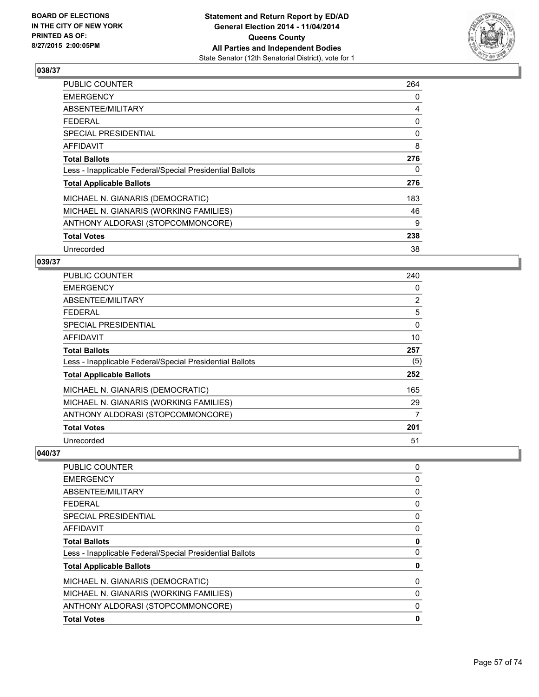

| <b>PUBLIC COUNTER</b>                                    | 264 |
|----------------------------------------------------------|-----|
| <b>EMERGENCY</b>                                         | 0   |
| ABSENTEE/MILITARY                                        | 4   |
| <b>FEDERAL</b>                                           | 0   |
| <b>SPECIAL PRESIDENTIAL</b>                              | 0   |
| AFFIDAVIT                                                | 8   |
| <b>Total Ballots</b>                                     | 276 |
| Less - Inapplicable Federal/Special Presidential Ballots | 0   |
| <b>Total Applicable Ballots</b>                          | 276 |
| MICHAEL N. GIANARIS (DEMOCRATIC)                         | 183 |
| MICHAEL N. GIANARIS (WORKING FAMILIES)                   | 46  |
| ANTHONY ALDORASI (STOPCOMMONCORE)                        | 9   |
| <b>Total Votes</b>                                       | 238 |
| Unrecorded                                               | 38  |

## **039/37**

| PUBLIC COUNTER                                           | 240            |
|----------------------------------------------------------|----------------|
| <b>EMERGENCY</b>                                         | 0              |
| ABSENTEE/MILITARY                                        | $\overline{2}$ |
| <b>FEDERAL</b>                                           | 5              |
| <b>SPECIAL PRESIDENTIAL</b>                              | 0              |
| AFFIDAVIT                                                | 10             |
| <b>Total Ballots</b>                                     | 257            |
| Less - Inapplicable Federal/Special Presidential Ballots | (5)            |
| <b>Total Applicable Ballots</b>                          | 252            |
| MICHAEL N. GIANARIS (DEMOCRATIC)                         | 165            |
| MICHAEL N. GIANARIS (WORKING FAMILIES)                   | 29             |
| ANTHONY ALDORASI (STOPCOMMONCORE)                        | 7              |
| <b>Total Votes</b>                                       | 201            |
| Unrecorded                                               | 51             |

| PUBLIC COUNTER                                           | 0        |
|----------------------------------------------------------|----------|
| <b>EMERGENCY</b>                                         | 0        |
| ABSENTEE/MILITARY                                        | 0        |
| <b>FEDERAL</b>                                           | 0        |
| <b>SPECIAL PRESIDENTIAL</b>                              | 0        |
| <b>AFFIDAVIT</b>                                         | 0        |
| <b>Total Ballots</b>                                     | 0        |
| Less - Inapplicable Federal/Special Presidential Ballots | 0        |
| <b>Total Applicable Ballots</b>                          | 0        |
| MICHAEL N. GIANARIS (DEMOCRATIC)                         | 0        |
| MICHAEL N. GIANARIS (WORKING FAMILIES)                   | 0        |
| ANTHONY ALDORASI (STOPCOMMONCORE)                        | $\Omega$ |
| <b>Total Votes</b>                                       | 0        |
|                                                          |          |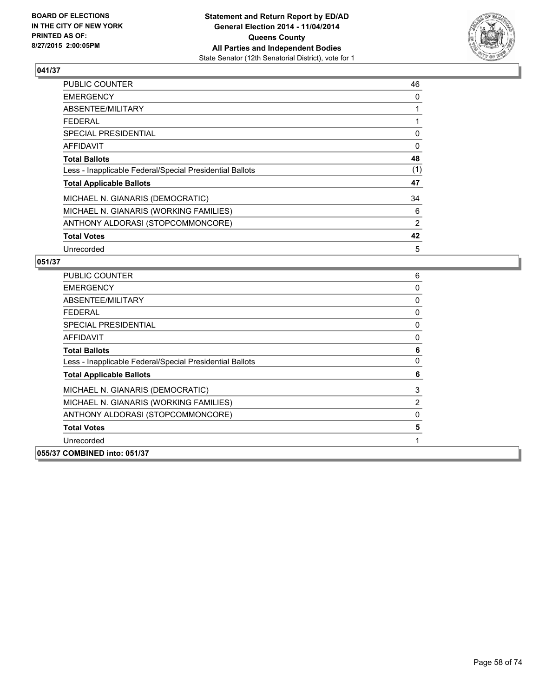

| PUBLIC COUNTER                                           | 46             |
|----------------------------------------------------------|----------------|
| <b>EMERGENCY</b>                                         | 0              |
| ABSENTEE/MILITARY                                        |                |
| <b>FEDERAL</b>                                           |                |
| <b>SPECIAL PRESIDENTIAL</b>                              | 0              |
| AFFIDAVIT                                                | $\Omega$       |
| <b>Total Ballots</b>                                     | 48             |
| Less - Inapplicable Federal/Special Presidential Ballots | (1)            |
| <b>Total Applicable Ballots</b>                          | 47             |
| MICHAEL N. GIANARIS (DEMOCRATIC)                         | 34             |
| MICHAEL N. GIANARIS (WORKING FAMILIES)                   | 6              |
| ANTHONY ALDORASI (STOPCOMMONCORE)                        | $\overline{2}$ |
| <b>Total Votes</b>                                       | 42             |
| Unrecorded                                               | 5              |

| <b>PUBLIC COUNTER</b>                                    | 6            |
|----------------------------------------------------------|--------------|
| <b>EMERGENCY</b>                                         | 0            |
| ABSENTEE/MILITARY                                        | 0            |
| <b>FEDERAL</b>                                           | 0            |
| SPECIAL PRESIDENTIAL                                     | 0            |
| <b>AFFIDAVIT</b>                                         | 0            |
| <b>Total Ballots</b>                                     | 6            |
| Less - Inapplicable Federal/Special Presidential Ballots | $\mathbf{0}$ |
| <b>Total Applicable Ballots</b>                          | 6            |
| MICHAEL N. GIANARIS (DEMOCRATIC)                         | 3            |
| MICHAEL N. GIANARIS (WORKING FAMILIES)                   | 2            |
| ANTHONY ALDORASI (STOPCOMMONCORE)                        | 0            |
| <b>Total Votes</b>                                       | 5            |
| Unrecorded                                               |              |
| 055/37 COMBINED into: 051/37                             |              |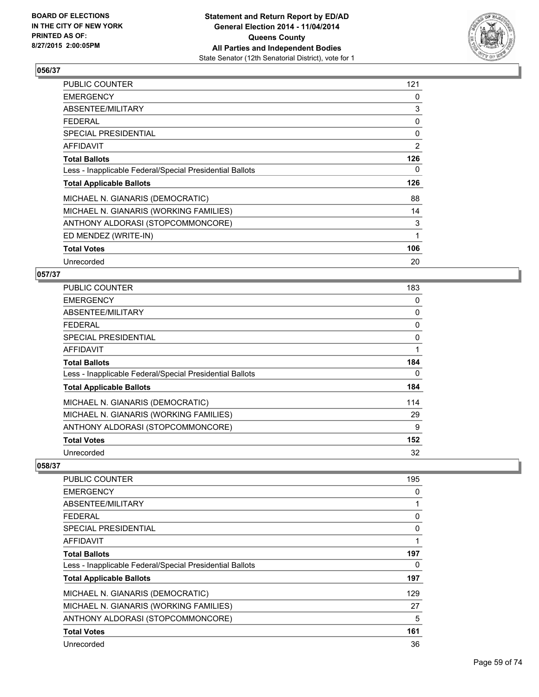

| PUBLIC COUNTER                                           | 121 |
|----------------------------------------------------------|-----|
| <b>EMERGENCY</b>                                         | 0   |
| ABSENTEE/MILITARY                                        | 3   |
| <b>FEDERAL</b>                                           | 0   |
| <b>SPECIAL PRESIDENTIAL</b>                              | 0   |
| AFFIDAVIT                                                | 2   |
| <b>Total Ballots</b>                                     | 126 |
| Less - Inapplicable Federal/Special Presidential Ballots | 0   |
| <b>Total Applicable Ballots</b>                          | 126 |
| MICHAEL N. GIANARIS (DEMOCRATIC)                         | 88  |
| MICHAEL N. GIANARIS (WORKING FAMILIES)                   | 14  |
| ANTHONY ALDORASI (STOPCOMMONCORE)                        | 3   |
| ED MENDEZ (WRITE-IN)                                     | 1   |
| <b>Total Votes</b>                                       | 106 |
| Unrecorded                                               | 20  |

## **057/37**

| PUBLIC COUNTER                                           | 183 |
|----------------------------------------------------------|-----|
| <b>EMERGENCY</b>                                         | 0   |
| ABSENTEE/MILITARY                                        | 0   |
| <b>FEDERAL</b>                                           | 0   |
| <b>SPECIAL PRESIDENTIAL</b>                              | 0   |
| <b>AFFIDAVIT</b>                                         |     |
| <b>Total Ballots</b>                                     | 184 |
| Less - Inapplicable Federal/Special Presidential Ballots | 0   |
| <b>Total Applicable Ballots</b>                          | 184 |
| MICHAEL N. GIANARIS (DEMOCRATIC)                         | 114 |
| MICHAEL N. GIANARIS (WORKING FAMILIES)                   | 29  |
| ANTHONY ALDORASI (STOPCOMMONCORE)                        | 9   |
| <b>Total Votes</b>                                       | 152 |
| Unrecorded                                               | 32  |

| <b>PUBLIC COUNTER</b>                                    | 195 |
|----------------------------------------------------------|-----|
| <b>EMERGENCY</b>                                         | 0   |
| ABSENTEE/MILITARY                                        |     |
| <b>FEDERAL</b>                                           | 0   |
| <b>SPECIAL PRESIDENTIAL</b>                              | 0   |
| AFFIDAVIT                                                |     |
| <b>Total Ballots</b>                                     | 197 |
| Less - Inapplicable Federal/Special Presidential Ballots | 0   |
| <b>Total Applicable Ballots</b>                          | 197 |
| MICHAEL N. GIANARIS (DEMOCRATIC)                         | 129 |
| MICHAEL N. GIANARIS (WORKING FAMILIES)                   | 27  |
| ANTHONY ALDORASI (STOPCOMMONCORE)                        | 5   |
| <b>Total Votes</b>                                       | 161 |
| Unrecorded                                               | 36  |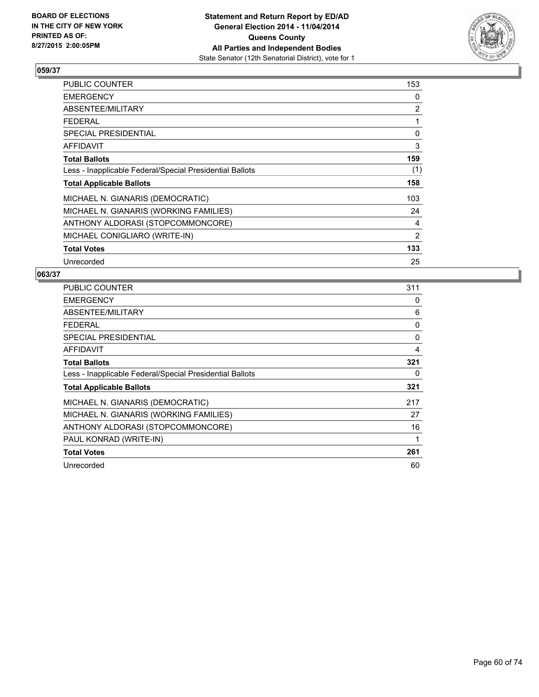

| <b>PUBLIC COUNTER</b>                                    | 153          |
|----------------------------------------------------------|--------------|
| <b>EMERGENCY</b>                                         | 0            |
| ABSENTEE/MILITARY                                        | 2            |
| <b>FEDERAL</b>                                           | 1            |
| <b>SPECIAL PRESIDENTIAL</b>                              | $\mathbf{0}$ |
| <b>AFFIDAVIT</b>                                         | 3            |
| <b>Total Ballots</b>                                     | 159          |
| Less - Inapplicable Federal/Special Presidential Ballots | (1)          |
| <b>Total Applicable Ballots</b>                          | 158          |
| MICHAEL N. GIANARIS (DEMOCRATIC)                         | 103          |
| MICHAEL N. GIANARIS (WORKING FAMILIES)                   | 24           |
| ANTHONY ALDORASI (STOPCOMMONCORE)                        | 4            |
| MICHAEL CONIGLIARO (WRITE-IN)                            | 2            |
| <b>Total Votes</b>                                       | 133          |
| Unrecorded                                               | 25           |

| <b>PUBLIC COUNTER</b>                                    | 311 |
|----------------------------------------------------------|-----|
| <b>EMERGENCY</b>                                         | 0   |
| ABSENTEE/MILITARY                                        | 6   |
| <b>FEDERAL</b>                                           | 0   |
| <b>SPECIAL PRESIDENTIAL</b>                              | 0   |
| <b>AFFIDAVIT</b>                                         | 4   |
| <b>Total Ballots</b>                                     | 321 |
| Less - Inapplicable Federal/Special Presidential Ballots | 0   |
| <b>Total Applicable Ballots</b>                          | 321 |
| MICHAEL N. GIANARIS (DEMOCRATIC)                         | 217 |
| MICHAEL N. GIANARIS (WORKING FAMILIES)                   | 27  |
| ANTHONY ALDORASI (STOPCOMMONCORE)                        | 16  |
| PAUL KONRAD (WRITE-IN)                                   | 1   |
| <b>Total Votes</b>                                       | 261 |
| Unrecorded                                               | 60  |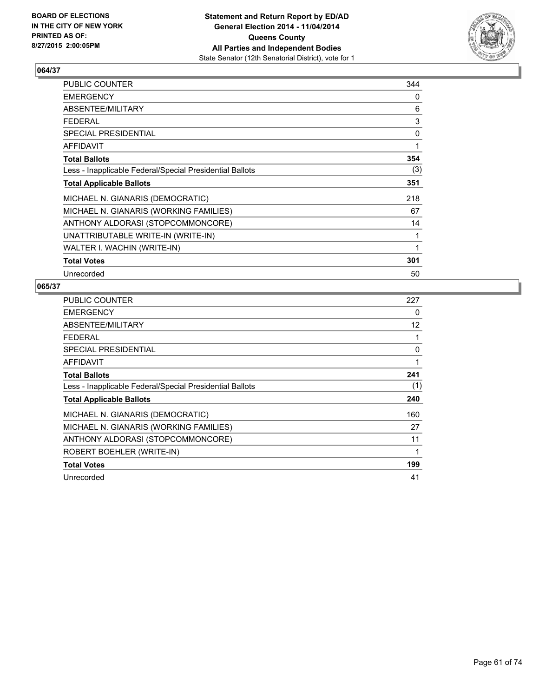

| PUBLIC COUNTER                                           | 344 |
|----------------------------------------------------------|-----|
| <b>EMERGENCY</b>                                         | 0   |
| ABSENTEE/MILITARY                                        | 6   |
| <b>FEDERAL</b>                                           | 3   |
| <b>SPECIAL PRESIDENTIAL</b>                              | 0   |
| <b>AFFIDAVIT</b>                                         | 1   |
| <b>Total Ballots</b>                                     | 354 |
| Less - Inapplicable Federal/Special Presidential Ballots | (3) |
| <b>Total Applicable Ballots</b>                          | 351 |
| MICHAEL N. GIANARIS (DEMOCRATIC)                         | 218 |
| MICHAEL N. GIANARIS (WORKING FAMILIES)                   | 67  |
| ANTHONY ALDORASI (STOPCOMMONCORE)                        | 14  |
| UNATTRIBUTABLE WRITE-IN (WRITE-IN)                       | 1   |
| WALTER I. WACHIN (WRITE-IN)                              | 1   |
| <b>Total Votes</b>                                       | 301 |
| Unrecorded                                               | 50  |

| <b>PUBLIC COUNTER</b>                                    | 227 |
|----------------------------------------------------------|-----|
| <b>EMERGENCY</b>                                         | 0   |
| ABSENTEE/MILITARY                                        | 12  |
| <b>FEDERAL</b>                                           | 1   |
| <b>SPECIAL PRESIDENTIAL</b>                              | 0   |
| <b>AFFIDAVIT</b>                                         | 1   |
| <b>Total Ballots</b>                                     | 241 |
| Less - Inapplicable Federal/Special Presidential Ballots | (1) |
| <b>Total Applicable Ballots</b>                          | 240 |
| MICHAEL N. GIANARIS (DEMOCRATIC)                         | 160 |
| MICHAEL N. GIANARIS (WORKING FAMILIES)                   | 27  |
| ANTHONY ALDORASI (STOPCOMMONCORE)                        | 11  |
| ROBERT BOEHLER (WRITE-IN)                                | 1   |
| <b>Total Votes</b>                                       | 199 |
| Unrecorded                                               | 41  |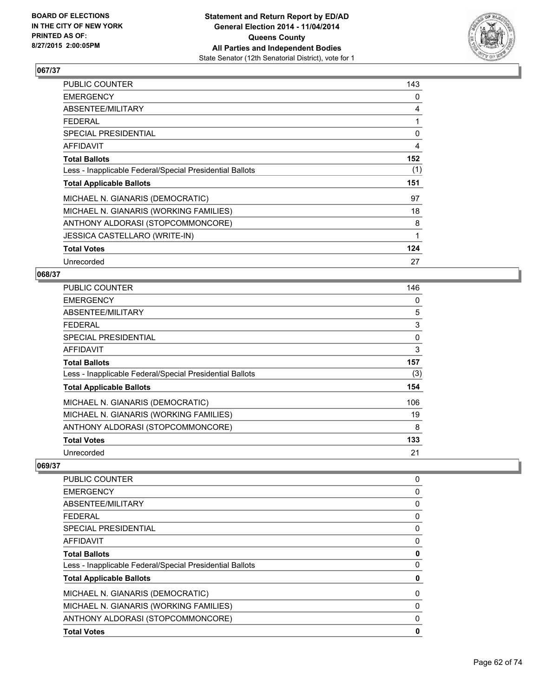

| <b>PUBLIC COUNTER</b>                                    | 143 |
|----------------------------------------------------------|-----|
| <b>EMERGENCY</b>                                         | 0   |
| ABSENTEE/MILITARY                                        | 4   |
| <b>FEDERAL</b>                                           | 1   |
| <b>SPECIAL PRESIDENTIAL</b>                              | 0   |
| AFFIDAVIT                                                | 4   |
| <b>Total Ballots</b>                                     | 152 |
| Less - Inapplicable Federal/Special Presidential Ballots | (1) |
| <b>Total Applicable Ballots</b>                          | 151 |
| MICHAEL N. GIANARIS (DEMOCRATIC)                         | 97  |
| MICHAEL N. GIANARIS (WORKING FAMILIES)                   | 18  |
| ANTHONY ALDORASI (STOPCOMMONCORE)                        | 8   |
| <b>JESSICA CASTELLARO (WRITE-IN)</b>                     | 1   |
| <b>Total Votes</b>                                       | 124 |
| Unrecorded                                               | 27  |

### **068/37**

| <b>PUBLIC COUNTER</b>                                    | 146 |
|----------------------------------------------------------|-----|
| <b>EMERGENCY</b>                                         | 0   |
| ABSENTEE/MILITARY                                        | 5   |
| <b>FEDERAL</b>                                           | 3   |
| SPECIAL PRESIDENTIAL                                     | 0   |
| <b>AFFIDAVIT</b>                                         | 3   |
| <b>Total Ballots</b>                                     | 157 |
| Less - Inapplicable Federal/Special Presidential Ballots | (3) |
| <b>Total Applicable Ballots</b>                          | 154 |
| MICHAEL N. GIANARIS (DEMOCRATIC)                         | 106 |
| MICHAEL N. GIANARIS (WORKING FAMILIES)                   | 19  |
| ANTHONY ALDORASI (STOPCOMMONCORE)                        | 8   |
| <b>Total Votes</b>                                       | 133 |
| Unrecorded                                               | 21  |

| <b>PUBLIC COUNTER</b>                                    | 0 |
|----------------------------------------------------------|---|
| <b>EMERGENCY</b>                                         | 0 |
| ABSENTEE/MILITARY                                        | 0 |
| <b>FEDERAL</b>                                           | 0 |
| <b>SPECIAL PRESIDENTIAL</b>                              | 0 |
| <b>AFFIDAVIT</b>                                         | 0 |
| <b>Total Ballots</b>                                     | 0 |
| Less - Inapplicable Federal/Special Presidential Ballots | 0 |
| <b>Total Applicable Ballots</b>                          | 0 |
| MICHAEL N. GIANARIS (DEMOCRATIC)                         | 0 |
| MICHAEL N. GIANARIS (WORKING FAMILIES)                   | 0 |
| ANTHONY ALDORASI (STOPCOMMONCORE)                        | 0 |
| <b>Total Votes</b>                                       | 0 |
|                                                          |   |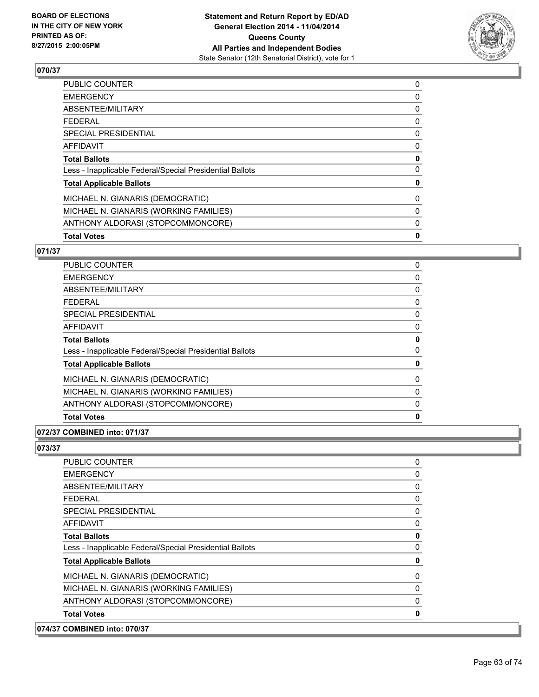

| <b>Total Votes</b>                                       | 0 |
|----------------------------------------------------------|---|
| ANTHONY ALDORASI (STOPCOMMONCORE)                        | 0 |
| MICHAEL N. GIANARIS (WORKING FAMILIES)                   | 0 |
| MICHAEL N. GIANARIS (DEMOCRATIC)                         | 0 |
| <b>Total Applicable Ballots</b>                          | 0 |
| Less - Inapplicable Federal/Special Presidential Ballots | 0 |
| <b>Total Ballots</b>                                     | 0 |
| <b>AFFIDAVIT</b>                                         | 0 |
| <b>SPECIAL PRESIDENTIAL</b>                              | 0 |
| <b>FEDERAL</b>                                           | 0 |
| <b>ABSENTEE/MILITARY</b>                                 | 0 |
| <b>EMERGENCY</b>                                         | 0 |
| PUBLIC COUNTER                                           | 0 |

## **071/37**

| <b>PUBLIC COUNTER</b>                                    | 0 |
|----------------------------------------------------------|---|
| <b>EMERGENCY</b>                                         | 0 |
| ABSENTEE/MILITARY                                        | 0 |
| FFDFRAI                                                  | 0 |
| SPECIAL PRESIDENTIAL                                     | 0 |
| AFFIDAVIT                                                | 0 |
| <b>Total Ballots</b>                                     | 0 |
| Less - Inapplicable Federal/Special Presidential Ballots | 0 |
| <b>Total Applicable Ballots</b>                          | 0 |
| MICHAEL N. GIANARIS (DEMOCRATIC)                         | 0 |
| MICHAEL N. GIANARIS (WORKING FAMILIES)                   | 0 |
| ANTHONY ALDORASI (STOPCOMMONCORE)                        | 0 |
| <b>Total Votes</b>                                       | 0 |

## **072/37 COMBINED into: 071/37**

**073/37** 

| <b>COMBINED into: 070/37</b>                             |             |
|----------------------------------------------------------|-------------|
| <b>Total Votes</b>                                       | $\mathbf 0$ |
| ANTHONY ALDORASI (STOPCOMMONCORE)                        | 0           |
| MICHAEL N. GIANARIS (WORKING FAMILIES)                   | 0           |
| MICHAEL N. GIANARIS (DEMOCRATIC)                         | 0           |
| <b>Total Applicable Ballots</b>                          | 0           |
| Less - Inapplicable Federal/Special Presidential Ballots | 0           |
| <b>Total Ballots</b>                                     | $\mathbf 0$ |
| AFFIDAVIT                                                | 0           |
| <b>SPECIAL PRESIDENTIAL</b>                              | 0           |
| FEDERAL                                                  | 0           |
| ABSENTEE/MILITARY                                        | 0           |
| <b>EMERGENCY</b>                                         | 0           |
| <b>PUBLIC COUNTER</b>                                    | 0           |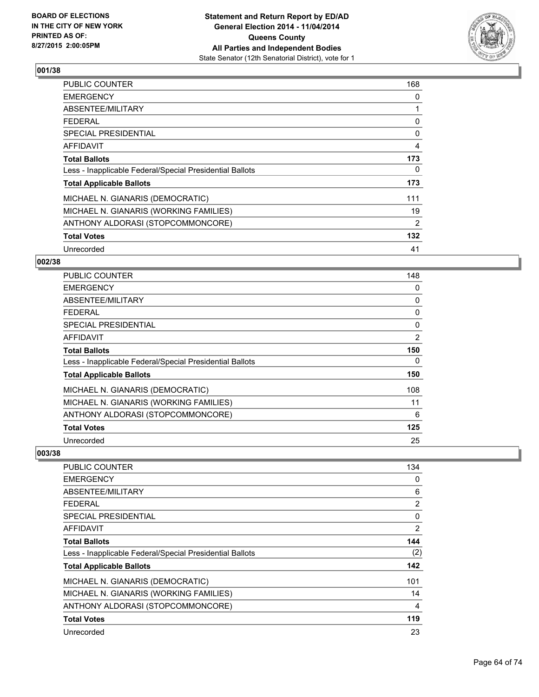

| <b>PUBLIC COUNTER</b>                                    | 168            |
|----------------------------------------------------------|----------------|
| <b>EMERGENCY</b>                                         | 0              |
| ABSENTEE/MILITARY                                        |                |
| <b>FEDERAL</b>                                           | 0              |
| SPECIAL PRESIDENTIAL                                     | 0              |
| <b>AFFIDAVIT</b>                                         | $\overline{4}$ |
| <b>Total Ballots</b>                                     | 173            |
| Less - Inapplicable Federal/Special Presidential Ballots | 0              |
| <b>Total Applicable Ballots</b>                          | 173            |
| MICHAEL N. GIANARIS (DEMOCRATIC)                         | 111            |
| MICHAEL N. GIANARIS (WORKING FAMILIES)                   | 19             |
| ANTHONY ALDORASI (STOPCOMMONCORE)                        | 2              |
| <b>Total Votes</b>                                       | 132            |
| Unrecorded                                               | 41             |

## **002/38**

| PUBLIC COUNTER                                           | 148      |
|----------------------------------------------------------|----------|
| <b>EMERGENCY</b>                                         | 0        |
| ABSENTEE/MILITARY                                        | 0        |
| <b>FEDERAL</b>                                           | 0        |
| SPECIAL PRESIDENTIAL                                     | $\Omega$ |
| AFFIDAVIT                                                | 2        |
| <b>Total Ballots</b>                                     | 150      |
| Less - Inapplicable Federal/Special Presidential Ballots | 0        |
| <b>Total Applicable Ballots</b>                          | 150      |
| MICHAEL N. GIANARIS (DEMOCRATIC)                         | 108      |
| MICHAEL N. GIANARIS (WORKING FAMILIES)                   | 11       |
| ANTHONY ALDORASI (STOPCOMMONCORE)                        | 6        |
| <b>Total Votes</b>                                       | 125      |
| Unrecorded                                               | 25       |

| <b>PUBLIC COUNTER</b>                                    | 134            |
|----------------------------------------------------------|----------------|
| <b>EMERGENCY</b>                                         | 0              |
| ABSENTEE/MILITARY                                        | 6              |
| <b>FEDERAL</b>                                           | $\overline{2}$ |
| SPECIAL PRESIDENTIAL                                     | 0              |
| AFFIDAVIT                                                | 2              |
| <b>Total Ballots</b>                                     | 144            |
| Less - Inapplicable Federal/Special Presidential Ballots | (2)            |
| <b>Total Applicable Ballots</b>                          | 142            |
| MICHAEL N. GIANARIS (DEMOCRATIC)                         | 101            |
| MICHAEL N. GIANARIS (WORKING FAMILIES)                   | 14             |
| ANTHONY ALDORASI (STOPCOMMONCORE)                        | 4              |
| <b>Total Votes</b>                                       | 119            |
| Unrecorded                                               | 23             |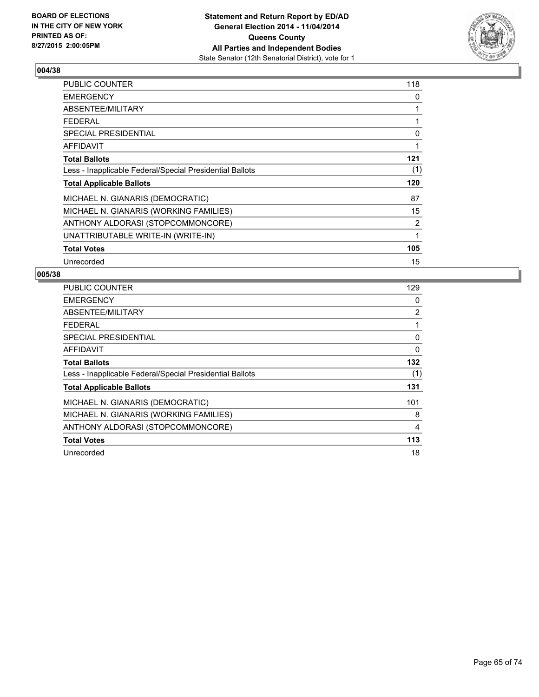

| <b>PUBLIC COUNTER</b>                                    | 118 |
|----------------------------------------------------------|-----|
| <b>EMERGENCY</b>                                         | 0   |
| ABSENTEE/MILITARY                                        | 1   |
| <b>FEDERAL</b>                                           | 1   |
| <b>SPECIAL PRESIDENTIAL</b>                              | 0   |
| <b>AFFIDAVIT</b>                                         | 1   |
| <b>Total Ballots</b>                                     | 121 |
| Less - Inapplicable Federal/Special Presidential Ballots | (1) |
| <b>Total Applicable Ballots</b>                          | 120 |
| MICHAEL N. GIANARIS (DEMOCRATIC)                         | 87  |
| MICHAEL N. GIANARIS (WORKING FAMILIES)                   | 15  |
| ANTHONY ALDORASI (STOPCOMMONCORE)                        | 2   |
| UNATTRIBUTABLE WRITE-IN (WRITE-IN)                       | 1   |
| <b>Total Votes</b>                                       | 105 |
| Unrecorded                                               | 15  |

| PUBLIC COUNTER                                           | 129      |
|----------------------------------------------------------|----------|
| <b>EMERGENCY</b>                                         | 0        |
| ABSENTEE/MILITARY                                        | 2        |
| FEDERAL                                                  | 1        |
| SPECIAL PRESIDENTIAL                                     | 0        |
| AFFIDAVIT                                                | $\Omega$ |
| <b>Total Ballots</b>                                     | 132      |
| Less - Inapplicable Federal/Special Presidential Ballots | (1)      |
| <b>Total Applicable Ballots</b>                          | 131      |
| MICHAEL N. GIANARIS (DEMOCRATIC)                         | 101      |
| MICHAEL N. GIANARIS (WORKING FAMILIES)                   | 8        |
| ANTHONY ALDORASI (STOPCOMMONCORE)                        | 4        |
| <b>Total Votes</b>                                       | 113      |
| Unrecorded                                               | 18       |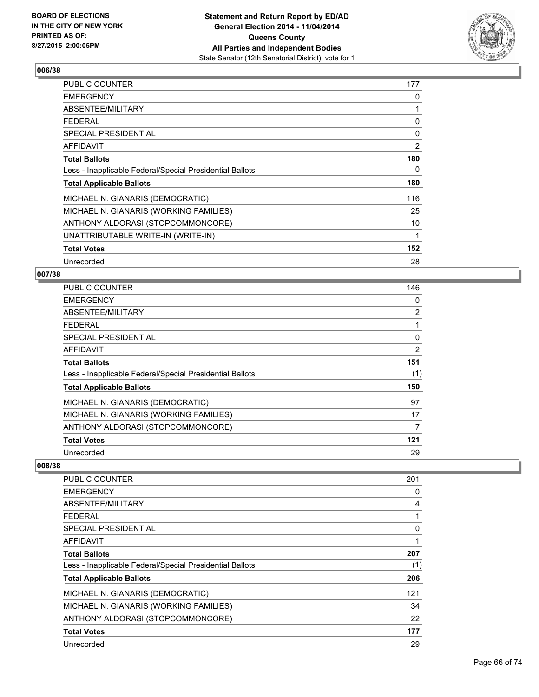

| <b>PUBLIC COUNTER</b>                                    | 177 |
|----------------------------------------------------------|-----|
| <b>EMERGENCY</b>                                         | 0   |
| ABSENTEE/MILITARY                                        | 1   |
| <b>FEDERAL</b>                                           | 0   |
| <b>SPECIAL PRESIDENTIAL</b>                              | 0   |
| <b>AFFIDAVIT</b>                                         | 2   |
| <b>Total Ballots</b>                                     | 180 |
| Less - Inapplicable Federal/Special Presidential Ballots | 0   |
| <b>Total Applicable Ballots</b>                          | 180 |
| MICHAEL N. GIANARIS (DEMOCRATIC)                         | 116 |
| MICHAEL N. GIANARIS (WORKING FAMILIES)                   | 25  |
| ANTHONY ALDORASI (STOPCOMMONCORE)                        | 10  |
| UNATTRIBUTABLE WRITE-IN (WRITE-IN)                       | 1   |
| <b>Total Votes</b>                                       | 152 |
| Unrecorded                                               | 28  |

### **007/38**

| <b>PUBLIC COUNTER</b>                                    | 146            |
|----------------------------------------------------------|----------------|
| <b>EMERGENCY</b>                                         | 0              |
| ABSENTEE/MILITARY                                        | $\overline{2}$ |
| <b>FEDERAL</b>                                           |                |
| <b>SPECIAL PRESIDENTIAL</b>                              | 0              |
| AFFIDAVIT                                                | 2              |
| <b>Total Ballots</b>                                     | 151            |
| Less - Inapplicable Federal/Special Presidential Ballots | (1)            |
| <b>Total Applicable Ballots</b>                          | 150            |
| MICHAEL N. GIANARIS (DEMOCRATIC)                         | 97             |
| MICHAEL N. GIANARIS (WORKING FAMILIES)                   | 17             |
| ANTHONY ALDORASI (STOPCOMMONCORE)                        | 7              |
| <b>Total Votes</b>                                       | 121            |
| Unrecorded                                               | 29             |

| <b>PUBLIC COUNTER</b>                                    | 201 |
|----------------------------------------------------------|-----|
| <b>EMERGENCY</b>                                         | 0   |
| ABSENTEE/MILITARY                                        | 4   |
| <b>FEDERAL</b>                                           | 1   |
| SPECIAL PRESIDENTIAL                                     | 0   |
| <b>AFFIDAVIT</b>                                         |     |
| <b>Total Ballots</b>                                     | 207 |
| Less - Inapplicable Federal/Special Presidential Ballots | (1) |
| <b>Total Applicable Ballots</b>                          | 206 |
| MICHAEL N. GIANARIS (DEMOCRATIC)                         | 121 |
| MICHAEL N. GIANARIS (WORKING FAMILIES)                   | 34  |
| ANTHONY ALDORASI (STOPCOMMONCORE)                        | 22  |
| <b>Total Votes</b>                                       | 177 |
| Unrecorded                                               | 29  |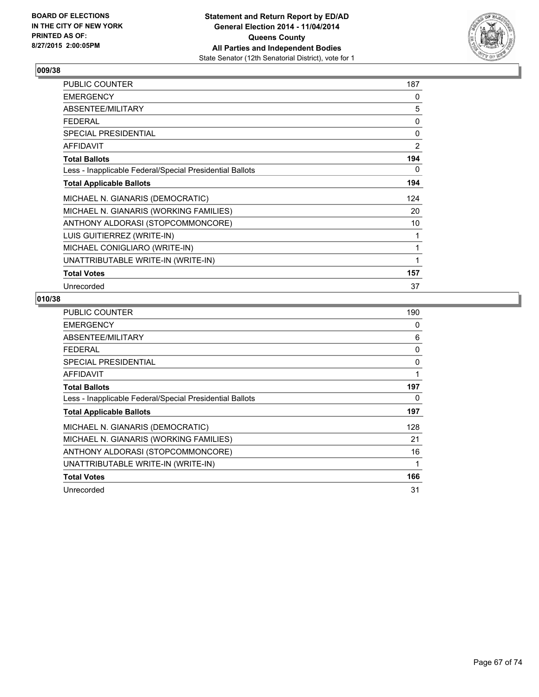

| PUBLIC COUNTER                                           | 187            |
|----------------------------------------------------------|----------------|
| <b>EMERGENCY</b>                                         | 0              |
| ABSENTEE/MILITARY                                        | 5              |
| <b>FEDERAL</b>                                           | 0              |
| <b>SPECIAL PRESIDENTIAL</b>                              | 0              |
| <b>AFFIDAVIT</b>                                         | $\overline{2}$ |
| <b>Total Ballots</b>                                     | 194            |
| Less - Inapplicable Federal/Special Presidential Ballots | 0              |
| <b>Total Applicable Ballots</b>                          | 194            |
| MICHAEL N. GIANARIS (DEMOCRATIC)                         | 124            |
| MICHAEL N. GIANARIS (WORKING FAMILIES)                   | 20             |
| ANTHONY ALDORASI (STOPCOMMONCORE)                        | 10             |
| LUIS GUITIERREZ (WRITE-IN)                               | 1              |
| MICHAEL CONIGLIARO (WRITE-IN)                            | 1              |
| UNATTRIBUTABLE WRITE-IN (WRITE-IN)                       | 1              |
| <b>Total Votes</b>                                       | 157            |
| Unrecorded                                               | 37             |

| <b>PUBLIC COUNTER</b>                                    | 190 |
|----------------------------------------------------------|-----|
| <b>EMERGENCY</b>                                         | 0   |
| ABSENTEE/MILITARY                                        | 6   |
| <b>FEDERAL</b>                                           | 0   |
| <b>SPECIAL PRESIDENTIAL</b>                              | 0   |
| <b>AFFIDAVIT</b>                                         | 1   |
| <b>Total Ballots</b>                                     | 197 |
| Less - Inapplicable Federal/Special Presidential Ballots | 0   |
| <b>Total Applicable Ballots</b>                          | 197 |
| MICHAEL N. GIANARIS (DEMOCRATIC)                         | 128 |
| MICHAEL N. GIANARIS (WORKING FAMILIES)                   | 21  |
| ANTHONY ALDORASI (STOPCOMMONCORE)                        | 16  |
| UNATTRIBUTABLE WRITE-IN (WRITE-IN)                       | 1   |
| <b>Total Votes</b>                                       | 166 |
| Unrecorded                                               | 31  |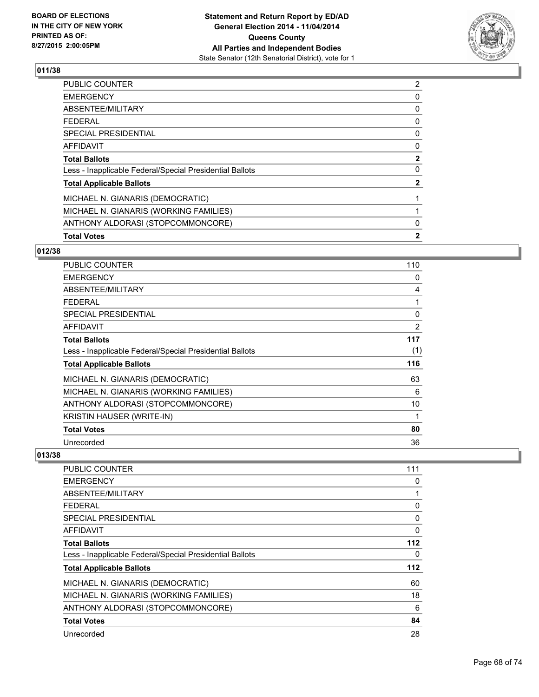

| <b>Total Votes</b>                                       | $\mathbf{2}$   |
|----------------------------------------------------------|----------------|
| ANTHONY ALDORASI (STOPCOMMONCORE)                        | 0              |
| MICHAEL N. GIANARIS (WORKING FAMILIES)                   |                |
| MICHAEL N. GIANARIS (DEMOCRATIC)                         |                |
| <b>Total Applicable Ballots</b>                          | $\mathbf{2}$   |
| Less - Inapplicable Federal/Special Presidential Ballots | 0              |
| <b>Total Ballots</b>                                     | $\overline{2}$ |
| <b>AFFIDAVIT</b>                                         | 0              |
| <b>SPECIAL PRESIDENTIAL</b>                              | 0              |
| <b>FEDERAL</b>                                           | 0              |
| <b>ABSENTEE/MILITARY</b>                                 | 0              |
| <b>EMERGENCY</b>                                         | 0              |
| <b>PUBLIC COUNTER</b>                                    | $\overline{2}$ |

### **012/38**

| <b>PUBLIC COUNTER</b>                                    | 110 |
|----------------------------------------------------------|-----|
| <b>EMERGENCY</b>                                         | 0   |
| ABSENTEE/MILITARY                                        | 4   |
| <b>FEDERAL</b>                                           | 1   |
| SPECIAL PRESIDENTIAL                                     | 0   |
| <b>AFFIDAVIT</b>                                         | 2   |
| <b>Total Ballots</b>                                     | 117 |
| Less - Inapplicable Federal/Special Presidential Ballots | (1) |
| <b>Total Applicable Ballots</b>                          | 116 |
| MICHAEL N. GIANARIS (DEMOCRATIC)                         | 63  |
| MICHAEL N. GIANARIS (WORKING FAMILIES)                   | 6   |
| ANTHONY ALDORASI (STOPCOMMONCORE)                        | 10  |
| <b>KRISTIN HAUSER (WRITE-IN)</b>                         | 1   |
| <b>Total Votes</b>                                       | 80  |
| Unrecorded                                               | 36  |

| PUBLIC COUNTER                                           | 111 |
|----------------------------------------------------------|-----|
| <b>EMERGENCY</b>                                         | 0   |
| ABSENTEE/MILITARY                                        | 1   |
| <b>FEDERAL</b>                                           | 0   |
| <b>SPECIAL PRESIDENTIAL</b>                              | 0   |
| <b>AFFIDAVIT</b>                                         | 0   |
| <b>Total Ballots</b>                                     | 112 |
| Less - Inapplicable Federal/Special Presidential Ballots | 0   |
| <b>Total Applicable Ballots</b>                          | 112 |
| MICHAEL N. GIANARIS (DEMOCRATIC)                         | 60  |
| MICHAEL N. GIANARIS (WORKING FAMILIES)                   | 18  |
| ANTHONY ALDORASI (STOPCOMMONCORE)                        | 6   |
| <b>Total Votes</b>                                       | 84  |
| Unrecorded                                               | 28  |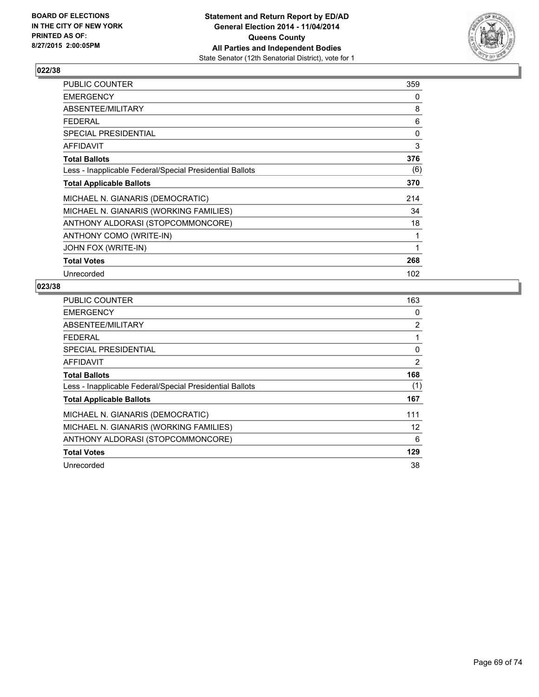

| <b>PUBLIC COUNTER</b>                                    | 359 |
|----------------------------------------------------------|-----|
| <b>EMERGENCY</b>                                         | 0   |
| ABSENTEE/MILITARY                                        | 8   |
| <b>FEDERAL</b>                                           | 6   |
| SPECIAL PRESIDENTIAL                                     | 0   |
| <b>AFFIDAVIT</b>                                         | 3   |
| <b>Total Ballots</b>                                     | 376 |
| Less - Inapplicable Federal/Special Presidential Ballots | (6) |
| <b>Total Applicable Ballots</b>                          | 370 |
| MICHAEL N. GIANARIS (DEMOCRATIC)                         | 214 |
| MICHAEL N. GIANARIS (WORKING FAMILIES)                   | 34  |
| ANTHONY ALDORASI (STOPCOMMONCORE)                        | 18  |
| ANTHONY COMO (WRITE-IN)                                  | 1   |
| JOHN FOX (WRITE-IN)                                      | 1   |
| <b>Total Votes</b>                                       | 268 |
| Unrecorded                                               | 102 |

| <b>PUBLIC COUNTER</b>                                    | 163 |
|----------------------------------------------------------|-----|
| <b>EMERGENCY</b>                                         | 0   |
| ABSENTEE/MILITARY                                        | 2   |
| <b>FEDERAL</b>                                           | 1   |
| <b>SPECIAL PRESIDENTIAL</b>                              | 0   |
| AFFIDAVIT                                                | 2   |
| <b>Total Ballots</b>                                     | 168 |
| Less - Inapplicable Federal/Special Presidential Ballots | (1) |
| <b>Total Applicable Ballots</b>                          | 167 |
| MICHAEL N. GIANARIS (DEMOCRATIC)                         | 111 |
| MICHAEL N. GIANARIS (WORKING FAMILIES)                   | 12  |
| ANTHONY ALDORASI (STOPCOMMONCORE)                        | 6   |
| <b>Total Votes</b>                                       | 129 |
| Unrecorded                                               | 38  |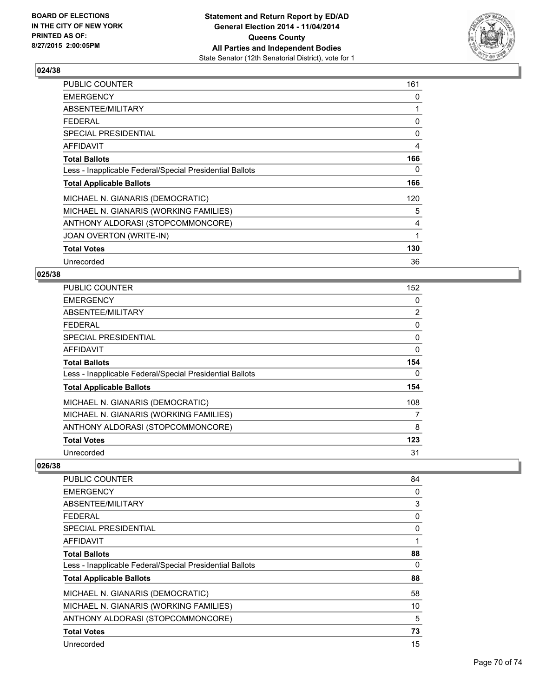

| <b>PUBLIC COUNTER</b>                                    | 161 |
|----------------------------------------------------------|-----|
| <b>EMERGENCY</b>                                         | 0   |
| ABSENTEE/MILITARY                                        | 1   |
| <b>FEDERAL</b>                                           | 0   |
| <b>SPECIAL PRESIDENTIAL</b>                              | 0   |
| <b>AFFIDAVIT</b>                                         | 4   |
| <b>Total Ballots</b>                                     | 166 |
| Less - Inapplicable Federal/Special Presidential Ballots | 0   |
| <b>Total Applicable Ballots</b>                          | 166 |
| MICHAEL N. GIANARIS (DEMOCRATIC)                         | 120 |
| MICHAEL N. GIANARIS (WORKING FAMILIES)                   | 5   |
| ANTHONY ALDORASI (STOPCOMMONCORE)                        | 4   |
| JOAN OVERTON (WRITE-IN)                                  | 1   |
| <b>Total Votes</b>                                       | 130 |
| Unrecorded                                               | 36  |

### **025/38**

| <b>PUBLIC COUNTER</b>                                    | 152            |
|----------------------------------------------------------|----------------|
| <b>EMERGENCY</b>                                         | 0              |
| ABSENTEE/MILITARY                                        | $\overline{2}$ |
| <b>FEDERAL</b>                                           | 0              |
| SPECIAL PRESIDENTIAL                                     | 0              |
| AFFIDAVIT                                                | 0              |
| <b>Total Ballots</b>                                     | 154            |
| Less - Inapplicable Federal/Special Presidential Ballots | 0              |
| <b>Total Applicable Ballots</b>                          | 154            |
| MICHAEL N. GIANARIS (DEMOCRATIC)                         | 108            |
| MICHAEL N. GIANARIS (WORKING FAMILIES)                   | 7              |
| ANTHONY ALDORASI (STOPCOMMONCORE)                        | 8              |
| <b>Total Votes</b>                                       | 123            |
| Unrecorded                                               | 31             |

| PUBLIC COUNTER                                           | 84 |
|----------------------------------------------------------|----|
| <b>EMERGENCY</b>                                         | 0  |
| ABSENTEE/MILITARY                                        | 3  |
| <b>FEDERAL</b>                                           | 0  |
| <b>SPECIAL PRESIDENTIAL</b>                              | 0  |
| <b>AFFIDAVIT</b>                                         | 1  |
| <b>Total Ballots</b>                                     | 88 |
| Less - Inapplicable Federal/Special Presidential Ballots | 0  |
| <b>Total Applicable Ballots</b>                          | 88 |
| MICHAEL N. GIANARIS (DEMOCRATIC)                         | 58 |
| MICHAEL N. GIANARIS (WORKING FAMILIES)                   | 10 |
| ANTHONY ALDORASI (STOPCOMMONCORE)                        | 5  |
| <b>Total Votes</b>                                       | 73 |
| Unrecorded                                               | 15 |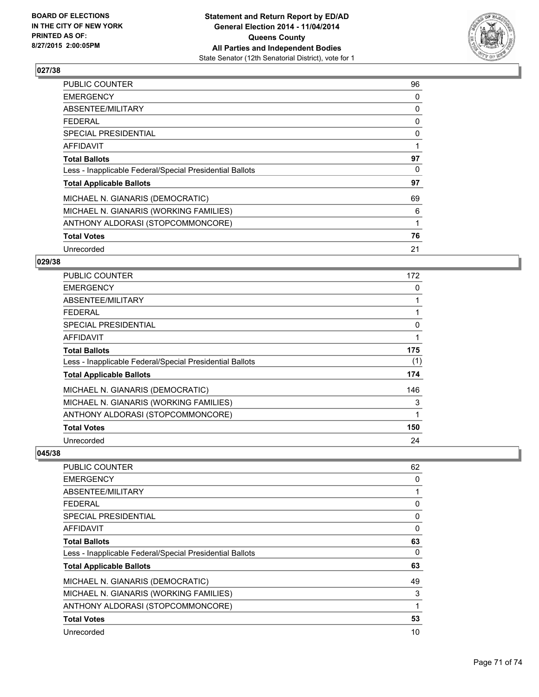

| <b>PUBLIC COUNTER</b>                                    | 96 |
|----------------------------------------------------------|----|
| <b>EMERGENCY</b>                                         | 0  |
| ABSENTEE/MILITARY                                        | 0  |
| <b>FEDERAL</b>                                           | 0  |
| <b>SPECIAL PRESIDENTIAL</b>                              | 0  |
| AFFIDAVIT                                                |    |
| <b>Total Ballots</b>                                     | 97 |
| Less - Inapplicable Federal/Special Presidential Ballots | 0  |
| <b>Total Applicable Ballots</b>                          | 97 |
| MICHAEL N. GIANARIS (DEMOCRATIC)                         | 69 |
| MICHAEL N. GIANARIS (WORKING FAMILIES)                   | 6  |
| ANTHONY ALDORASI (STOPCOMMONCORE)                        |    |
| <b>Total Votes</b>                                       | 76 |
| Unrecorded                                               | 21 |

## **029/38**

| PUBLIC COUNTER                                           | 172          |
|----------------------------------------------------------|--------------|
| <b>EMERGENCY</b>                                         | 0            |
| ABSENTEE/MILITARY                                        | 1            |
| <b>FEDERAL</b>                                           | 1            |
| <b>SPECIAL PRESIDENTIAL</b>                              | 0            |
| <b>AFFIDAVIT</b>                                         | 1            |
| <b>Total Ballots</b>                                     | 175          |
| Less - Inapplicable Federal/Special Presidential Ballots | (1)          |
| <b>Total Applicable Ballots</b>                          | 174          |
| MICHAEL N. GIANARIS (DEMOCRATIC)                         | 146          |
| MICHAEL N. GIANARIS (WORKING FAMILIES)                   | 3            |
| ANTHONY ALDORASI (STOPCOMMONCORE)                        | $\mathbf{1}$ |
| <b>Total Votes</b>                                       | 150          |
| Unrecorded                                               | 24           |

| <b>PUBLIC COUNTER</b>                                    | 62 |
|----------------------------------------------------------|----|
| <b>EMERGENCY</b>                                         | 0  |
| ABSENTEE/MILITARY                                        | 1  |
| <b>FEDERAL</b>                                           | 0  |
| <b>SPECIAL PRESIDENTIAL</b>                              | 0  |
| AFFIDAVIT                                                | 0  |
| <b>Total Ballots</b>                                     | 63 |
| Less - Inapplicable Federal/Special Presidential Ballots | 0  |
| <b>Total Applicable Ballots</b>                          | 63 |
| MICHAEL N. GIANARIS (DEMOCRATIC)                         | 49 |
| MICHAEL N. GIANARIS (WORKING FAMILIES)                   | 3  |
| ANTHONY ALDORASI (STOPCOMMONCORE)                        | 1  |
| <b>Total Votes</b>                                       | 53 |
| Unrecorded                                               | 10 |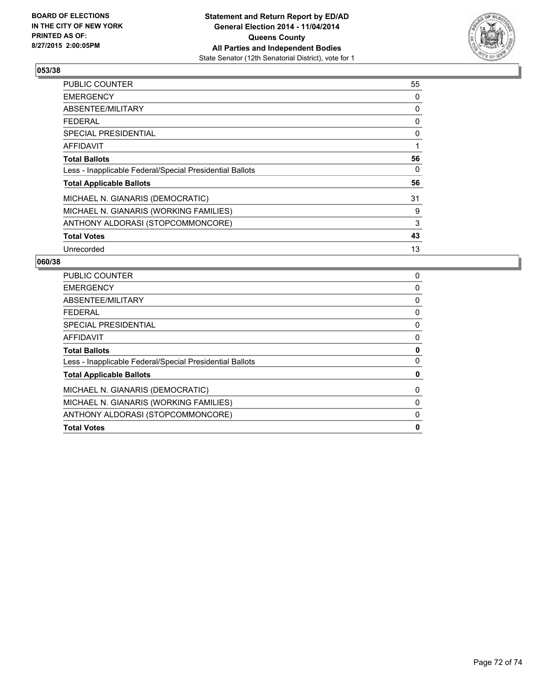

| <b>PUBLIC COUNTER</b>                                    | 55 |
|----------------------------------------------------------|----|
| <b>EMERGENCY</b>                                         | 0  |
| ABSENTEE/MILITARY                                        | 0  |
| <b>FEDERAL</b>                                           | 0  |
| <b>SPECIAL PRESIDENTIAL</b>                              | 0  |
| AFFIDAVIT                                                | 1  |
| <b>Total Ballots</b>                                     | 56 |
| Less - Inapplicable Federal/Special Presidential Ballots | 0  |
| <b>Total Applicable Ballots</b>                          | 56 |
| MICHAEL N. GIANARIS (DEMOCRATIC)                         | 31 |
| MICHAEL N. GIANARIS (WORKING FAMILIES)                   | 9  |
| ANTHONY ALDORASI (STOPCOMMONCORE)                        | 3  |
| <b>Total Votes</b>                                       | 43 |
| Unrecorded                                               | 13 |

| <b>Total Votes</b>                                       | 0 |
|----------------------------------------------------------|---|
| ANTHONY ALDORASI (STOPCOMMONCORE)                        | 0 |
| MICHAEL N. GIANARIS (WORKING FAMILIES)                   | 0 |
| MICHAEL N. GIANARIS (DEMOCRATIC)                         | 0 |
| <b>Total Applicable Ballots</b>                          | 0 |
| Less - Inapplicable Federal/Special Presidential Ballots | 0 |
| <b>Total Ballots</b>                                     | 0 |
| AFFIDAVIT                                                | 0 |
| SPECIAL PRESIDENTIAL                                     | 0 |
| <b>FEDERAL</b>                                           | 0 |
| ABSENTEE/MILITARY                                        | 0 |
| <b>EMERGENCY</b>                                         | 0 |
| <b>PUBLIC COUNTER</b>                                    | 0 |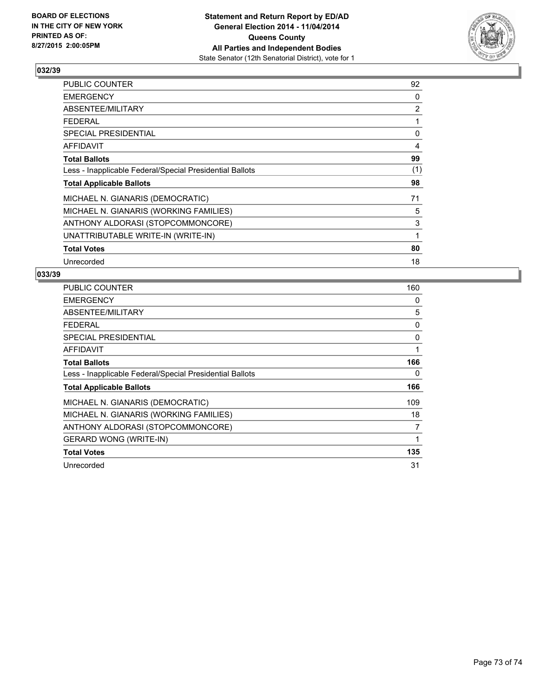

## **032/39**

| <b>PUBLIC COUNTER</b>                                    | 92  |
|----------------------------------------------------------|-----|
| <b>EMERGENCY</b>                                         | 0   |
| ABSENTEE/MILITARY                                        | 2   |
| <b>FEDERAL</b>                                           | 1   |
| <b>SPECIAL PRESIDENTIAL</b>                              | 0   |
| <b>AFFIDAVIT</b>                                         | 4   |
| <b>Total Ballots</b>                                     | 99  |
| Less - Inapplicable Federal/Special Presidential Ballots | (1) |
| <b>Total Applicable Ballots</b>                          | 98  |
| MICHAEL N. GIANARIS (DEMOCRATIC)                         | 71  |
| MICHAEL N. GIANARIS (WORKING FAMILIES)                   | 5   |
| ANTHONY ALDORASI (STOPCOMMONCORE)                        | 3   |
| UNATTRIBUTABLE WRITE-IN (WRITE-IN)                       | 1   |
| <b>Total Votes</b>                                       | 80  |
| Unrecorded                                               | 18  |

## **033/39**

| <b>PUBLIC COUNTER</b>                                    | 160 |
|----------------------------------------------------------|-----|
| <b>EMERGENCY</b>                                         | 0   |
| ABSENTEE/MILITARY                                        | 5   |
| <b>FEDERAL</b>                                           | 0   |
| SPECIAL PRESIDENTIAL                                     | 0   |
| AFFIDAVIT                                                | 1   |
| <b>Total Ballots</b>                                     | 166 |
| Less - Inapplicable Federal/Special Presidential Ballots | 0   |
| <b>Total Applicable Ballots</b>                          | 166 |
| MICHAEL N. GIANARIS (DEMOCRATIC)                         | 109 |
| MICHAEL N. GIANARIS (WORKING FAMILIES)                   | 18  |
| ANTHONY ALDORASI (STOPCOMMONCORE)                        | 7   |
| <b>GERARD WONG (WRITE-IN)</b>                            | 1   |
| <b>Total Votes</b>                                       | 135 |
| Unrecorded                                               | 31  |